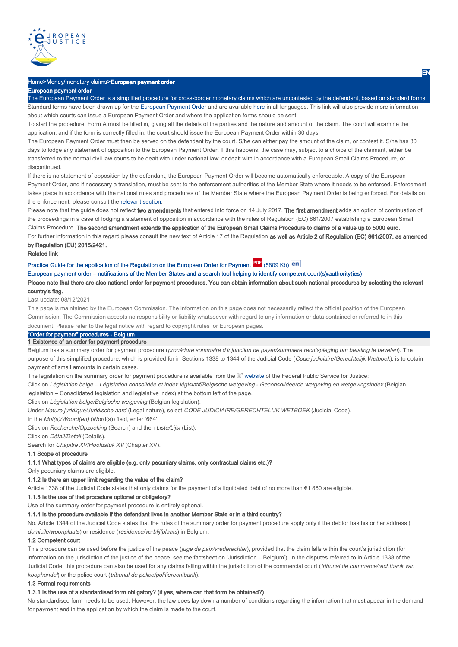

### Home>Money/monetary claims>European payment order

#### European payment order

The European Payment Order is a simplified procedure for cross-border monetary claims which are uncontested by the defendant, based on standard forms. Standard forms have been drawn up for the European Payment Order and are available here in all languages. This link will also provide more information about which courts can issue a European Payment Order and where the application forms should be sent.

To start the procedure, Form A must be filled in, giving all the details of the parties and the nature and amount of the claim. The court will examine the application, and if the form is correctly filled in, the court should issue the European Payment Order within 30 days.

The European Payment Order must then be served on the defendant by the court. S/he can either pay the amount of the claim, or contest it. S/he has 30 days to lodge any statement of opposition to the European Payment Order. If this happens, the case may, subject to a choice of the claimant, either be transferred to the normal civil law courts to be dealt with under national law; or dealt with in accordance with a European Small Claims Procedure, or discontinued.

If there is no statement of opposition by the defendant, the European Payment Order will become automatically enforceable. A copy of the European Payment Order, and if necessary a translation, must be sent to the enforcement authorities of the Member State where it needs to be enforced. Enforcement takes place in accordance with the national rules and procedures of the Member State where the European Payment Order is being enforced. For details on the enforcement, please consult the relevant section.

Please note that the guide does not reflect two amendments that entered into force on 14 July 2017. The first amendment adds an option of continuation of the proceedings in a case of lodging a statement of opposition in accordance with the rules of Regulation (EC) 861/2007 establishing a European Small Claims Procedure. The second amendment extends the application of the European Small Claims Procedure to claims of a value up to 5000 euro. For further information in this regard please consult the new text of Article 17 of the Regulation as well as Article 2 of Regulation (EC) 861/2007, as amended by Regulation (EU) 2015/2421.

#### Related link

Practice Guide for the application of the Regulation on the European Order for Payment **Figure** (5809 Kb)

European payment order – notifications of the Member States and a search tool helping to identify competent court(s)/authority(ies)

Please note that there are also national order for payment procedures. You can obtain information about such national procedures by selecting the relevant country's flag.

Last update: 08/12/2021

This page is maintained by the European Commission. The information on this page does not necessarily reflect the official position of the European Commission. The Commission accepts no responsibility or liability whatsoever with regard to any information or data contained or referred to in this document. Please refer to the legal notice with regard to copyright rules for European pages.

# "Order for payment" procedures - Belgium

1 Existence of an order for payment procedure

Belgium has a summary order for payment procedure (procédure sommaire d'injonction de payer/summiere rechtspleging om betaling te bevelen). The purpose of this simplified procedure, which is provided for in Sections 1338 to 1344 of the Judicial Code (Code judiciaire/Gerechtelijk Wetboek), is to obtain payment of small amounts in certain cases.

The legislation on the summary order for payment procedure is available from the L<sup>ar</sup> website of the Federal Public Service for Justice:

Click on Législation belge – Législation consolidée et index législatif/Belgische wetgeving - Geconsolideerde wetgeving en wetgevingsindex (Belgian legislation – Consolidated legislation and legislative index) at the bottom left of the page.

Click on Législation belge/Belgische wetgeving (Belgian legislation).

Under Nature juridique/Juridische aard (Legal nature), select CODE JUDICIAIRE/GERECHTELIJK WETBOEK (Judicial Code).

In the *Mot(s)/Woord(en)* (Word(s)) field, enter '664'.

Click on Recherche/Opzoeking (Search) and then Liste/Lijst (List).

Click on Détail/Detail (Details).

Search for *Chapitre XV/Hoofdstuk XV* (Chapter XV).

#### 1.1 Scope of procedure

# 1.1.1 What types of claims are eligible (e.g. only pecuniary claims, only contractual claims etc.)?

Only pecuniary claims are eligible.

#### 1.1.2 Is there an upper limit regarding the value of the claim?

Article 1338 of the Judicial Code states that only claims for the payment of a liquidated debt of no more than €1 860 are eligible.

### 1.1.3 Is the use of that procedure optional or obligatory?

Use of the summary order for payment procedure is entirely optional.

#### 1.1.4 Is the procedure available if the defendant lives in another Member State or in a third country?

No. Article 1344 of the Judicial Code states that the rules of the summary order for payment procedure apply only if the debtor has his or her address ( domicile/woonplaats) or residence (résidence/verblijfplaats) in Belgium.

#### 1.2 Competent court

This procedure can be used before the justice of the peace (juge de paix/vrederechter), provided that the claim falls within the court's jurisdiction (for information on the jurisdiction of the justice of the peace, see the factsheet on 'Jurisdiction – Belgium'). In the disputes referred to in Article 1338 of the Judicial Code, this procedure can also be used for any claims falling within the jurisdiction of the commercial court (tribunal de commerce/rechtbank van koophandel) or the police court (tribunal de police/politierechtbank).

#### 1.3 Formal requirements

### 1.3.1 Is the use of a standardised form obligatory? (if yes, where can that form be obtained?)

No standardised form needs to be used. However, the law does lay down a number of conditions regarding the information that must appear in the demand for payment and in the application by which the claim is made to the court.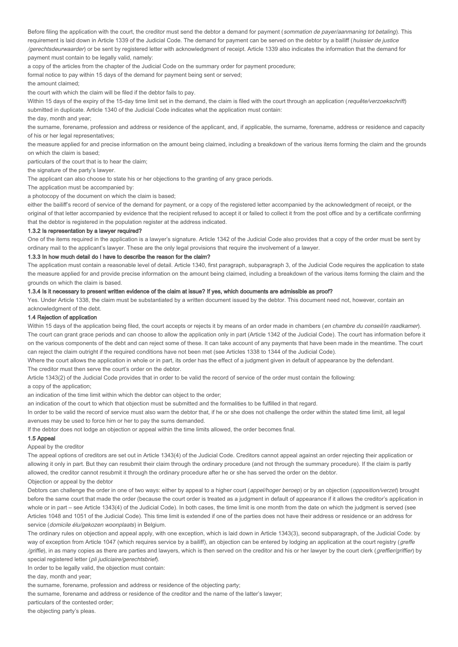Before filing the application with the court, the creditor must send the debtor a demand for payment (sommation de payer/aanmaning tot betaling). This requirement is laid down in Article 1339 of the Judicial Code. The demand for payment can be served on the debtor by a bailiff (huissier de justice /gerechtsdeurwaarder) or be sent by registered letter with acknowledgment of receipt. Article 1339 also indicates the information that the demand for payment must contain to be legally valid, namely:

a copy of the articles from the chapter of the Judicial Code on the summary order for payment procedure;

formal notice to pay within 15 days of the demand for payment being sent or served;

the amount claimed;

the court with which the claim will be filed if the debtor fails to pay.

Within 15 days of the expiry of the 15-day time limit set in the demand, the claim is filed with the court through an application (requête/verzoekschrift) submitted in duplicate. Article 1340 of the Judicial Code indicates what the application must contain:

the day, month and year;

the surname, forename, profession and address or residence of the applicant, and, if applicable, the surname, forename, address or residence and capacity of his or her legal representatives;

the measure applied for and precise information on the amount being claimed, including a breakdown of the various items forming the claim and the grounds on which the claim is based;

particulars of the court that is to hear the claim;

the signature of the party's lawyer.

The applicant can also choose to state his or her objections to the granting of any grace periods.

The application must be accompanied by:

a photocopy of the document on which the claim is based;

either the bailiff's record of service of the demand for payment, or a copy of the registered letter accompanied by the acknowledgment of receipt, or the original of that letter accompanied by evidence that the recipient refused to accept it or failed to collect it from the post office and by a certificate confirming that the debtor is registered in the population register at the address indicated.

#### 1.3.2 Is representation by a lawyer required?

One of the items required in the application is a lawyer's signature. Article 1342 of the Judicial Code also provides that a copy of the order must be sent by ordinary mail to the applicant's lawyer. These are the only legal provisions that require the involvement of a lawyer.

#### 1.3.3 In how much detail do I have to describe the reason for the claim?

The application must contain a reasonable level of detail. Article 1340, first paragraph, subparagraph 3, of the Judicial Code requires the application to state the measure applied for and provide precise information on the amount being claimed, including a breakdown of the various items forming the claim and the grounds on which the claim is based.

### 1.3.4 Is it necessary to present written evidence of the claim at issue? If yes, which documents are admissible as proof?

Yes. Under Article 1338, the claim must be substantiated by a written document issued by the debtor. This document need not, however, contain an acknowledgment of the debt.

#### 1.4 Rejection of application

Within 15 days of the application being filed, the court accepts or rejects it by means of an order made in chambers (en chambre du conseil/in raadkamer). The court can grant grace periods and can choose to allow the application only in part (Article 1342 of the Judicial Code). The court has information before it on the various components of the debt and can reject some of these. It can take account of any payments that have been made in the meantime. The court can reject the claim outright if the required conditions have not been met (see Articles 1338 to 1344 of the Judicial Code).

Where the court allows the application in whole or in part, its order has the effect of a judgment given in default of appearance by the defendant.

The creditor must then serve the court's order on the debtor.

Article 1343(2) of the Judicial Code provides that in order to be valid the record of service of the order must contain the following:

a copy of the application;

an indication of the time limit within which the debtor can object to the order;

an indication of the court to which that objection must be submitted and the formalities to be fulfilled in that regard.

In order to be valid the record of service must also warn the debtor that, if he or she does not challenge the order within the stated time limit, all legal avenues may be used to force him or her to pay the sums demanded.

If the debtor does not lodge an objection or appeal within the time limits allowed, the order becomes final.

#### 1.5 Appeal

Appeal by the creditor

The appeal options of creditors are set out in Article 1343(4) of the Judicial Code. Creditors cannot appeal against an order rejecting their application or allowing it only in part. But they can resubmit their claim through the ordinary procedure (and not through the summary procedure). If the claim is partly allowed, the creditor cannot resubmit it through the ordinary procedure after he or she has served the order on the debtor.

# Objection or appeal by the debtor

Debtors can challenge the order in one of two ways: either by appeal to a higher court (appel/hoger beroep) or by an objection (opposition/verzet) brought before the same court that made the order (because the court order is treated as a judgment in default of appearance if it allows the creditor's application in whole or in part – see Article 1343(4) of the Judicial Code). In both cases, the time limit is one month from the date on which the judgment is served (see Articles 1048 and 1051 of the Judicial Code). This time limit is extended if one of the parties does not have their address or residence or an address for service (domicile élu/gekozen woonplaats) in Belgium.

The ordinary rules on objection and appeal apply, with one exception, which is laid down in Article 1343(3), second subparagraph, of the Judicial Code: by way of exception from Article 1047 (which requires service by a bailiff), an objection can be entered by lodging an application at the court registry (*greffe*) /griffie), in as many copies as there are parties and lawyers, which is then served on the creditor and his or her lawyer by the court clerk (greffier/griffier) by special registered letter (pli judiciaire/gerechtsbrief).

In order to be legally valid, the objection must contain:

the day, month and year;

the surname, forename, profession and address or residence of the objecting party;

the surname, forename and address or residence of the creditor and the name of the latter's lawyer;

particulars of the contested order;

the objecting party's pleas.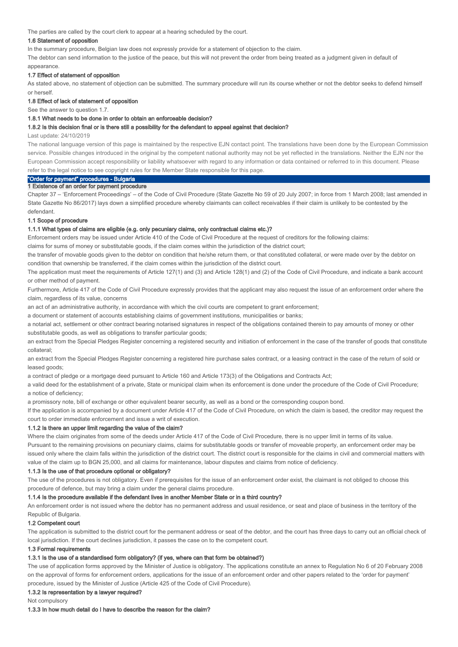The parties are called by the court clerk to appear at a hearing scheduled by the court.

### 1.6 Statement of opposition

In the summary procedure, Belgian law does not expressly provide for a statement of objection to the claim.

The debtor can send information to the justice of the peace, but this will not prevent the order from being treated as a judgment given in default of appearance.

#### 1.7 Effect of statement of opposition

As stated above, no statement of objection can be submitted. The summary procedure will run its course whether or not the debtor seeks to defend himself or herself.

#### 1.8 Effect of lack of statement of opposition

See the answer to question 1.7.

#### 1.8.1 What needs to be done in order to obtain an enforceable decision?

#### 1.8.2 Is this decision final or is there still a possibility for the defendant to appeal against that decision?

#### Last update: 24/10/2019

The national language version of this page is maintained by the respective EJN contact point. The translations have been done by the European Commission service. Possible changes introduced in the original by the competent national authority may not be yet reflected in the translations. Neither the EJN nor the European Commission accept responsibility or liability whatsoever with regard to any information or data contained or referred to in this document. Please refer to the legal notice to see copyright rules for the Member State responsible for this page.

# "Order for payment" procedures - Bulgaria

### 1 Existence of an order for payment procedure

Chapter 37 – 'Enforcement Proceedings' – of the Code of Civil Procedure (State Gazette No 59 of 20 July 2007; in force from 1 March 2008; last amended in State Gazette No 86/2017) lays down a simplified procedure whereby claimants can collect receivables if their claim is unlikely to be contested by the defendant.

#### 1.1 Scope of procedure

### 1.1.1 What types of claims are eligible (e.g. only pecuniary claims, only contractual claims etc.)?

Enforcement orders may be issued under Article 410 of the Code of Civil Procedure at the request of creditors for the following claims:

claims for sums of money or substitutable goods, if the claim comes within the jurisdiction of the district court;

the transfer of movable goods given to the debtor on condition that he/she return them, or that constituted collateral, or were made over by the debtor on condition that ownership be transferred, if the claim comes within the jurisdiction of the district court.

The application must meet the requirements of Article 127(1) and (3) and Article 128(1) and (2) of the Code of Civil Procedure, and indicate a bank account or other method of payment.

Furthermore, Article 417 of the Code of Civil Procedure expressly provides that the applicant may also request the issue of an enforcement order where the claim, regardless of its value, concerns

an act of an administrative authority, in accordance with which the civil courts are competent to grant enforcement;

a document or statement of accounts establishing claims of government institutions, municipalities or banks;

a notarial act, settlement or other contract bearing notarised signatures in respect of the obligations contained therein to pay amounts of money or other substitutable goods, as well as obligations to transfer particular goods;

an extract from the Special Pledges Register concerning a registered security and initiation of enforcement in the case of the transfer of goods that constitute collateral;

an extract from the Special Pledges Register concerning a registered hire purchase sales contract, or a leasing contract in the case of the return of sold or leased goods;

a contract of pledge or a mortgage deed pursuant to Article 160 and Article 173(3) of the Obligations and Contracts Act;

a valid deed for the establishment of a private, State or municipal claim when its enforcement is done under the procedure of the Code of Civil Procedure; a notice of deficiency;

a promissory note, bill of exchange or other equivalent bearer security, as well as a bond or the corresponding coupon bond.

If the application is accompanied by a document under Article 417 of the Code of Civil Procedure, on which the claim is based, the creditor may request the court to order immediate enforcement and issue a writ of execution.

### 1.1.2 Is there an upper limit regarding the value of the claim?

Where the claim originates from some of the deeds under Article 417 of the Code of Civil Procedure, there is no upper limit in terms of its value. Pursuant to the remaining provisions on pecuniary claims, claims for substitutable goods or transfer of moveable property, an enforcement order may be issued only where the claim falls within the jurisdiction of the district court. The district court is responsible for the claims in civil and commercial matters with value of the claim up to BGN 25,000, and all claims for maintenance, labour disputes and claims from notice of deficiency.

#### 1.1.3 Is the use of that procedure optional or obligatory?

The use of the procedures is not obligatory. Even if prerequisites for the issue of an enforcement order exist, the claimant is not obliged to choose this procedure of defence, but may bring a claim under the general claims procedure.

#### 1.1.4 Is the procedure available if the defendant lives in another Member State or in a third country?

An enforcement order is not issued where the debtor has no permanent address and usual residence, or seat and place of business in the territory of the Republic of Bulgaria.

### 1.2 Competent court

The application is submitted to the district court for the permanent address or seat of the debtor, and the court has three days to carry out an official check of local jurisdiction. If the court declines jurisdiction, it passes the case on to the competent court.

#### 1.3 Formal requirements

### 1.3.1 Is the use of a standardised form obligatory? (if yes, where can that form be obtained?)

The use of application forms approved by the Minister of Justice is obligatory. The applications constitute an annex to Regulation No 6 of 20 February 2008 on the approval of forms for enforcement orders, applications for the issue of an enforcement order and other papers related to the 'order for payment' procedure, issued by the Minister of Justice (Article 425 of the Code of Civil Procedure).

### 1.3.2 Is representation by a lawyer required?

Not compulsory

### 1.3.3 In how much detail do I have to describe the reason for the claim?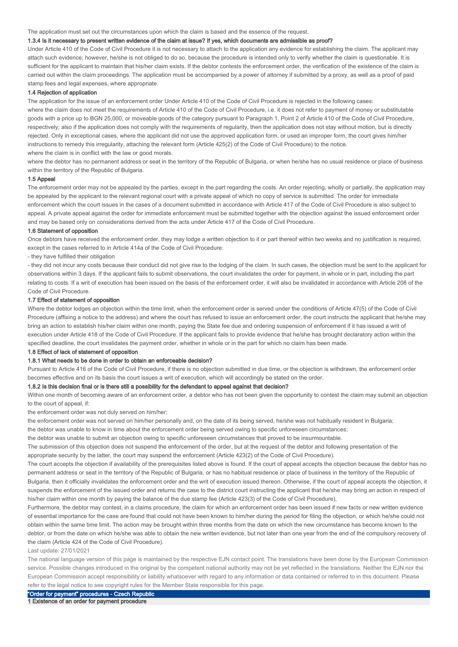#### The application must set out the circumstances upon which the claim is based and the essence of the request.

### 1.3.4 Is it necessary to present written evidence of the claim at issue? If yes, which documents are admissible as proof?

Under Article 410 of the Code of Civil Procedure it is not necessary to attach to the application any evidence for establishing the claim. The applicant may attach such evidence; however, he/she is not obliged to do so, because the procedure is intended only to verify whether the claim is questionable. It is sufficient for the applicant to maintain that his/her claim exists. If the debtor contests the enforcement order, the verification of the existence of the claim is carried out within the claim proceedings. The application must be accompanied by a power of attorney if submitted by a proxy, as well as a proof of paid stamp fees and legal expenses, where appropriate.

#### 1.4 Rejection of application

The application for the issue of an enforcement order Under Article 410 of the Code of Civil Procedure is rejected in the following cases:

where the claim does not meet the requirements of Article 410 of the Code of Civil Procedure, i.e. it does not refer to payment of money or substitutable goods with a price up to BGN 25,000, or moveable goods of the category pursuant to Paragraph 1, Point 2 of Article 410 of the Code of Civil Procedure, respectively; also if the application does not comply with the requirements of regularity, then the application does not stay without motion, but is directly rejected. Only in exceptional cases, where the applicant did not use the approved application form, or used an improper form, the court gives him/her instructions to remedy this irregularity, attaching the relevant form (Article 425(2) of the Code of Civil Procedure) to the notice. where the claim is in conflict with the law or good morals.

where the debtor has no permanent address or seat in the territory of the Republic of Bulgaria, or when he/she has no usual residence or place of business within the territory of the Republic of Bulgaria.

#### 1.5 Appeal

The enforcement order may not be appealed by the parties, except in the part regarding the costs. An order rejecting, wholly or partially, the application may be appealed by the applicant to the relevant regional court with a private appeal of which no copy of service is submitted. The order for immediate enforcement which the court issues in the cases of a document submitted in accordance with Article 417 of the Code of Civil Procedure is also subject to appeal. A private appeal against the order for immediate enforcement must be submitted together with the objection against the issued enforcement order and may be based only on considerations derived from the acts under Article 417 of the Code of Civil Procedure.

#### 1.6 Statement of opposition

Once debtors have received the enforcement order, they may lodge a written objection to it or part thereof within two weeks and no justification is required, except in the cases referred to in Article 414a of the Code of Civil Procedure:

#### - they have fulfilled their obligation

- they did not incur any costs because their conduct did not give rise to the lodging of the claim. In such cases, the objection must be sent to the applicant for observations within 3 days. If the applicant fails to submit observations, the court invalidates the order for payment, in whole or in part, including the part relating to costs. If a writ of execution has been issued on the basis of the enforcement order, it will also be invalidated in accordance with Article 208 of the Code of Civil Procedure.

#### 1.7 Effect of statement of opposition

Where the debtor lodges an objection within the time limit, when the enforcement order is served under the conditions of Article 47(5) of the Code of Civil Procedure (affixing a notice to the address) and where the court has refused to issue an enforcement order, the court instructs the applicant that he/she may bring an action to establish his/her claim within one month, paying the State fee due and ordering suspension of enforcement if it has issued a writ of execution under Article 418 of the Code of Civil Procedure. If the applicant fails to provide evidence that he/she has brought declaratory action within the specified deadline, the court invalidates the payment order, whether in whole or in the part for which no claim has been made.

### 1.8 Effect of lack of statement of opposition

#### 1.8.1 What needs to be done in order to obtain an enforceable decision?

Pursuant to Article 416 of the Code of Civil Procedure, if there is no objection submitted in due time, or the objection is withdrawn, the enforcement order becomes effective and on its basis the court issues a writ of execution, which will accordingly be stated on the order.

### 1.8.2 Is this decision final or is there still a possibility for the defendant to appeal against that decision?

Within one month of becoming aware of an enforcement order, a debtor who has not been given the opportunity to contest the claim may submit an objection to the court of appeal, if:

the enforcement order was not duly served on him/her;

the enforcement order was not served on him/her personally and, on the date of its being served, he/she was not habitually resident in Bulgaria;

the debtor was unable to know in time about the enforcement order being served owing to specific unforeseen circumstances;

the debtor was unable to submit an objection owing to specific unforeseen circumstances that proved to be insurmountable.

The submission of this objection does not suspend the enforcement of the order, but at the request of the debtor and following presentation of the appropriate security by the latter, the court may suspend the enforcement (Article 423(2) of the Code of Civil Procedure).

The court accepts the objection if availability of the prerequisites listed above is found. If the court of appeal accepts the objection because the debtor has no permanent address or seat in the territory of the Republic of Bulgaria, or has no habitual residence or place of business in the territory of the Republic of Bulgaria, then it officially invalidates the enforcement order and the writ of execution issued thereon. Otherwise, if the court of appeal accepts the objection, it suspends the enforcement of the issued order and returns the case to the district court instructing the applicant that he/she may bring an action in respect of his/her claim within one month by paying the balance of the due stamp fee (Article 423(3) of the Code of Civil Procedure),

Furthermore, the debtor may contest, in a claims procedure, the claim for which an enforcement order has been issued if new facts or new written evidence of essential importance for the case are found that could not have been known to him/her during the period for filing the objection, or which he/she could not obtain within the same time limit. The action may be brought within three months from the date on which the new circumstance has become known to the debtor, or from the date on which he/she was able to obtain the new written evidence, but not later than one year from the end of the compulsory recovery of the claim (Article 424 of the Code of Civil Procedure).

#### Last update: 27/01/2021

The national language version of this page is maintained by the respective EJN contact point. The translations have been done by the European Commission service. Possible changes introduced in the original by the competent national authority may not be yet reflected in the translations. Neither the EJN nor the European Commission accept responsibility or liability whatsoever with regard to any information or data contained or referred to in this document. Please refer to the legal notice to see copyright rules for the Member State responsible for this page.

"Order for payment" procedures - Czech Republic 1 Existence of an order for payment procedure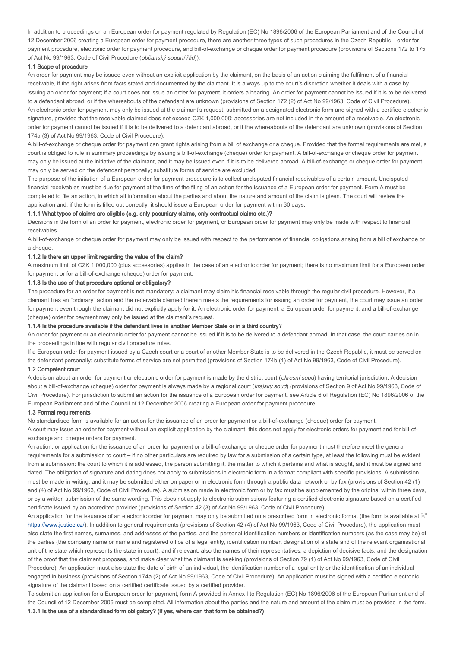In addition to proceedings on an European order for payment regulated by Regulation (EC) No 1896/2006 of the European Parliament and of the Council of 12 December 2006 creating a European order for payment procedure, there are another three types of such procedures in the Czech Republic – order for payment procedure, electronic order for payment procedure, and bill-of-exchange or cheque order for payment procedure (provisions of Sections 172 to 175 of Act No 99/1963, Code of Civil Procedure (občanský soudní řád)).

#### 1.1 Scope of procedure

An order for payment may be issued even without an explicit application by the claimant, on the basis of an action claiming the fulfilment of a financial receivable, if the right arises from facts stated and documented by the claimant. It is always up to the court's discretion whether it deals with a case by issuing an order for payment; if a court does not issue an order for payment, it orders a hearing. An order for payment cannot be issued if it is to be delivered to a defendant abroad, or if the whereabouts of the defendant are unknown (provisions of Section 172 (2) of Act No 99/1963, Code of Civil Procedure). An electronic order for payment may only be issued at the claimant's request, submitted on a designated electronic form and signed with a certified electronic signature, provided that the receivable claimed does not exceed CZK 1,000,000; accessories are not included in the amount of a receivable. An electronic order for payment cannot be issued if it is to be delivered to a defendant abroad, or if the whereabouts of the defendant are unknown (provisions of Section 174a (3) of Act No 99/1963, Code of Civil Procedure).

A bill-of-exchange or cheque order for payment can grant rights arising from a bill of exchange or a cheque. Provided that the formal requirements are met, a court is obliged to rule in summary proceedings by issuing a bill-of-exchange (cheque) order for payment. A bill-of-exchange or cheque order for payment may only be issued at the initiative of the claimant, and it may be issued even if it is to be delivered abroad. A bill-of-exchange or cheque order for payment may only be served on the defendant personally; substitute forms of service are excluded.

The purpose of the initiation of a European order for payment procedure is to collect undisputed financial receivables of a certain amount. Undisputed financial receivables must be due for payment at the time of the filing of an action for the issuance of a European order for payment. Form A must be completed to file an action, in which all information about the parties and about the nature and amount of the claim is given. The court will review the application and, if the form is filled out correctly, it should issue a European order for payment within 30 days.

#### 1.1.1 What types of claims are eligible (e.g. only pecuniary claims, only contractual claims etc.)?

Decisions in the form of an order for payment, electronic order for payment, or European order for payment may only be made with respect to financial receivables.

A bill-of-exchange or cheque order for payment may only be issued with respect to the performance of financial obligations arising from a bill of exchange or a cheque.

### 1.1.2 Is there an upper limit regarding the value of the claim?

A maximum limit of CZK 1,000,000 (plus accessories) applies in the case of an electronic order for payment; there is no maximum limit for a European order for payment or for a bill-of-exchange (cheque) order for payment.

#### 1.1.3 Is the use of that procedure optional or obligatory?

The procedure for an order for payment is not mandatory; a claimant may claim his financial receivable through the regular civil procedure. However, if a claimant files an "ordinary" action and the receivable claimed therein meets the requirements for issuing an order for payment, the court may issue an order for payment even though the claimant did not explicitly apply for it. An electronic order for payment, a European order for payment, and a bill-of-exchange (cheque) order for payment may only be issued at the claimant's request.

#### 1.1.4 Is the procedure available if the defendant lives in another Member State or in a third country?

An order for payment or an electronic order for payment cannot be issued if it is to be delivered to a defendant abroad. In that case, the court carries on in the proceedings in line with regular civil procedure rules.

If a European order for payment issued by a Czech court or a court of another Member State is to be delivered in the Czech Republic, it must be served on the defendant personally; substitute forms of service are not permitted (provisions of Section 174b (1) of Act No 99/1963, Code of Civil Procedure).

#### 1.2 Competent court

A decision about an order for payment or electronic order for payment is made by the district court (okresní soud) having territorial jurisdiction. A decision about a bill-of-exchange (cheque) order for payment is always made by a regional court (krajský soud) (provisions of Section 9 of Act No 99/1963, Code of Civil Procedure). For jurisdiction to submit an action for the issuance of a European order for payment, see Article 6 of Regulation (EC) No 1896/2006 of the European Parliament and of the Council of 12 December 2006 creating a European order for payment procedure.

### 1.3 Formal requirements

No standardised form is available for an action for the issuance of an order for payment or a bill-of-exchange (cheque) order for payment. A court may issue an order for payment without an explicit application by the claimant; this does not apply for electronic orders for payment and for bill-ofexchange and cheque orders for payment.

An action, or application for the issuance of an order for payment or a bill-of-exchange or cheque order for payment must therefore meet the general requirements for a submission to court – if no other particulars are required by law for a submission of a certain type, at least the following must be evident from a submission: the court to which it is addressed, the person submitting it, the matter to which it pertains and what is sought, and it must be signed and dated. The obligation of signature and dating does not apply to submissions in electronic form in a format compliant with specific provisions. A submission must be made in writing, and it may be submitted either on paper or in electronic form through a public data network or by fax (provisions of Section 42 (1) and (4) of Act No 99/1963, Code of Civil Procedure). A submission made in electronic form or by fax must be supplemented by the original within three days, or by a written submission of the same wording. This does not apply to electronic submissions featuring a certified electronic signature based on a certified certificate issued by an accredited provider (provisions of Section 42 (3) of Act No 99/1963, Code of Civil Procedure).

An application for the issuance of an electronic order for payment may only be submitted on a prescribed form in electronic format (the form is available at  $\mathbb{E}^n$ ) https://www.justice.cz/). In addition to general requirements (provisions of Section 42 (4) of Act No 99/1963, Code of Civil Procedure), the application must also state the first names, surnames, and addresses of the parties, and the personal identification numbers or identification numbers (as the case may be) of the parties (the company name or name and registered office of a legal entity, identification number, designation of a state and of the relevant organisational unit of the state which represents the state in court), and if relevant, also the names of their representatives, a depiction of decisive facts, and the designation of the proof that the claimant proposes, and make clear what the claimant is seeking (provisions of Section 79 (1) of Act No 99/1963, Code of Civil Procedure). An application must also state the date of birth of an individual, the identification number of a legal entity or the identification of an individual engaged in business (provisions of Section 174a (2) of Act No 99/1963, Code of Civil Procedure). An application must be signed with a certified electronic signature of the claimant based on a certified certificate issued by a certified provider.

To submit an application for a European order for payment, form A provided in Annex I to Regulation (EC) No 1896/2006 of the European Parliament and of the Council of 12 December 2006 must be completed. All information about the parties and the nature and amount of the claim must be provided in the form.

### 1.3.1 Is the use of a standardised form obligatory? (if yes, where can that form be obtained?)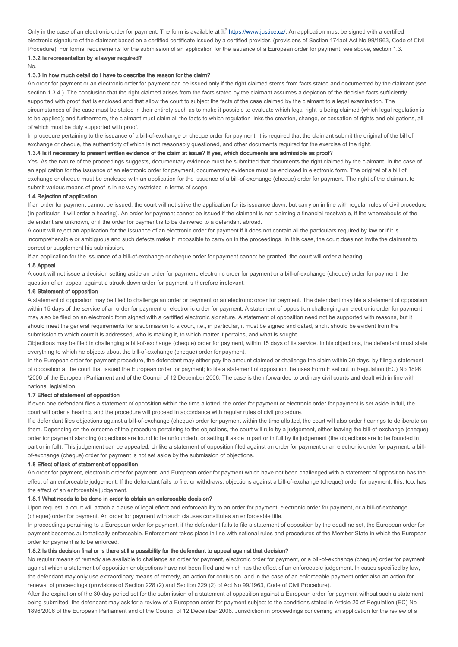Only in the case of an electronic order for payment. The form is available at  $\mathbb{E}^n$  https://www.justice.cz/. An application must be signed with a certified electronic signature of the claimant based on a certified certificate issued by a certified provider. (provisions of Section 174aof Act No 99/1963, Code of Civil Procedure). For formal requirements for the submission of an application for the issuance of a European order for payment, see above, section 1.3.

# 1.3.2 Is representation by a lawyer required?

#### No.

#### 1.3.3 In how much detail do I have to describe the reason for the claim?

An order for payment or an electronic order for payment can be issued only if the right claimed stems from facts stated and documented by the claimant (see section 1.3.4.). The conclusion that the right claimed arises from the facts stated by the claimant assumes a depiction of the decisive facts sufficiently supported with proof that is enclosed and that allow the court to subject the facts of the case claimed by the claimant to a legal examination. The circumstances of the case must be stated in their entirety such as to make it possible to evaluate which legal right is being claimed (which legal regulation is to be applied); and furthermore, the claimant must claim all the facts to which regulation links the creation, change, or cessation of rights and obligations, all of which must be duly supported with proof.

In procedure pertaining to the issuance of a bill-of-exchange or cheque order for payment, it is required that the claimant submit the original of the bill of exchange or cheque, the authenticity of which is not reasonably questioned, and other documents required for the exercise of the right.

#### 1.3.4 Is it necessary to present written evidence of the claim at issue? If yes, which documents are admissible as proof?

Yes. As the nature of the proceedings suggests, documentary evidence must be submitted that documents the right claimed by the claimant. In the case of an application for the issuance of an electronic order for payment, documentary evidence must be enclosed in electronic form. The original of a bill of exchange or cheque must be enclosed with an application for the issuance of a bill-of-exchange (cheque) order for payment. The right of the claimant to submit various means of proof is in no way restricted in terms of scope.

#### 1.4 Rejection of application

If an order for payment cannot be issued, the court will not strike the application for its issuance down, but carry on in line with regular rules of civil procedure (in particular, it will order a hearing). An order for payment cannot be issued if the claimant is not claiming a financial receivable, if the whereabouts of the defendant are unknown, or if the order for payment is to be delivered to a defendant abroad.

A court will reject an application for the issuance of an electronic order for payment if it does not contain all the particulars required by law or if it is incomprehensible or ambiguous and such defects make it impossible to carry on in the proceedings. In this case, the court does not invite the claimant to correct or supplement his submission.

If an application for the issuance of a bill-of-exchange or cheque order for payment cannot be granted, the court will order a hearing.

### 1.5 Appeal

A court will not issue a decision setting aside an order for payment, electronic order for payment or a bill-of-exchange (cheque) order for payment; the question of an appeal against a struck-down order for payment is therefore irrelevant.

### 1.6 Statement of opposition

A statement of opposition may be filed to challenge an order or payment or an electronic order for payment. The defendant may file a statement of opposition within 15 days of the service of an order for payment or electronic order for payment. A statement of opposition challenging an electronic order for payment may also be filed on an electronic form signed with a certified electronic signature. A statement of opposition need not be supported with reasons, but it should meet the general requirements for a submission to a court, i.e., in particular, it must be signed and dated, and it should be evident from the submission to which court it is addressed, who is making it, to which matter it pertains, and what is sought.

Objections may be filed in challenging a bill-of-exchange (cheque) order for payment, within 15 days of its service. In his objections, the defendant must state everything to which he objects about the bill-of-exchange (cheque) order for payment.

In the European order for payment procedure, the defendant may either pay the amount claimed or challenge the claim within 30 days, by filing a statement of opposition at the court that issued the European order for payment; to file a statement of opposition, he uses Form F set out in Regulation (EC) No 1896 /2006 of the European Parliament and of the Council of 12 December 2006. The case is then forwarded to ordinary civil courts and dealt with in line with national legislation.

#### 1.7 Effect of statement of opposition

If even one defendant files a statement of opposition within the time allotted, the order for payment or electronic order for payment is set aside in full, the court will order a hearing, and the procedure will proceed in accordance with regular rules of civil procedure.

If a defendant files objections against a bill-of-exchange (cheque) order for payment within the time allotted, the court will also order hearings to deliberate on them. Depending on the outcome of the procedure pertaining to the objections, the court will rule by a judgement, either leaving the bill-of-exchange (cheque) order for payment standing (objections are found to be unfounded), or setting it aside in part or in full by its judgement (the objections are to be founded in part or in full). This judgement can be appealed. Unlike a statement of opposition filed against an order for payment or an electronic order for payment, a billof-exchange (cheque) order for payment is not set aside by the submission of objections.

#### 1.8 Effect of lack of statement of opposition

An order for payment, electronic order for payment, and European order for payment which have not been challenged with a statement of opposition has the effect of an enforceable judgement. If the defendant fails to file, or withdraws, objections against a bill-of-exchange (cheque) order for payment, this, too, has the effect of an enforceable judgement.

### 1.8.1 What needs to be done in order to obtain an enforceable decision?

Upon request, a court will attach a clause of legal effect and enforceability to an order for payment, electronic order for payment, or a bill-of-exchange (cheque) order for payment. An order for payment with such clauses constitutes an enforceable title.

In proceedings pertaining to a European order for payment, if the defendant fails to file a statement of opposition by the deadline set, the European order for payment becomes automatically enforceable. Enforcement takes place in line with national rules and procedures of the Member State in which the European order for payment is to be enforced.

### 1.8.2 Is this decision final or is there still a possibility for the defendant to appeal against that decision?

No regular means of remedy are available to challenge an order for payment, electronic order for payment, or a bill-of-exchange (cheque) order for payment against which a statement of opposition or objections have not been filed and which has the effect of an enforceable judgement. In cases specified by law, the defendant may only use extraordinary means of remedy, an action for confusion, and in the case of an enforceable payment order also an action for renewal of proceedings (provisions of Section 228 (2) and Section 229 (2) of Act No 99/1963, Code of Civil Procedure).

After the expiration of the 30-day period set for the submission of a statement of opposition against a European order for payment without such a statement being submitted, the defendant may ask for a review of a European order for payment subject to the conditions stated in Article 20 of Regulation (EC) No 1896/2006 of the European Parliament and of the Council of 12 December 2006. Jurisdiction in proceedings concerning an application for the review of a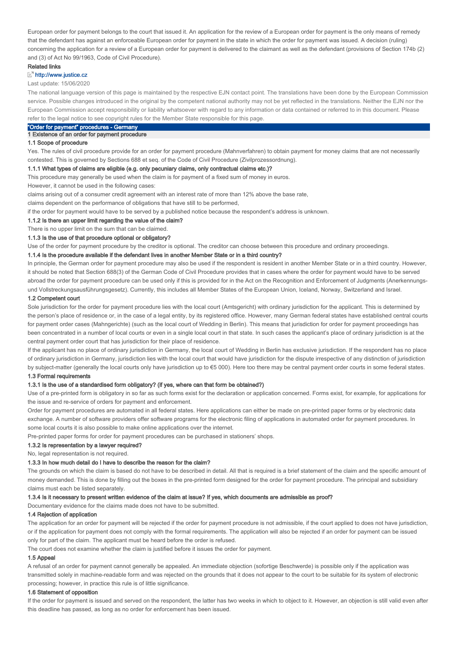European order for payment belongs to the court that issued it. An application for the review of a European order for payment is the only means of remedy that the defendant has against an enforceable European order for payment in the state in which the order for payment was issued. A decision (ruling) concerning the application for a review of a European order for payment is delivered to the claimant as well as the defendant (provisions of Section 174b (2) and (3) of Act No 99/1963, Code of Civil Procedure).

### Related links

### **E**<sup>n</sup> http://www.justice.cz

#### Last update: 15/06/2020

The national language version of this page is maintained by the respective EJN contact point. The translations have been done by the European Commission service. Possible changes introduced in the original by the competent national authority may not be yet reflected in the translations. Neither the EJN nor the European Commission accept responsibility or liability whatsoever with regard to any information or data contained or referred to in this document. Please refer to the legal notice to see copyright rules for the Member State responsible for this page.

# "Order for payment" procedures - Germany

### 1 Existence of an order for payment procedure

### 1.1 Scope of procedure

Yes. The rules of civil procedure provide for an order for payment procedure (Mahnverfahren) to obtain payment for money claims that are not necessarily contested. This is governed by Sections 688 et seq. of the Code of Civil Procedure (Zivilprozessordnung).

#### 1.1.1 What types of claims are eligible (e.g. only pecuniary claims, only contractual claims etc.)?

This procedure may generally be used when the claim is for payment of a fixed sum of money in euros.

However, it cannot be used in the following cases:

claims arising out of a consumer credit agreement with an interest rate of more than 12% above the base rate,

claims dependent on the performance of obligations that have still to be performed,

if the order for payment would have to be served by a published notice because the respondent's address is unknown.

### 1.1.2 Is there an upper limit regarding the value of the claim?

There is no upper limit on the sum that can be claimed.

### 1.1.3 Is the use of that procedure optional or obligatory?

Use of the order for payment procedure by the creditor is optional. The creditor can choose between this procedure and ordinary proceedings.

### 1.1.4 Is the procedure available if the defendant lives in another Member State or in a third country?

In principle, the German order for payment procedure may also be used if the respondent is resident in another Member State or in a third country. However, it should be noted that Section 688(3) of the German Code of Civil Procedure provides that in cases where the order for payment would have to be served abroad the order for payment procedure can be used only if this is provided for in the Act on the Recognition and Enforcement of Judgments (Anerkennungsund Vollstreckungsausführungsgesetz). Currently, this includes all Member States of the European Union, Iceland, Norway, Switzerland and Israel.

### 1.2 Competent court

Sole jurisdiction for the order for payment procedure lies with the local court (Amtsgericht) with ordinary jurisdiction for the applicant. This is determined by the person's place of residence or, in the case of a legal entity, by its registered office. However, many German federal states have established central courts for payment order cases (Mahngerichte) (such as the local court of Wedding in Berlin). This means that jurisdiction for order for payment proceedings has been concentrated in a number of local courts or even in a single local court in that state. In such cases the applicant's place of ordinary jurisdiction is at the central payment order court that has jurisdiction for their place of residence.

If the applicant has no place of ordinary jurisdiction in Germany, the local court of Wedding in Berlin has exclusive jurisdiction. If the respondent has no place of ordinary jurisdiction in Germany, jurisdiction lies with the local court that would have jurisdiction for the dispute irrespective of any distinction of jurisdiction by subject-matter (generally the local courts only have jurisdiction up to €5 000). Here too there may be central payment order courts in some federal states.

#### 1.3 Formal requirements

# 1.3.1 Is the use of a standardised form obligatory? (if yes, where can that form be obtained?)

Use of a pre-printed form is obligatory in so far as such forms exist for the declaration or application concerned. Forms exist, for example, for applications for the issue and re-service of orders for payment and enforcement.

Order for payment procedures are automated in all federal states. Here applications can either be made on pre-printed paper forms or by electronic data exchange. A number of software providers offer software programs for the electronic filing of applications in automated order for payment procedures. In some local courts it is also possible to make online applications over the internet.

Pre-printed paper forms for order for payment procedures can be purchased in stationers' shops.

### 1.3.2 Is representation by a lawyer required?

No, legal representation is not required.

#### 1.3.3 In how much detail do I have to describe the reason for the claim?

The grounds on which the claim is based do not have to be described in detail. All that is required is a brief statement of the claim and the specific amount of money demanded. This is done by filling out the boxes in the pre-printed form designed for the order for payment procedure. The principal and subsidiary claims must each be listed separately.

### 1.3.4 Is it necessary to present written evidence of the claim at issue? If yes, which documents are admissible as proof?

Documentary evidence for the claims made does not have to be submitted.

### 1.4 Rejection of application

The application for an order for payment will be rejected if the order for payment procedure is not admissible, if the court applied to does not have jurisdiction, or if the application for payment does not comply with the formal requirements. The application will also be rejected if an order for payment can be issued only for part of the claim. The applicant must be heard before the order is refused.

The court does not examine whether the claim is justified before it issues the order for payment.

# 1.5 Appeal

A refusal of an order for payment cannot generally be appealed. An immediate objection (sofortige Beschwerde) is possible only if the application was transmitted solely in machine-readable form and was rejected on the grounds that it does not appear to the court to be suitable for its system of electronic processing; however, in practice this rule is of little significance.

### 1.6 Statement of opposition

If the order for payment is issued and served on the respondent, the latter has two weeks in which to object to it. However, an objection is still valid even after this deadline has passed, as long as no order for enforcement has been issued.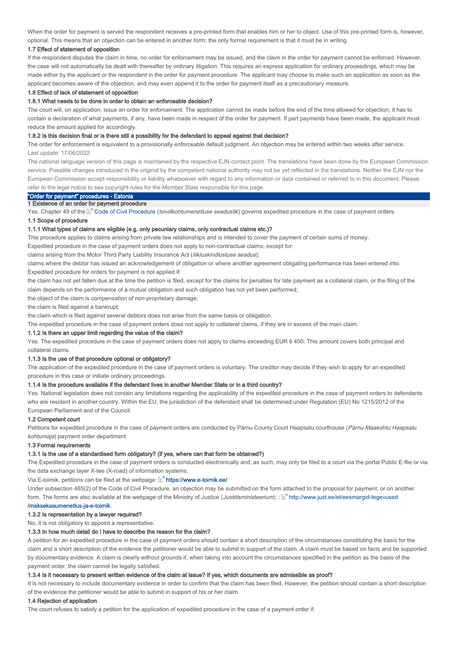When the order for payment is served the respondent receives a pre-printed form that enables him or her to object. Use of this pre-printed form is, however, optional. This means that an objection can be entered in another form; the only formal requirement is that it must be in writing.

### 1.7 Effect of statement of opposition

If the respondent disputes the claim in time, no order for enforcement may be issued, and the claim in the order for payment cannot be enforced. However, the case will not automatically be dealt with thereafter by ordinary litigation. This requires an express application for ordinary proceedings, which may be made either by the applicant or the respondent in the order for payment procedure. The applicant may choose to make such an application as soon as the applicant becomes aware of the objection, and may even append it to the order for payment itself as a precautionary measure.

### 1.8 Effect of lack of statement of opposition

#### 1.8.1 What needs to be done in order to obtain an enforceable decision?

The court will, on application, issue an order for enforcement. The application cannot be made before the end of the time allowed for objection; it has to contain a declaration of what payments, if any, have been made in respect of the order for payment. If part payments have been made, the applicant must reduce the amount applied for accordingly.

#### 1.8.2 Is this decision final or is there still a possibility for the defendant to appeal against that decision?

The order for enforcement is equivalent to a provisionally enforceable default judgment. An objection may be entered within two weeks after service. Last update: 17/06/2022

The national language version of this page is maintained by the respective EJN contact point. The translations have been done by the European Commission service. Possible changes introduced in the original by the competent national authority may not be yet reflected in the translations. Neither the EJN nor the European Commission accept responsibility or liability whatsoever with regard to any information or data contained or referred to in this document. Please refer to the legal notice to see copyright rules for the Member State responsible for this page.

### "Order for payment" procedures - Estonia 1 Existence of an order for payment procedure

Yes. Chapter 49 of the ⊠" Code of Civil Procedure (*tsiviilkohtumenetluse seadustik*) governs expedited procedure in the case of payment orders.

#### 1.1 Scope of procedure

#### 1.1.1 What types of claims are eligible (e.g. only pecuniary claims, only contractual claims etc.)?

This procedure applies to claims arising from private law relationships and is intended to cover the payment of certain sums of money.

Expedited procedure in the case of payment orders does not apply to non-contractual claims, except for:

claims arising from the Motor Third Party Liability Insurance Act (liikluskindlustuse seadus);

Expedited procedure for orders for payment is not applied if: claims where the debtor has issued an acknowledgement of obligation or where another agreement obligating performance has been entered into.

the claim has not yet fallen due at the time the petition is filed, except for the claims for penalties for late payment as a collateral claim, or the filing of the claim depends on the performance of a mutual obligation and such obligation has not yet been performed;

the object of the claim is compensation of non-proprietary damage;

the claim is filed against a bankrupt;

the claim which is filed against several debtors does not arise from the same basis or obligation.

The expedited procedure in the case of payment orders does not apply to collateral claims, if they are in excess of the main claim.

### 1.1.2 Is there an upper limit regarding the value of the claim?

Yes. The expedited procedure in the case of payment orders does not apply to claims exceeding EUR 6 400. This amount covers both principal and collateral claims.

#### 1.1.3 Is the use of that procedure optional or obligatory?

The application of the expedited procedure in the case of payment orders is voluntary. The creditor may decide if they wish to apply for an expedited procedure in this case or initiate ordinary proceedings.

#### 1.1.4 Is the procedure available if the defendant lives in another Member State or in a third country?

Yes. National legislation does not contain any limitations regarding the applicability of the expedited procedure in the case of payment orders to defendants who are resident in another country. Within the EU, the jurisdiction of the defendant shall be determined under Regulation (EU) No 1215/2012 of the European Parliament and of the Council.

#### 1.2 Competent court

Petitions for expedited procedure in the case of payment orders are conducted by Pärnu County Court Haapsalu courthouse (Pärnu Maakohtu Haapsalu kohtumaja) payment order department.

#### 1.3 Formal requirements

# 1.3.1 Is the use of a standardised form obligatory? (if yes, where can that form be obtained?)

The Expedited procedure in the case of payment orders is conducted electronically and, as such, may only be filed to a court via the portal Public E-file or via the data exchange layer X-tee (X-road) of information systems.

Via E-toimik, petitions can be filed at the webpage:  $\mathbb{R}^n$  https://www.e-toimik.ee/

Under subsection 485(2) of the Code of Civil Procedure, an objection may be submitted on the form attached to the proposal for payment, or on another form. The forms are also available at the webpage of the Ministry of Justice (*Justiitsministeerium*): : Land http://www.just.ee/et/eesmargid-tegevused

#### /maksekasumenetlus-ja-e-toimik. /maksekasumenetlus-ja-e-toimik

### 1.3.2 Is representation by a lawyer required?

No, it is not obligatory to appoint a representative.

#### 1.3.3 In how much detail do I have to describe the reason for the claim?

A petition for an expedited procedure in the case of payment orders should contain a short description of the circumstances constituting the basis for the claim and a short description of the evidence the petitioner would be able to submit in support of the claim. A claim must be based on facts and be supported by documentary evidence. A claim is clearly without grounds if, when taking into account the circumstances specified in the petition as the basis of the payment order, the claim cannot be legally satisfied.

#### 1.3.4 Is it necessary to present written evidence of the claim at issue? If yes, which documents are admissible as proof?

It is not necessary to include documentary evidence in order to confirm that the claim has been filed. However, the petition should contain a short description of the evidence the petitioner would be able to submit in support of his or her claim.

#### 1.4 Rejection of application

The court refuses to satisfy a petition for the application of expedited procedure in the case of a payment order if: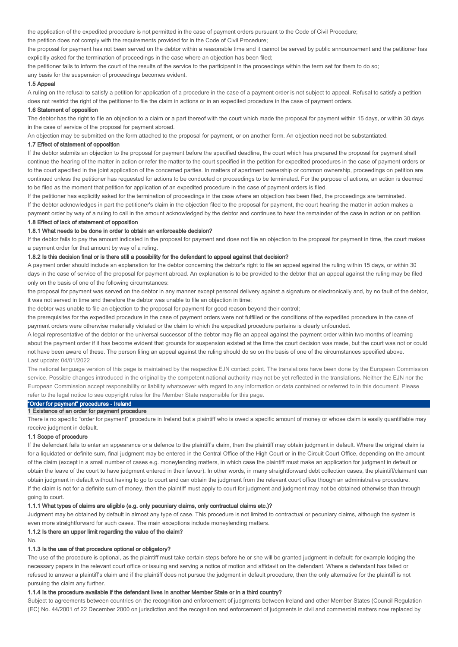the application of the expedited procedure is not permitted in the case of payment orders pursuant to the Code of Civil Procedure;

the petition does not comply with the requirements provided for in the Code of Civil Procedure;

the proposal for payment has not been served on the debtor within a reasonable time and it cannot be served by public announcement and the petitioner has explicitly asked for the termination of proceedings in the case where an objection has been filed;

the petitioner fails to inform the court of the results of the service to the participant in the proceedings within the term set for them to do so;

any basis for the suspension of proceedings becomes evident.

#### 1.5 Appeal

A ruling on the refusal to satisfy a petition for application of a procedure in the case of a payment order is not subject to appeal. Refusal to satisfy a petition does not restrict the right of the petitioner to file the claim in actions or in an expedited procedure in the case of payment orders.

#### 1.6 Statement of opposition

The debtor has the right to file an objection to a claim or a part thereof with the court which made the proposal for payment within 15 days, or within 30 days in the case of service of the proposal for payment abroad.

An objection may be submitted on the form attached to the proposal for payment, or on another form. An objection need not be substantiated.

#### 1.7 Effect of statement of opposition

If the debtor submits an objection to the proposal for payment before the specified deadline, the court which has prepared the proposal for payment shall continue the hearing of the matter in action or refer the matter to the court specified in the petition for expedited procedures in the case of payment orders or to the court specified in the joint application of the concerned parties. In matters of apartment ownership or common ownership, proceedings on petition are continued unless the petitioner has requested for actions to be conducted or proceedings to be terminated. For the purpose of actions, an action is deemed to be filed as the moment that petition for application of an expedited procedure in the case of payment orders is filed.

If the petitioner has explicitly asked for the termination of proceedings in the case where an objection has been filed, the proceedings are terminated.

If the debtor acknowledges in part the petitioner's claim in the objection filed to the proposal for payment, the court hearing the matter in action makes a payment order by way of a ruling to call in the amount acknowledged by the debtor and continues to hear the remainder of the case in action or on petition.

### 1.8 Effect of lack of statement of opposition

### 1.8.1 What needs to be done in order to obtain an enforceable decision?

If the debtor fails to pay the amount indicated in the proposal for payment and does not file an objection to the proposal for payment in time, the court makes a payment order for that amount by way of a ruling.

### 1.8.2 Is this decision final or is there still a possibility for the defendant to appeal against that decision?

A payment order should include an explanation for the debtor concerning the debtor's right to file an appeal against the ruling within 15 days, or within 30 days in the case of service of the proposal for payment abroad. An explanation is to be provided to the debtor that an appeal against the ruling may be filed only on the basis of one of the following circumstances:

the proposal for payment was served on the debtor in any manner except personal delivery against a signature or electronically and, by no fault of the debtor, it was not served in time and therefore the debtor was unable to file an objection in time;

the debtor was unable to file an objection to the proposal for payment for good reason beyond their control;

the prerequisites for the expedited procedure in the case of payment orders were not fulfilled or the conditions of the expedited procedure in the case of payment orders were otherwise materially violated or the claim to which the expedited procedure pertains is clearly unfounded.

A legal representative of the debtor or the universal successor of the debtor may file an appeal against the payment order within two months of learning about the payment order if it has become evident that grounds for suspension existed at the time the court decision was made, but the court was not or could not have been aware of these. The person filing an appeal against the ruling should do so on the basis of one of the circumstances specified above. Last update: 04/01/2022

The national language version of this page is maintained by the respective EJN contact point. The translations have been done by the European Commission service. Possible changes introduced in the original by the competent national authority may not be yet reflected in the translations. Neither the EJN nor the European Commission accept responsibility or liability whatsoever with regard to any information or data contained or referred to in this document. Please refer to the legal notice to see copyright rules for the Member State responsible for this page.

# "Order for payment" procedures - Ireland

1 Existence of an order for payment procedure

There is no specific "order for payment" procedure in Ireland but a plaintiff who is owed a specific amount of money or whose claim is easily quantifiable may receive judgment in default.

### 1.1 Scope of procedure

If the defendant fails to enter an appearance or a defence to the plaintiff's claim, then the plaintiff may obtain judgment in default. Where the original claim is for a liquidated or definite sum, final judgment may be entered in the Central Office of the High Court or in the Circuit Court Office, depending on the amount of the claim (except in a small number of cases e.g. moneylending matters, in which case the plaintiff must make an application for judgment in default or obtain the leave of the court to have judgment entered in their favour). In other words, in many straightforward debt collection cases, the plaintiff/claimant can obtain judgment in default without having to go to court and can obtain the judgment from the relevant court office though an administrative procedure. If the claim is not for a definite sum of money, then the plaintiff must apply to court for judgment and judgment may not be obtained otherwise than through going to court.

### 1.1.1 What types of claims are eligible (e.g. only pecuniary claims, only contractual claims etc.)?

Judgment may be obtained by default in almost any type of case. This procedure is not limited to contractual or pecuniary claims, although the system is even more straightforward for such cases. The main exceptions include moneylending matters.

### 1.1.2 Is there an upper limit regarding the value of the claim?

No.

### 1.1.3 Is the use of that procedure optional or obligatory?

The use of the procedure is optional, as the plaintiff must take certain steps before he or she will be granted judgment in default: for example lodging the necessary papers in the relevant court office or issuing and serving a notice of motion and affidavit on the defendant. Where a defendant has failed or refused to answer a plaintiff's claim and if the plaintiff does not pursue the judgment in default procedure, then the only alternative for the plaintiff is not pursuing the claim any further.

### 1.1.4 Is the procedure available if the defendant lives in another Member State or in a third country?

Subject to agreements between countries on the recognition and enforcement of judgments between Ireland and other Member States (Council Regulation (EC) No. 44/2001 of 22 December 2000 on jurisdiction and the recognition and enforcement of judgments in civil and commercial matters now replaced by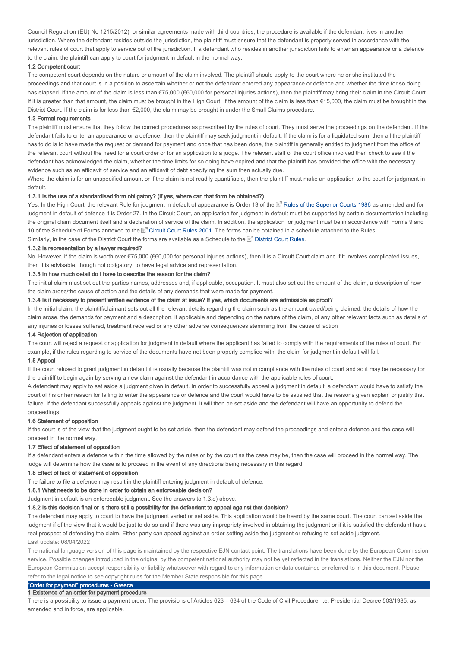Council Regulation (EU) No 1215/2012), or similar agreements made with third countries, the procedure is available if the defendant lives in another jurisdiction. Where the defendant resides outside the jurisdiction, the plaintiff must ensure that the defendant is properly served in accordance with the relevant rules of court that apply to service out of the jurisdiction. If a defendant who resides in another jurisdiction fails to enter an appearance or a defence to the claim, the plaintiff can apply to court for judgment in default in the normal way.

### 1.2 Competent court

The competent court depends on the nature or amount of the claim involved. The plaintiff should apply to the court where he or she instituted the proceedings and that court is in a position to ascertain whether or not the defendant entered any appearance or defence and whether the time for so doing has elapsed. If the amount of the claim is less than €75,000 (€60,000 for personal injuries actions), then the plaintiff may bring their claim in the Circuit Court. If it is greater than that amount, the claim must be brought in the High Court. If the amount of the claim is less than  $€15,000$ , the claim must be brought in the District Court. If the claim is for less than €2,000, the claim may be brought in under the Small Claims procedure.

#### 1.3 Formal requirements

The plaintiff must ensure that they follow the correct procedures as prescribed by the rules of court. They must serve the proceedings on the defendant. If the defendant fails to enter an appearance or a defence, then the plaintiff may seek judgment in default. If the claim is for a liquidated sum, then all the plaintiff has to do is to have made the request or demand for payment and once that has been done, the plaintiff is generally entitled to judgment from the office of the relevant court without the need for a court order or for an application to a judge. The relevant staff of the court office involved then check to see if the defendant has acknowledged the claim, whether the time limits for so doing have expired and that the plaintiff has provided the office with the necessary evidence such as an affidavit of service and an affidavit of debt specifying the sum then actually due.

Where the claim is for an unspecified amount or if the claim is not readily quantifiable, then the plaintiff must make an application to the court for judgment in default.

#### 1.3.1 Is the use of a standardised form obligatory? (if yes, where can that form be obtained?)

Yes. In the High Court, the relevant Rule for judgment in default of appearance is Order 13 of the Ernules of the Superior Courts 1986 as amended and for judgment in default of defence it is Order 27. In the Circuit Court, an application for judgment in default must be supported by certain documentation including the original claim document itself and a declaration of service of the claim. In addition, the application for judgment must be in accordance with Forms 9 and 10 of the Schedule of Forms annexed to the L<sup>er</sup> Circuit Court Rules 2001. The forms can be obtained in a schedule attached to the Rules. Similarly, in the case of the District Court the forms are available as a Schedule to the  $\mathbb{F}^n$  District Court Rules.

### 1.3.2 Is representation by a lawyer required?

No. However, if the claim is worth over €75,000 (€60,000 for personal injuries actions), then it is a Circuit Court claim and if it involves complicated issues, then it is advisable, though not obligatory, to have legal advice and representation.

#### 1.3.3 In how much detail do I have to describe the reason for the claim?

The initial claim must set out the parties names, addresses and, if applicable, occupation. It must also set out the amount of the claim, a description of how the claim arose/the cause of action and the details of any demands that were made for payment.

#### 1.3.4 Is it necessary to present written evidence of the claim at issue? If yes, which documents are admissible as proof?

In the initial claim, the plaintiff/claimant sets out all the relevant details regarding the claim such as the amount owed/being claimed, the details of how the claim arose, the demands for payment and a description, if applicable and depending on the nature of the claim, of any other relevant facts such as details of any injuries or losses suffered, treatment received or any other adverse consequences stemming from the cause of action

#### 1.4 Rejection of application

The court will reject a request or application for judgment in default where the applicant has failed to comply with the requirements of the rules of court. For example, if the rules regarding to service of the documents have not been properly complied with, the claim for judgment in default will fail.

### 1.5 Appeal

If the court refused to grant judgment in default it is usually because the plaintiff was not in compliance with the rules of court and so it may be necessary for the plaintiff to begin again by serving a new claim against the defendant in accordance with the applicable rules of court.

A defendant may apply to set aside a judgment given in default. In order to successfully appeal a judgment in default, a defendant would have to satisfy the court of his or her reason for failing to enter the appearance or defence and the court would have to be satisfied that the reasons given explain or justify that failure. If the defendant successfully appeals against the judgment, it will then be set aside and the defendant will have an opportunity to defend the proceedings.

#### 1.6 Statement of opposition

If the court is of the view that the judgment ought to be set aside, then the defendant may defend the proceedings and enter a defence and the case will proceed in the normal way.

#### 1.7 Effect of statement of opposition

If a defendant enters a defence within the time allowed by the rules or by the court as the case may be, then the case will proceed in the normal way. The judge will determine how the case is to proceed in the event of any directions being necessary in this regard.

#### 1.8 Effect of lack of statement of opposition

The failure to file a defence may result in the plaintiff entering judgment in default of defence.

#### 1.8.1 What needs to be done in order to obtain an enforceable decision?

Judgment in default is an enforceable judgment. See the answers to 1.3.d) above.

#### 1.8.2 Is this decision final or is there still a possibility for the defendant to appeal against that decision?

The defendant may apply to court to have the judgment varied or set aside. This application would be heard by the same court. The court can set aside the judgment if of the view that it would be just to do so and if there was any impropriety involved in obtaining the judgment or if it is satisfied the defendant has a real prospect of defending the claim. Either party can appeal against an order setting aside the judgment or refusing to set aside judgment. Last update: 08/04/2022

The national language version of this page is maintained by the respective EJN contact point. The translations have been done by the European Commission service. Possible changes introduced in the original by the competent national authority may not be yet reflected in the translations. Neither the EJN nor the European Commission accept responsibility or liability whatsoever with regard to any information or data contained or referred to in this document. Please refer to the legal notice to see copyright rules for the Member State responsible for this page.

### "Order for payment" procedures - Greece 1 Existence of an order for payment procedure

There is a possibility to issue a payment order. The provisions of Articles 623 – 634 of the Code of Civil Procedure, i.e. Presidential Decree 503/1985, as amended and in force, are applicable.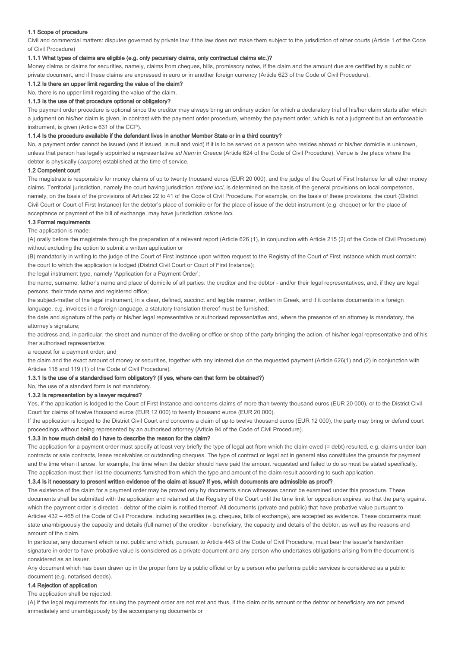### 1.1 Scope of procedure

Civil and commercial matters: disputes governed by private law if the law does not make them subject to the jurisdiction of other courts (Article 1 of the Code of Civil Procedure)

### 1.1.1 What types of claims are eligible (e.g. only pecuniary claims, only contractual claims etc.)?

Money claims or claims for securities, namely, claims from cheques, bills, promissory notes, if the claim and the amount due are certified by a public or private document, and if these claims are expressed in euro or in another foreign currency (Article 623 of the Code of Civil Procedure).

### 1.1.2 Is there an upper limit regarding the value of the claim?

No, there is no upper limit regarding the value of the claim.

# 1.1.3 Is the use of that procedure optional or obligatory?

The payment order procedure is optional since the creditor may always bring an ordinary action for which a declaratory trial of his/her claim starts after which a judgment on his/her claim is given, in contrast with the payment order procedure, whereby the payment order, which is not a judgment but an enforceable instrument, is given (Article 631 of the CCP).

### 1.1.4 Is the procedure available if the defendant lives in another Member State or in a third country?

No, a payment order cannot be issued (and if issued, is null and void) if it is to be served on a person who resides abroad or his/her domicile is unknown, unless that person has legally appointed a representative ad litem in Greece (Article 624 of the Code of Civil Procedure). Venue is the place where the debtor is physically (corpore) established at the time of service.

### 1.2 Competent court

The magistrate is responsible for money claims of up to twenty thousand euros (EUR 20 000), and the judge of the Court of First Instance for all other money claims. Territorial jurisdiction, namely the court having jurisdiction ratione loci, is determined on the basis of the general provisions on local competence, namely, on the basis of the provisions of Articles 22 to 41 of the Code of Civil Procedure. For example, on the basis of these provisions, the court (District Civil Court or Court of First Instance) for the debtor's place of domicile or for the place of issue of the debt instrument (e.g. cheque) or for the place of acceptance or payment of the bill of exchange, may have jurisdiction ratione loci.

### 1.3 Formal requirements

The application is made:

(A) orally before the magistrate through the preparation of a relevant report (Article 626 (1), in conjunction with Article 215 (2) of the Code of Civil Procedure) without excluding the option to submit a written application or

(B) mandatorily in writing to the judge of the Court of First Instance upon written request to the Registry of the Court of First Instance which must contain: the court to which the application is lodged (District Civil Court or Court of First Instance);

the legal instrument type, namely 'Application for a Payment Order';

the name, surname, father's name and place of domicile of all parties: the creditor and the debtor - and/or their legal representatives, and, if they are legal persons, their trade name and registered office;

the subject-matter of the legal instrument, in a clear, defined, succinct and legible manner, written in Greek, and if it contains documents in a foreign language, e.g. invoices in a foreign language, a statutory translation thereof must be furnished;

the date and signature of the party or his/her legal representative or authorised representative and, where the presence of an attorney is mandatory, the attorney's signature;

the address and, in particular, the street and number of the dwelling or office or shop of the party bringing the action, of his/her legal representative and of his /her authorised representative;

a request for a payment order; and

the claim and the exact amount of money or securities, together with any interest due on the requested payment (Article 626(1) and (2) in conjunction with Articles 118 and 119 (1) of the Code of Civil Procedure).

### 1.3.1 Is the use of a standardised form obligatory? (if yes, where can that form be obtained?)

### No, the use of a standard form is not mandatory.

### 1.3.2 Is representation by a lawyer required?

Yes, if the application is lodged to the Court of First Instance and concerns claims of more than twenty thousand euros (EUR 20 000), or to the District Civil Court for claims of twelve thousand euros (EUR 12 000) to twenty thousand euros (EUR 20 000).

If the application is lodged to the District Civil Court and concerns a claim of up to twelve thousand euros (EUR 12 000), the party may bring or defend court proceedings without being represented by an authorised attorney (Article 94 of the Code of Civil Procedure).

### 1.3.3 In how much detail do I have to describe the reason for the claim?

The application for a payment order must specify at least very briefly the type of legal act from which the claim owed (= debt) resulted, e.g. claims under loan contracts or sale contracts, lease receivables or outstanding cheques. The type of contract or legal act in general also constitutes the grounds for payment and the time when it arose, for example, the time when the debtor should have paid the amount requested and failed to do so must be stated specifically. The application must then list the documents furnished from which the type and amount of the claim result according to such application.

### 1.3.4 Is it necessary to present written evidence of the claim at issue? If yes, which documents are admissible as proof?

The existence of the claim for a payment order may be proved only by documents since witnesses cannot be examined under this procedure. These documents shall be submitted with the application and retained at the Registry of the Court until the time limit for opposition expires, so that the party against which the payment order is directed - debtor of the claim is notified thereof. All documents (private and public) that have probative value pursuant to Articles 432 – 465 of the Code of Civil Procedure, including securities (e.g. cheques, bills of exchange), are accepted as evidence. These documents must state unambiguously the capacity and details (full name) of the creditor - beneficiary, the capacity and details of the debtor, as well as the reasons and amount of the claim.

In particular, any document which is not public and which, pursuant to Article 443 of the Code of Civil Procedure, must bear the issuer's handwritten signature in order to have probative value is considered as a private document and any person who undertakes obligations arising from the document is considered as an issuer.

Any document which has been drawn up in the proper form by a public official or by a person who performs public services is considered as a public document (e.g. notarised deeds).

### 1.4 Rejection of application

The application shall be rejected:

(A) if the legal requirements for issuing the payment order are not met and thus, if the claim or its amount or the debtor or beneficiary are not proved immediately and unambiguously by the accompanying documents or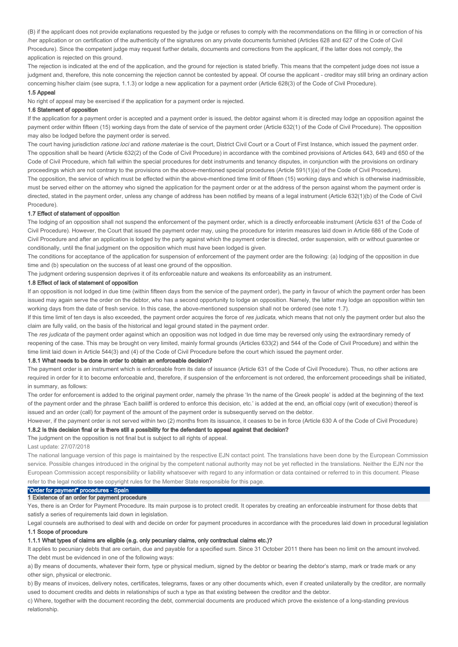(B) if the applicant does not provide explanations requested by the judge or refuses to comply with the recommendations on the filling in or correction of his /her application or on certification of the authenticity of the signatures on any private documents furnished (Articles 628 and 627 of the Code of Civil Procedure). Since the competent judge may request further details, documents and corrections from the applicant, if the latter does not comply, the application is rejected on this ground.

The rejection is indicated at the end of the application, and the ground for rejection is stated briefly. This means that the competent judge does not issue a judgment and, therefore, this note concerning the rejection cannot be contested by appeal. Of course the applicant - creditor may still bring an ordinary action concerning his/her claim (see supra, 1.1.3) or lodge a new application for a payment order (Article 628(3) of the Code of Civil Procedure).

### 1.5 Appeal

No right of appeal may be exercised if the application for a payment order is rejected.

#### 1.6 Statement of opposition

If the application for a payment order is accepted and a payment order is issued, the debtor against whom it is directed may lodge an opposition against the payment order within fifteen (15) working days from the date of service of the payment order (Article 632(1) of the Code of Civil Procedure). The opposition may also be lodged before the payment order is served.

The court having jurisdiction ratione loci and ratione materiae is the court, District Civil Court or a Court of First Instance, which issued the payment order. The opposition shall be heard (Article 632(2) of the Code of Civil Procedure) in accordance with the combined provisions of Articles 643, 649 and 650 of the Code of Civil Procedure, which fall within the special procedures for debt instruments and tenancy disputes, in conjunction with the provisions on ordinary proceedings which are not contrary to the provisions on the above-mentioned special procedures (Article 591(1)(a) of the Code of Civil Procedure). The opposition, the service of which must be effected within the above-mentioned time limit of fifteen (15) working days and which is otherwise inadmissible, must be served either on the attorney who signed the application for the payment order or at the address of the person against whom the payment order is directed, stated in the payment order, unless any change of address has been notified by means of a legal instrument (Article 632(1)(b) of the Code of Civil Procedure).

### 1.7 Effect of statement of opposition

The lodging of an opposition shall not suspend the enforcement of the payment order, which is a directly enforceable instrument (Article 631 of the Code of Civil Procedure). However, the Court that issued the payment order may, using the procedure for interim measures laid down in Article 686 of the Code of Civil Procedure and after an application is lodged by the party against which the payment order is directed, order suspension, with or without guarantee or conditionally, until the final judgment on the opposition which must have been lodged is given.

The conditions for acceptance of the application for suspension of enforcement of the payment order are the following: (a) lodging of the opposition in due time and (b) speculation on the success of at least one ground of the opposition.

The judgment ordering suspension deprives it of its enforceable nature and weakens its enforceability as an instrument.

### 1.8 Effect of lack of statement of opposition

If an opposition is not lodged in due time (within fifteen days from the service of the payment order), the party in favour of which the payment order has been issued may again serve the order on the debtor, who has a second opportunity to lodge an opposition. Namely, the latter may lodge an opposition within ten working days from the date of fresh service. In this case, the above-mentioned suspension shall not be ordered (see note 1.7).

If this time limit of ten days is also exceeded, the payment order acquires the force of res judicata, which means that not only the payment order but also the claim are fully valid, on the basis of the historical and legal ground stated in the payment order.

The res judicata of the payment order against which an opposition was not lodged in due time may be reversed only using the extraordinary remedy of reopening of the case. This may be brought on very limited, mainly formal grounds (Articles 633(2) and 544 of the Code of Civil Procedure) and within the time limit laid down in Article 544(3) and (4) of the Code of Civil Procedure before the court which issued the payment order.

### 1.8.1 What needs to be done in order to obtain an enforceable decision?

The payment order is an instrument which is enforceable from its date of issuance (Article 631 of the Code of Civil Procedure). Thus, no other actions are required in order for it to become enforceable and, therefore, if suspension of the enforcement is not ordered, the enforcement proceedings shall be initiated, in summary, as follows:

The order for enforcement is added to the original payment order, namely the phrase 'In the name of the Greek people' is added at the beginning of the text of the payment order and the phrase 'Each bailiff is ordered to enforce this decision, etc.' is added at the end, an official copy (writ of execution) thereof is issued and an order (call) for payment of the amount of the payment order is subsequently served on the debtor.

However, if the payment order is not served within two (2) months from its issuance, it ceases to be in force (Article 630 A of the Code of Civil Procedure) 1.8.2 Is this decision final or is there still a possibility for the defendant to appeal against that decision?

#### The judgment on the opposition is not final but is subject to all rights of appeal.

Last update: 27/07/2018

The national language version of this page is maintained by the respective EJN contact point. The translations have been done by the European Commission service. Possible changes introduced in the original by the competent national authority may not be yet reflected in the translations. Neither the EJN nor the European Commission accept responsibility or liability whatsoever with regard to any information or data contained or referred to in this document. Please refer to the legal notice to see copyright rules for the Member State responsible for this page.

# "Order for payment" procedures - Spain

### 1 Existence of an order for payment procedure

Yes, there is an Order for Payment Procedure. Its main purpose is to protect credit. It operates by creating an enforceable instrument for those debts that satisfy a series of requirements laid down in legislation.

Legal counsels are authorised to deal with and decide on order for payment procedures in accordance with the procedures laid down in procedural legislation 1.1 Scope of procedure

#### 1.1.1 What types of claims are eligible (e.g. only pecuniary claims, only contractual claims etc.)?

It applies to pecuniary debts that are certain, due and payable for a specified sum. Since 31 October 2011 there has been no limit on the amount involved. The debt must be evidenced in one of the following ways:

a) By means of documents, whatever their form, type or physical medium, signed by the debtor or bearing the debtor's stamp, mark or trade mark or any other sign, physical or electronic.

b) By means of invoices, delivery notes, certificates, telegrams, faxes or any other documents which, even if created unilaterally by the creditor, are normally used to document credits and debts in relationships of such a type as that existing between the creditor and the debtor.

c) Where, together with the document recording the debt, commercial documents are produced which prove the existence of a long-standing previous relationship.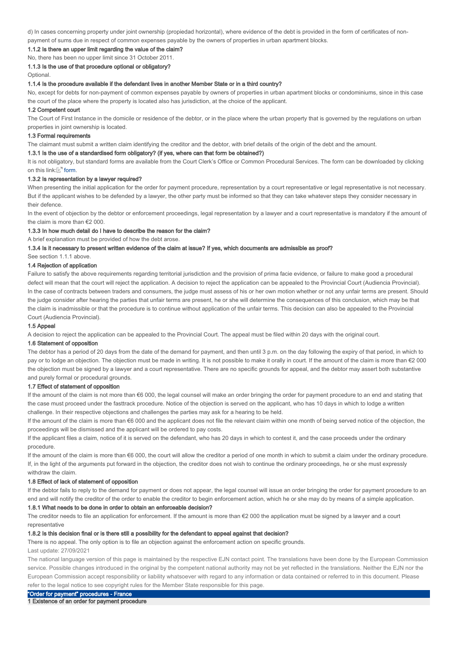d) In cases concerning property under joint ownership (propiedad horizontal), where evidence of the debt is provided in the form of certificates of nonpayment of sums due in respect of common expenses payable by the owners of properties in urban apartment blocks.

1.1.2 Is there an upper limit regarding the value of the claim?

No, there has been no upper limit since 31 October 2011.

1.1.3 Is the use of that procedure optional or obligatory?

Optional.

#### 1.1.4 Is the procedure available if the defendant lives in another Member State or in a third country?

No, except for debts for non-payment of common expenses payable by owners of properties in urban apartment blocks or condominiums, since in this case the court of the place where the property is located also has jurisdiction, at the choice of the applicant.

#### 1.2 Competent court

The Court of First Instance in the domicile or residence of the debtor, or in the place where the urban property that is governed by the regulations on urban properties in joint ownership is located.

#### 1.3 Formal requirements

The claimant must submit a written claim identifying the creditor and the debtor, with brief details of the origin of the debt and the amount.

### 1.3.1 Is the use of a standardised form obligatory? (if yes, where can that form be obtained?)

It is not obligatory, but standard forms are available from the Court Clerk's Office or Common Procedural Services. The form can be downloaded by clicking on this link: $\mathbb{E}^{\prime}$  form.

#### 1.3.2 Is representation by a lawyer required?

When presenting the initial application for the order for payment procedure, representation by a court representative or legal representative is not necessary. But if the applicant wishes to be defended by a lawyer, the other party must be informed so that they can take whatever steps they consider necessary in their defence.

In the event of objection by the debtor or enforcement proceedings, legal representation by a lawyer and a court representative is mandatory if the amount of the claim is more than €2 000.

### 1.3.3 In how much detail do I have to describe the reason for the claim?

A brief explanation must be provided of how the debt arose.

### 1.3.4 Is it necessary to present written evidence of the claim at issue? If yes, which documents are admissible as proof?

See section 1.1.1 above.

### 1.4 Rejection of application

Failure to satisfy the above requirements regarding territorial jurisdiction and the provision of prima facie evidence, or failure to make good a procedural defect will mean that the court will reject the application. A decision to reject the application can be appealed to the Provincial Court (Audiencia Provincial). In the case of contracts between traders and consumers, the judge must assess of his or her own motion whether or not any unfair terms are present. Should the judge consider after hearing the parties that unfair terms are present, he or she will determine the consequences of this conclusion, which may be that the claim is inadmissible or that the procedure is to continue without application of the unfair terms. This decision can also be appealed to the Provincial Court (Audiencia Provincial).

#### 1.5 Appeal

A decision to reject the application can be appealed to the Provincial Court. The appeal must be filed within 20 days with the original court.

### 1.6 Statement of opposition

The debtor has a period of 20 days from the date of the demand for payment, and then until 3 p.m. on the day following the expiry of that period, in which to pay or to lodge an objection. The objection must be made in writing. It is not possible to make it orally in court. If the amount of the claim is more than €2 000 the objection must be signed by a lawyer and a court representative. There are no specific grounds for appeal, and the debtor may assert both substantive and purely formal or procedural grounds.

### 1.7 Effect of statement of opposition

If the amount of the claim is not more than €6 000, the legal counsel will make an order bringing the order for payment procedure to an end and stating that the case must proceed under the fasttrack procedure. Notice of the objection is served on the applicant, who has 10 days in which to lodge a written challenge. In their respective objections and challenges the parties may ask for a hearing to be held.

If the amount of the claim is more than €6 000 and the applicant does not file the relevant claim within one month of being served notice of the objection, the proceedings will be dismissed and the applicant will be ordered to pay costs.

If the applicant files a claim, notice of it is served on the defendant, who has 20 days in which to contest it, and the case proceeds under the ordinary procedure.

If the amount of the claim is more than €6 000, the court will allow the creditor a period of one month in which to submit a claim under the ordinary procedure. If, in the light of the arguments put forward in the objection, the creditor does not wish to continue the ordinary proceedings, he or she must expressly withdraw the claim.

#### 1.8 Effect of lack of statement of opposition

If the debtor fails to reply to the demand for payment or does not appear, the legal counsel will issue an order bringing the order for payment procedure to an end and will notify the creditor of the order to enable the creditor to begin enforcement action, which he or she may do by means of a simple application.

#### 1.8.1 What needs to be done in order to obtain an enforceable decision?

The creditor needs to file an application for enforcement. If the amount is more than €2 000 the application must be signed by a lawyer and a court representative

### 1.8.2 Is this decision final or is there still a possibility for the defendant to appeal against that decision?

There is no appeal. The only option is to file an objection against the enforcement action on specific grounds.

### Last update: 27/09/2021

The national language version of this page is maintained by the respective EJN contact point. The translations have been done by the European Commission service. Possible changes introduced in the original by the competent national authority may not be yet reflected in the translations. Neither the EJN nor the European Commission accept responsibility or liability whatsoever with regard to any information or data contained or referred to in this document. Please refer to the legal notice to see copyright rules for the Member State responsible for this page.

"Order for payment" procedures - France

1 Existence of an order for payment procedure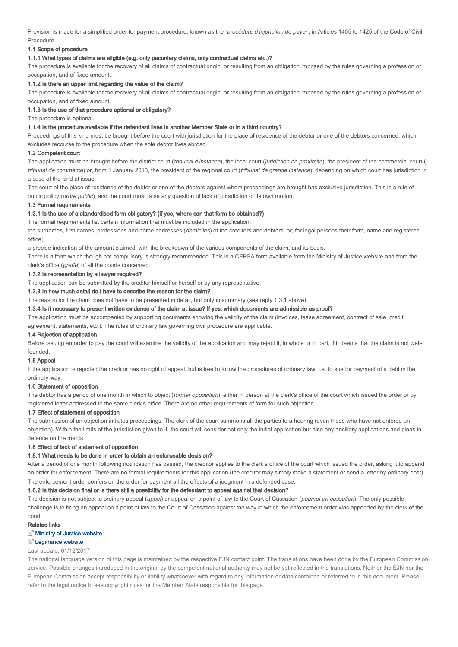Provision is made for a simplified order for payment procedure, known as the 'procédure d'injonction de payer', in Articles 1405 to 1425 of the Code of Civil **Procedure** 

### 1.1 Scope of procedure

#### 1.1.1 What types of claims are eligible (e.g. only pecuniary claims, only contractual claims etc.)?

The procedure is available for the recovery of all claims of contractual origin, or resulting from an obligation imposed by the rules governing a profession or occupation, and of fixed amount.

#### 1.1.2 Is there an upper limit regarding the value of the claim?

The procedure is available for the recovery of all claims of contractual origin, or resulting from an obligation imposed by the rules governing a profession or occupation, and of fixed amount.

### 1.1.3 Is the use of that procedure optional or obligatory?

The procedure is optional.

#### 1.1.4 Is the procedure available if the defendant lives in another Member State or in a third country?

Proceedings of this kind must be brought before the court with jurisdiction for the place of residence of the debtor or one of the debtors concerned, which excludes recourse to the procedure when the sole debtor lives abroad.

#### 1.2 Competent court

The application must be brought before the district court (tribunal d'instance), the local court (juridiction de proximité), the president of the commercial court ( tribunal de commerce) or, from 1 January 2013, the president of the regional court (tribunal de grande instance), depending on which court has jurisdiction in a case of the kind at issue.

The court of the place of residence of the debtor or one of the debtors against whom proceedings are brought has exclusive jurisdiction. This is a rule of public policy (ordre public), and the court must raise any question of lack of jurisdiction of its own motion.

### 1.3 Formal requirements

### 1.3.1 Is the use of a standardised form obligatory? (if yes, where can that form be obtained?)

The formal requirements list certain information that must be included in the application:

the surnames, first names, professions and home addresses (domiciles) of the creditors and debtors, or, for legal persons their form, name and registered office;

a precise indication of the amount claimed, with the breakdown of the various components of the claim, and its basis.

There is a form which though not compulsory is strongly recommended. This is a CERFA form available from the Ministry of Justice website and from the clerk's office (greffe) of all the courts concerned.

#### 1.3.2 Is representation by a lawyer required?

The application can be submitted by the creditor himself or herself or by any representative.

### 1.3.3 In how much detail do I have to describe the reason for the claim?

The reason for the claim does not have to be presented in detail, but only in summary (see reply 1.3.1 above).

### 1.3.4 Is it necessary to present written evidence of the claim at issue? If yes, which documents are admissible as proof?

The application must be accompanied by supporting documents showing the validity of the claim (invoices, lease agreement, contract of sale, credit

agreement, statements, etc.). The rules of ordinary law governing civil procedure are applicable.

### 1.4 Rejection of application

Before issuing an order to pay the court will examine the validity of the application and may reject it, in whole or in part, if it deems that the claim is not wellfounded.

### 1.5 Appeal

If the application is rejected the creditor has no right of appeal, but is free to follow the procedures of ordinary law, i.e. to sue for payment of a debt in the ordinary way.

#### 1.6 Statement of opposition

The debtor has a period of one month in which to object (former opposition), either in person at the clerk's office of the court which issued the order or by registered letter addressed to the same clerk's office. There are no other requirements of form for such objection .

### 1.7 Effect of statement of opposition

The submission of an objection initiates proceedings. The clerk of the court summons all the parties to a hearing (even those who have not entered an objection). Within the limits of the jurisdiction given to it, the court will consider not only the initial application but also any ancillary applications and pleas in defence on the merits.

#### 1.8 Effect of lack of statement of opposition

#### 1.8.1 What needs to be done in order to obtain an enforceable decision?

After a period of one month following notification has passed, the creditor applies to the clerk's office of the court which issued the order, asking it to append an order for enforcement. There are no formal requirements for this application (the creditor may simply make a statement or send a letter by ordinary post). The enforcement order confers on the order for payment all the effects of a judgment in a defended case.

### 1.8.2 Is this decision final or is there still a possibility for the defendant to appeal against that decision?

The decision is not subject to ordinary appeal (appel) or appeal on a point of law to the Court of Cassation (pourvoi en cassation). The only possible challenge is to bring an appeal on a point of law to the Court of Cassation against the way in which the enforcement order was appended by the clerk of the court.

### Related links

#### **Ministry of Justice website**

#### Legifrance website

#### Last update: 01/12/2017

The national language version of this page is maintained by the respective EJN contact point. The translations have been done by the European Commission service. Possible changes introduced in the original by the competent national authority may not be yet reflected in the translations. Neither the EJN nor the European Commission accept responsibility or liability whatsoever with regard to any information or data contained or referred to in this document. Please refer to the legal notice to see copyright rules for the Member State responsible for this page.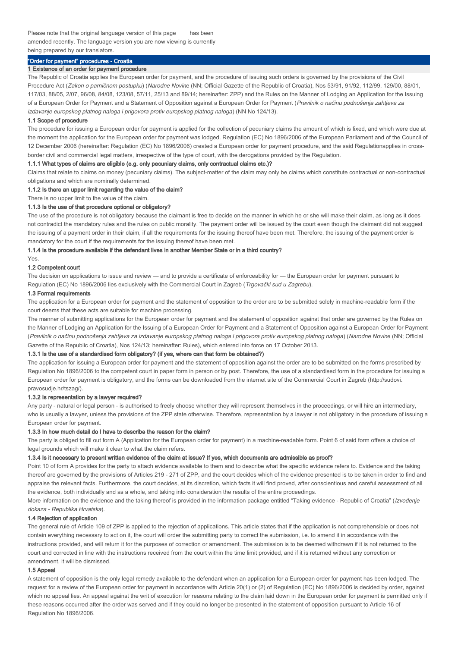Please note that the original language version of this page has been amended recently. The language version you are now viewing is currently being prepared by our translators.

# "Order for payment" procedures - Croatia

#### 1 Existence of an order for payment procedure

The Republic of Croatia applies the European order for payment, and the procedure of issuing such orders is governed by the provisions of the Civil Procedure Act (Zakon o parničnom postupku) (Narodne Novine (NN; Official Gazette of the Republic of Croatia), Nos 53/91, 91/92, 112/99, 129/00, 88/01, 117/03, 88/05, 2/07, 96/08, 84/08, 123/08, 57/11, 25/13 and 89/14; hereinafter: ZPP) and the Rules on the Manner of Lodging an Application for the Issuing of a European Order for Payment and a Statement of Opposition against a European Order for Payment (Pravilnik o načinu podnošenja zahtjeva za izdavanje europskog platnog naloga i prigovora protiv europskog platnog naloga) (NN No 124/13).

#### 1.1 Scope of procedure

The procedure for issuing a European order for payment is applied for the collection of pecuniary claims the amount of which is fixed, and which were due at the moment the application for the European order for payment was lodged. Regulation (EC) No 1896/2006 of the European Parliament and of the Council of 12 December 2006 (hereinafter: Regulation (EC) No 1896/2006) created a European order for payment procedure, and the said Regulationapplies in crossborder civil and commercial legal matters, irrespective of the type of court, with the derogations provided by the Regulation.

### 1.1.1 What types of claims are eligible (e.g. only pecuniary claims, only contractual claims etc.)?

Claims that relate to claims on money (pecuniary claims). The subject-matter of the claim may only be claims which constitute contractual or non-contractual obligations and which are nominally determined.

### 1.1.2 Is there an upper limit regarding the value of the claim?

There is no upper limit to the value of the claim.

### 1.1.3 Is the use of that procedure optional or obligatory?

The use of the procedure is not obligatory because the claimant is free to decide on the manner in which he or she will make their claim, as long as it does not contradict the mandatory rules and the rules on public morality. The payment order will be issued by the court even though the claimant did not suggest the issuing of a payment order in their claim, if all the requirements for the issuing thereof have been met. Therefore, the issuing of the payment order is mandatory for the court if the requirements for the issuing thereof have been met.

### 1.1.4 Is the procedure available if the defendant lives in another Member State or in a third country?

# Yes.

### 1.2 Competent court

The decision on applications to issue and review — and to provide a certificate of enforceability for — the European order for payment pursuant to Regulation (EC) No 1896/2006 lies exclusively with the Commercial Court in Zagreb (Trgovački sud u Zagrebu).

#### 1.3 Formal requirements

The application for a European order for payment and the statement of opposition to the order are to be submitted solely in machine-readable form if the court deems that these acts are suitable for machine processing.

The manner of submitting applications for the European order for payment and the statement of opposition against that order are governed by the Rules on the Manner of Lodging an Application for the Issuing of a European Order for Payment and a Statement of Opposition against a European Order for Payment (Pravilnik o načinu podnošenja zahtjeva za izdavanje europskog platnog naloga i prigovora protiv europskog platnog naloga) (Narodne Novine (NN; Official Gazette of the Republic of Croatia), Nos 124/13; hereinafter: Rules), which entered into force on 17 October 2013.

#### 1.3.1 Is the use of a standardised form obligatory? (if yes, where can that form be obtained?)

The application for issuing a European order for payment and the statement of opposition against the order are to be submitted on the forms prescribed by Regulation No 1896/2006 to the competent court in paper form in person or by post. Therefore, the use of a standardised form in the procedure for issuing a European order for payment is obligatory, and the forms can be downloaded from the internet site of the Commercial Court in Zagreb (http://sudovi. pravosudje.hr/tszag/).

#### 1.3.2 Is representation by a lawyer required?

Any party - natural or legal person - is authorised to freely choose whether they will represent themselves in the proceedings, or will hire an intermediary, who is usually a lawyer, unless the provisions of the ZPP state otherwise. Therefore, representation by a lawyer is not obligatory in the procedure of issuing a European order for payment.

### 1.3.3 In how much detail do I have to describe the reason for the claim?

The party is obliged to fill out form A (Application for the European order for payment) in a machine-readable form. Point 6 of said form offers a choice of legal grounds which will make it clear to what the claim refers.

### 1.3.4 Is it necessary to present written evidence of the claim at issue? If yes, which documents are admissible as proof?

Point 10 of form A provides for the party to attach evidence available to them and to describe what the specific evidence refers to. Evidence and the taking thereof are governed by the provisions of Articles 219 - 271 of ZPP, and the court decides which of the evidence presented is to be taken in order to find and appraise the relevant facts. Furthermore, the court decides, at its discretion, which facts it will find proved, after conscientious and careful assessment of all the evidence, both individually and as a whole, and taking into consideration the results of the entire proceedings.

More information on the evidence and the taking thereof is provided in the information package entitled "Taking evidence - Republic of Croatia" (Izvođenje dokaza - Republika Hrvatska).

### 1.4 Rejection of application

The general rule of Article 109 of ZPP is applied to the rejection of applications. This article states that if the application is not comprehensible or does not contain everything necessary to act on it, the court will order the submitting party to correct the submission, i.e. to amend it in accordance with the instructions provided, and will return it for the purposes of correction or amendment. The submission is to be deemed withdrawn if it is not returned to the court and corrected in line with the instructions received from the court within the time limit provided, and if it is returned without any correction or amendment, it will be dismissed.

#### 1.5 Appeal

A statement of opposition is the only legal remedy available to the defendant when an application for a European order for payment has been lodged. The request for a review of the European order for payment in accordance with Article 20(1) or (2) of Regulation (EC) No 1896/2006 is decided by order, against which no appeal lies. An appeal against the writ of execution for reasons relating to the claim laid down in the European order for payment is permitted only if these reasons occurred after the order was served and if they could no longer be presented in the statement of opposition pursuant to Article 16 of Regulation No 1896/2006.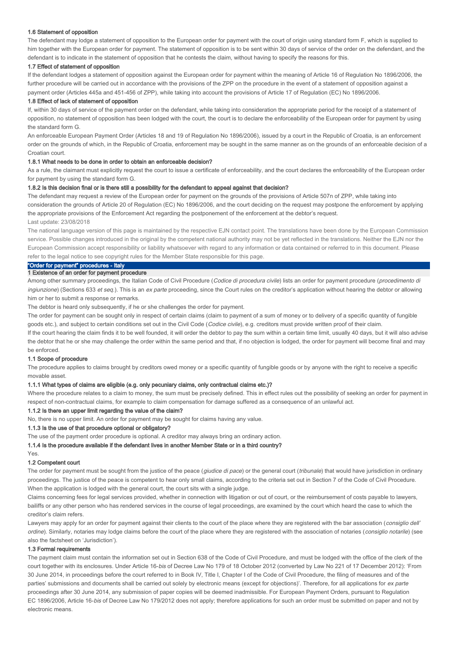### 1.6 Statement of opposition

The defendant may lodge a statement of opposition to the European order for payment with the court of origin using standard form F, which is supplied to him together with the European order for payment. The statement of opposition is to be sent within 30 days of service of the order on the defendant, and the defendant is to indicate in the statement of opposition that he contests the claim, without having to specify the reasons for this.

### 1.7 Effect of statement of opposition

If the defendant lodges a statement of opposition against the European order for payment within the meaning of Article 16 of Regulation No 1896/2006, the further procedure will be carried out in accordance with the provisions of the ZPP on the procedure in the event of a statement of opposition against a payment order (Articles 445a and 451-456 of ZPP), while taking into account the provisions of Article 17 of Regulation (EC) No 1896/2006.

### 1.8 Effect of lack of statement of opposition

If, within 30 days of service of the payment order on the defendant, while taking into consideration the appropriate period for the receipt of a statement of opposition, no statement of opposition has been lodged with the court, the court is to declare the enforceability of the European order for payment by using the standard form G.

An enforceable European Payment Order (Articles 18 and 19 of Regulation No 1896/2006), issued by a court in the Republic of Croatia, is an enforcement order on the grounds of which, in the Republic of Croatia, enforcement may be sought in the same manner as on the grounds of an enforceable decision of a Croatian court.

### 1.8.1 What needs to be done in order to obtain an enforceable decision?

As a rule, the claimant must explicitly request the court to issue a certificate of enforceability, and the court declares the enforceability of the European order for payment by using the standard form G.

#### 1.8.2 Is this decision final or is there still a possibility for the defendant to appeal against that decision?

The defendant may request a review of the European order for payment on the grounds of the provisions of Article 507n of ZPP, while taking into consideration the grounds of Article 20 of Regulation (EC) No 1896/2006, and the court deciding on the request may postpone the enforcement by applying the appropriate provisions of the Enforcement Act regarding the postponement of the enforcement at the debtor's request. Last update: 23/08/2018

The national language version of this page is maintained by the respective EJN contact point. The translations have been done by the European Commission service. Possible changes introduced in the original by the competent national authority may not be yet reflected in the translations. Neither the EJN nor the European Commission accept responsibility or liability whatsoever with regard to any information or data contained or referred to in this document. Please refer to the legal notice to see copyright rules for the Member State responsible for this page.

### "Order for payment" procedures - Italy

### 1 Existence of an order for payment procedure

Among other summary proceedings, the Italian Code of Civil Procedure (Codice di procedura civile) lists an order for payment procedure (procedimento di ingiunzione) (Sections 633 et seg.). This is an ex parte proceeding, since the Court rules on the creditor's application without hearing the debtor or allowing him or her to submit a response or remarks.

The debtor is heard only subsequently, if he or she challenges the order for payment.

The order for payment can be sought only in respect of certain claims (claim to payment of a sum of money or to delivery of a specific quantity of fungible goods etc.), and subject to certain conditions set out in the Civil Code (Codice civile), e.g. creditors must provide written proof of their claim.

If the court hearing the claim finds it to be well founded, it will order the debtor to pay the sum within a certain time limit, usually 40 days, but it will also advise the debtor that he or she may challenge the order within the same period and that, if no objection is lodged, the order for payment will become final and may be enforced.

### 1.1 Scope of procedure

The procedure applies to claims brought by creditors owed money or a specific quantity of fungible goods or by anyone with the right to receive a specific movable asset.

### 1.1.1 What types of claims are eligible (e.g. only pecuniary claims, only contractual claims etc.)?

Where the procedure relates to a claim to money, the sum must be precisely defined. This in effect rules out the possibility of seeking an order for payment in respect of non-contractual claims, for example to claim compensation for damage suffered as a consequence of an unlawful act.

#### 1.1.2 Is there an upper limit regarding the value of the claim?

No, there is no upper limit. An order for payment may be sought for claims having any value.

# 1.1.3 Is the use of that procedure optional or obligatory?

The use of the payment order procedure is optional. A creditor may always bring an ordinary action.

1.1.4 Is the procedure available if the defendant lives in another Member State or in a third country?

# Yes.

1.2 Competent court

The order for payment must be sought from the justice of the peace (giudice di pace) or the general court (tribunale) that would have jurisdiction in ordinary proceedings. The justice of the peace is competent to hear only small claims, according to the criteria set out in Section 7 of the Code of Civil Procedure. When the application is lodged with the general court, the court sits with a single judge.

Claims concerning fees for legal services provided, whether in connection with litigation or out of court, or the reimbursement of costs payable to lawyers bailiffs or any other person who has rendered services in the course of legal proceedings, are examined by the court which heard the case to which the creditor's claim refers.

Lawyers may apply for an order for payment against their clients to the court of the place where they are registered with the bar association (consiglio dell' ordine). Similarly, notaries may lodge claims before the court of the place where they are registered with the association of notaries (consiglio notarile) (see also the factsheet on 'Jurisdiction').

### 1.3 Formal requirements

The payment claim must contain the information set out in Section 638 of the Code of Civil Procedure, and must be lodged with the office of the clerk of the court together with its enclosures. Under Article 16-bis of Decree Law No 179 of 18 October 2012 (converted by Law No 221 of 17 December 2012): 'From 30 June 2014, in proceedings before the court referred to in Book IV, Title I, Chapter I of the Code of Civil Procedure, the filing of measures and of the parties' submissions and documents shall be carried out solely by electronic means (except for objections)'. Therefore, for all applications for ex parte proceedings after 30 June 2014, any submission of paper copies will be deemed inadmissible. For European Payment Orders, pursuant to Regulation EC 1896/2006, Article 16-bis of Decree Law No 179/2012 does not apply; therefore applications for such an order must be submitted on paper and not by electronic means.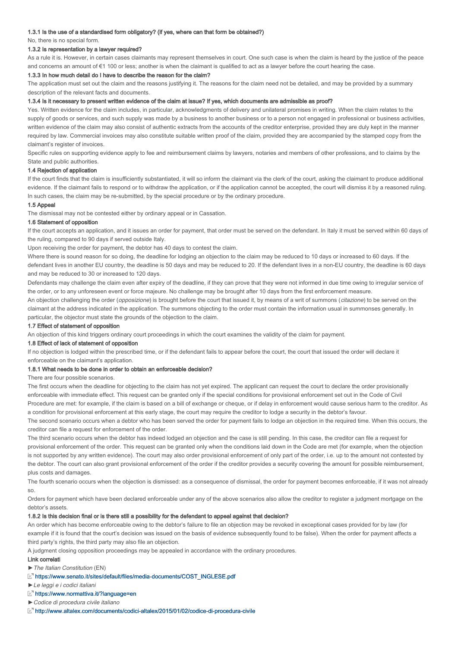#### 1.3.1 Is the use of a standardised form obligatory? (if yes, where can that form be obtained?)

No, there is no special form.

### 1.3.2 Is representation by a lawyer required?

As a rule it is. However, in certain cases claimants may represent themselves in court. One such case is when the claim is heard by the justice of the peace and concerns an amount of €1 100 or less; another is when the claimant is qualified to act as a lawyer before the court hearing the case.

#### 1.3.3 In how much detail do I have to describe the reason for the claim?

The application must set out the claim and the reasons justifying it. The reasons for the claim need not be detailed, and may be provided by a summary description of the relevant facts and documents.

#### 1.3.4 Is it necessary to present written evidence of the claim at issue? If yes, which documents are admissible as proof?

Yes. Written evidence for the claim includes, in particular, acknowledgments of delivery and unilateral promises in writing. When the claim relates to the supply of goods or services, and such supply was made by a business to another business or to a person not engaged in professional or business activities, written evidence of the claim may also consist of authentic extracts from the accounts of the creditor enterprise, provided they are duly kept in the manner required by law. Commercial invoices may also constitute suitable written proof of the claim, provided they are accompanied by the stamped copy from the claimant's register of invoices.

Specific rules on supporting evidence apply to fee and reimbursement claims by lawyers, notaries and members of other professions, and to claims by the State and public authorities.

#### 1.4 Rejection of application

If the court finds that the claim is insufficiently substantiated, it will so inform the claimant via the clerk of the court, asking the claimant to produce additional evidence. If the claimant fails to respond or to withdraw the application, or if the application cannot be accepted, the court will dismiss it by a reasoned ruling. In such cases, the claim may be re-submitted, by the special procedure or by the ordinary procedure.

### 1.5 Appeal

The dismissal may not be contested either by ordinary appeal or in Cassation.

### 1.6 Statement of opposition

If the court accepts an application, and it issues an order for payment, that order must be served on the defendant. In Italy it must be served within 60 days of the ruling, compared to 90 days if served outside Italy.

Upon receiving the order for payment, the debtor has 40 days to contest the claim.

Where there is sound reason for so doing, the deadline for lodging an objection to the claim may be reduced to 10 days or increased to 60 days. If the defendant lives in another EU country, the deadline is 50 days and may be reduced to 20. If the defendant lives in a non-EU country, the deadline is 60 days and may be reduced to 30 or increased to 120 days.

Defendants may challenge the claim even after expiry of the deadline, if they can prove that they were not informed in due time owing to irregular service of the order, or to any unforeseen event or force majeure. No challenge may be brought after 10 days from the first enforcement measure.

An objection challenging the order (*opposizione*) is brought before the court that issued it, by means of a writ of summons (*citazione*) to be served on the claimant at the address indicated in the application. The summons objecting to the order must contain the information usual in summonses generally. In particular, the objector must state the grounds of the objection to the claim.

#### 1.7 Effect of statement of opposition

An objection of this kind triggers ordinary court proceedings in which the court examines the validity of the claim for payment.

### 1.8 Effect of lack of statement of opposition

If no objection is lodged within the prescribed time, or if the defendant fails to appear before the court, the court that issued the order will declare it enforceable on the claimant's application.

#### 1.8.1 What needs to be done in order to obtain an enforceable decision?

There are four possible scenarios.

The first occurs when the deadline for objecting to the claim has not yet expired. The applicant can request the court to declare the order provisionally enforceable with immediate effect. This request can be granted only if the special conditions for provisional enforcement set out in the Code of Civil Procedure are met: for example, if the claim is based on a bill of exchange or cheque, or if delay in enforcement would cause serious harm to the creditor. As a condition for provisional enforcement at this early stage, the court may require the creditor to lodge a security in the debtor's favour.

The second scenario occurs when a debtor who has been served the order for payment fails to lodge an objection in the required time. When this occurs, the creditor can file a request for enforcement of the order.

The third scenario occurs when the debtor has indeed lodged an objection and the case is still pending. In this case, the creditor can file a request for provisional enforcement of the order. This request can be granted only when the conditions laid down in the Code are met (for example, when the objection is not supported by any written evidence). The court may also order provisional enforcement of only part of the order, i.e. up to the amount not contested by the debtor. The court can also grant provisional enforcement of the order if the creditor provides a security covering the amount for possible reimbursement, plus costs and damages.

The fourth scenario occurs when the objection is dismissed: as a consequence of dismissal, the order for payment becomes enforceable, if it was not already so.

Orders for payment which have been declared enforceable under any of the above scenarios also allow the creditor to register a judgment mortgage on the debtor's assets.

### 1.8.2 Is this decision final or is there still a possibility for the defendant to appeal against that decision?

An order which has become enforceable owing to the debtor's failure to file an objection may be revoked in exceptional cases provided for by law (for example if it is found that the court's decision was issued on the basis of evidence subsequently found to be false). When the order for payment affects a third party's rights, the third party may also file an objection.

A judgment closing opposition proceedings may be appealed in accordance with the ordinary procedures.

### Link correlati

►The Italian Constitution (EN)

- https://www.senato.it/sites/default/files/media-documents/COST\_INGLESE.pdf
- ►Le leggi e i codici italiani
- https://www.normattiva.it/?language=en
- ►Codice di procedura civile italiano

http://www.altalex.com/documents/codici-altalex/2015/01/02/codice-di-procedura-civile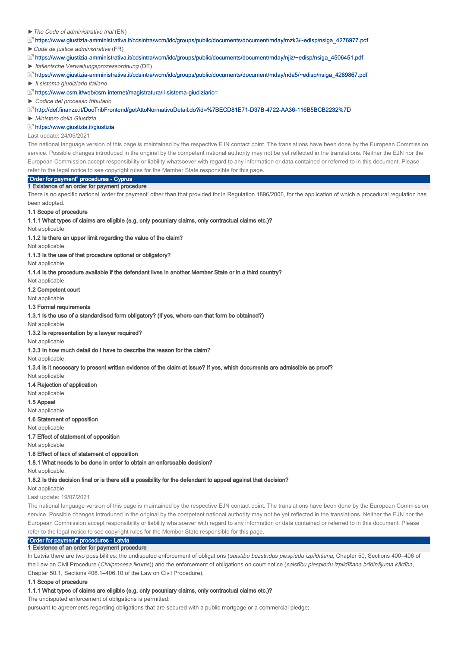#### ►The Code of administrative trial (EN)

https://www.giustizia-amministrativa.it/cdsintra/wcm/idc/groups/public/documents/document/mday/mzk3/~edisp/nsiga\_4276977.pdf

►Code de justice administrative (FR)

 $E^{\pi}$ https://www.giustizia-amministrativa.it/cdsintra/wcm/idc/groups/public/documents/document/mday/njiz/~edisp/nsiga\_4506451.pdf

► Italienische Verwaltungsprozessordnung (DE)

https://www.giustizia-amministrativa.it/cdsintra/wcm/idc/groups/public/documents/document/mday/nda5/~edisp/nsiga\_4289867.pdf

► Il sistema giudiziario italiano

https://www.csm.it/web/csm-internet/magistratura/il-sistema-giudiziario= https://www.csm.it/web/csm-internet/magistratura/il-sistema-giudiziario

► Codice del processo tributario

http://def.finanze.it/DocTribFrontend/getAttoNormativoDetail.do?id=%7BECD81E71-D37B-4722-AA36-116B5BCB2232%7D

► Ministero della Giustizia

#### https://www.giustizia.it/giustizia

Last update: 24/05/2021

The national language version of this page is maintained by the respective EJN contact point. The translations have been done by the European Commission service. Possible changes introduced in the original by the competent national authority may not be yet reflected in the translations. Neither the EJN nor the European Commission accept responsibility or liability whatsoever with regard to any information or data contained or referred to in this document. Please refer to the legal notice to see copyright rules for the Member State responsible for this page.

# "Order for payment" procedures - Cyprus

1 Existence of an order for payment procedure

There is no specific national 'order for payment' other than that provided for in Regulation 1896/2006, for the application of which a procedural regulation has been adopted.

#### 1.1 Scope of procedure

### 1.1.1 What types of claims are eligible (e.g. only pecuniary claims, only contractual claims etc.)?

Not applicable.

1.1.2 Is there an upper limit regarding the value of the claim?

Not applicable.

1.1.3 Is the use of that procedure optional or obligatory?

Not applicable.

1.1.4 Is the procedure available if the defendant lives in another Member State or in a third country?

Not applicable.

1.2 Competent court

Not applicable.

### 1.3 Formal requirements

1.3.1 Is the use of a standardised form obligatory? (if yes, where can that form be obtained?)

Not applicable.

1.3.2 Is representation by a lawyer required?

Not applicable.

1.3.3 In how much detail do I have to describe the reason for the claim?

Not applicable.

1.3.4 Is it necessary to present written evidence of the claim at issue? If yes, which documents are admissible as proof?

Not applicable.

1.4 Rejection of application Not applicable.

1.5 Appeal

Not applicable.

1.6 Statement of opposition

Not applicable.

1.7 Effect of statement of opposition

Not applicable.

1.8 Effect of lack of statement of opposition

1.8.1 What needs to be done in order to obtain an enforceable decision?

Not applicable

1.8.2 Is this decision final or is there still a possibility for the defendant to appeal against that decision?

Not applicable.

Last update: 19/07/2021

The national language version of this page is maintained by the respective EJN contact point. The translations have been done by the European Commission service. Possible changes introduced in the original by the competent national authority may not be yet reflected in the translations. Neither the EJN nor the European Commission accept responsibility or liability whatsoever with regard to any information or data contained or referred to in this document. Please refer to the legal notice to see copyright rules for the Member State responsible for this page.

# "Order for payment" procedures - Latvia

#### 1 Existence of an order for payment procedure

In Latvia there are two possibilities: the undisputed enforcement of obligations (saistību bezstrīdus piespiedu izpildīšana, Chapter 50, Sections 400-406 of the Law on Civil Procedure (Civilprocesa likums)) and the enforcement of obligations on court notice (saistību piespiedu izpildīšana brīdinājuma kārtība, Chapter 50.1, Sections 406.1–406.10 of the Law on Civil Procedure).

### 1.1 Scope of procedure

#### 1.1.1 What types of claims are eligible (e.g. only pecuniary claims, only contractual claims etc.)?

The undisputed enforcement of obligations is permitted:

pursuant to agreements regarding obligations that are secured with a public mortgage or a commercial pledge;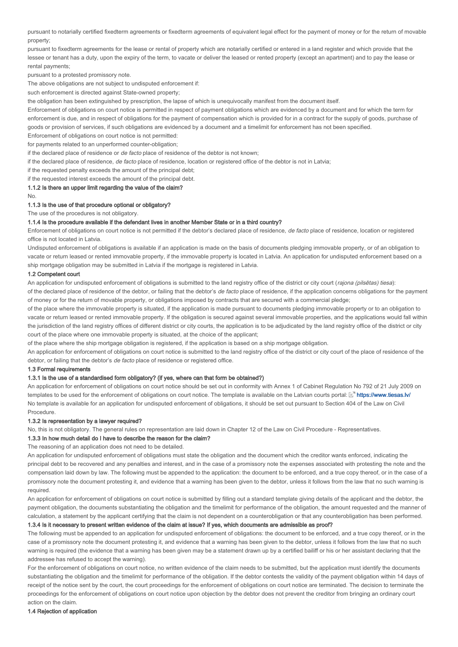pursuant to notarially certified fixedterm agreements or fixedterm agreements of equivalent legal effect for the payment of money or for the return of movable property;

pursuant to fixedterm agreements for the lease or rental of property which are notarially certified or entered in a land register and which provide that the lessee or tenant has a duty, upon the expiry of the term, to vacate or deliver the leased or rented property (except an apartment) and to pay the lease or rental payments;

pursuant to a protested promissory note.

The above obligations are not subject to undisputed enforcement if:

such enforcement is directed against State-owned property;

the obligation has been extinguished by prescription, the lapse of which is unequivocally manifest from the document itself.

Enforcement of obligations on court notice is permitted in respect of payment obligations which are evidenced by a document and for which the term for enforcement is due, and in respect of obligations for the payment of compensation which is provided for in a contract for the supply of goods, purchase of goods or provision of services, if such obligations are evidenced by a document and a timelimit for enforcement has not been specified.

Enforcement of obligations on court notice is not permitted: for payments related to an unperformed counter-obligation;

if the declared place of residence or de facto place of residence of the debtor is not known;

if the declared place of residence, de facto place of residence, location or registered office of the debtor is not in Latvia;

if the requested penalty exceeds the amount of the principal debt;

if the requested interest exceeds the amount of the principal debt.

1.1.2 Is there an upper limit regarding the value of the claim?

No.

#### 1.1.3 Is the use of that procedure optional or obligatory?

The use of the procedures is not obligatory.

### 1.1.4 Is the procedure available if the defendant lives in another Member State or in a third country?

Enforcement of obligations on court notice is not permitted if the debtor's declared place of residence, de facto place of residence, location or registered office is not located in Latvia.

Undisputed enforcement of obligations is available if an application is made on the basis of documents pledging immovable property, or of an obligation to vacate or return leased or rented immovable property, if the immovable property is located in Latvia. An application for undisputed enforcement based on a ship mortgage obligation may be submitted in Latvia if the mortgage is registered in Latvia.

#### 1.2 Competent court

An application for undisputed enforcement of obligations is submitted to the land registry office of the district or city court (rajona (pilsētas) tiesa):

of the declared place of residence of the debtor, or failing that the debtor's de facto place of residence, if the application concerns obligations for the payment of money or for the return of movable property, or obligations imposed by contracts that are secured with a commercial pledge;

of the place where the immovable property is situated, if the application is made pursuant to documents pledging immovable property or to an obligation to vacate or return leased or rented immovable property. If the obligation is secured against several immovable properties, and the applications would fall within the jurisdiction of the land registry offices of different district or city courts, the application is to be adjudicated by the land registry office of the district or city court of the place where one immovable property is situated, at the choice of the applicant;

of the place where the ship mortgage obligation is registered, if the application is based on a ship mortgage obligation.

An application for enforcement of obligations on court notice is submitted to the land registry office of the district or city court of the place of residence of the debtor, or failing that the debtor's *de facto* place of residence or registered office.

### 1.3 Formal requirements

### 1.3.1 Is the use of a standardised form obligatory? (if yes, where can that form be obtained?)

An application for enforcement of obligations on court notice should be set out in conformity with Annex 1 of Cabinet Regulation No 792 of 21 July 2009 on templates to be used for the enforcement of obligations on court notice. The template is available on the Latvian courts portal:  $\mathbb{E}^n$  https://www.tiesas.lv/ No template is available for an application for undisputed enforcement of obligations, it should be set out pursuant to Section 404 of the Law on Civil Procedure.

#### 1.3.2 Is representation by a lawyer required?

No, this is not obligatory. The general rules on representation are laid down in Chapter 12 of the Law on Civil Procedure - Representatives.

### 1.3.3 In how much detail do I have to describe the reason for the claim?

The reasoning of an application does not need to be detailed.

An application for undisputed enforcement of obligations must state the obligation and the document which the creditor wants enforced, indicating the principal debt to be recovered and any penalties and interest, and in the case of a promissory note the expenses associated with protesting the note and the compensation laid down by law. The following must be appended to the application: the document to be enforced, and a true copy thereof, or in the case of a promissory note the document protesting it, and evidence that a warning has been given to the debtor, unless it follows from the law that no such warning is required.

An application for enforcement of obligations on court notice is submitted by filling out a standard template giving details of the applicant and the debtor, the payment obligation, the documents substantiating the obligation and the timelimit for performance of the obligation, the amount requested and the manner of calculation, a statement by the applicant certifying that the claim is not dependent on a counterobligation or that any counterobligation has been performed.

# 1.3.4 Is it necessary to present written evidence of the claim at issue? If yes, which documents are admissible as proof?

The following must be appended to an application for undisputed enforcement of obligations: the document to be enforced, and a true copy thereof, or in the case of a promissory note the document protesting it, and evidence that a warning has been given to the debtor, unless it follows from the law that no such warning is required (the evidence that a warning has been given may be a statement drawn up by a certified bailiff or his or her assistant declaring that the addressee has refused to accept the warning).

For the enforcement of obligations on court notice, no written evidence of the claim needs to be submitted, but the application must identify the documents substantiating the obligation and the timelimit for performance of the obligation. If the debtor contests the validity of the payment obligation within 14 days of receipt of the notice sent by the court, the court proceedings for the enforcement of obligations on court notice are terminated. The decision to terminate the proceedings for the enforcement of obligations on court notice upon objection by the debtor does not prevent the creditor from bringing an ordinary court action on the claim.

1.4 Rejection of application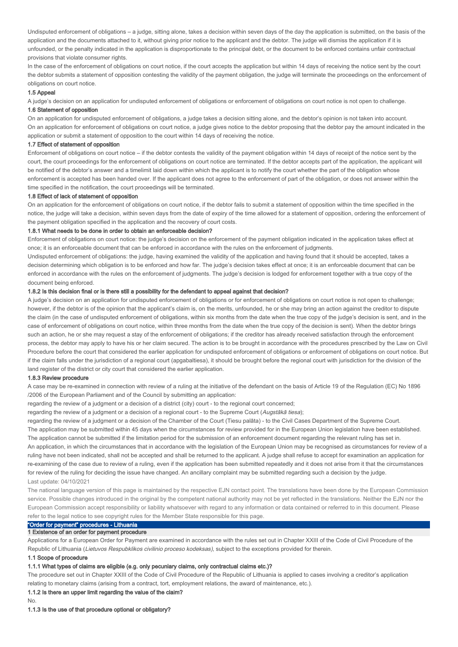Undisputed enforcement of obligations – a judge, sitting alone, takes a decision within seven days of the day the application is submitted, on the basis of the application and the documents attached to it, without giving prior notice to the applicant and the debtor. The judge will dismiss the application if it is unfounded, or the penalty indicated in the application is disproportionate to the principal debt, or the document to be enforced contains unfair contractual provisions that violate consumer rights.

In the case of the enforcement of obligations on court notice, if the court accepts the application but within 14 days of receiving the notice sent by the court the debtor submits a statement of opposition contesting the validity of the payment obligation, the judge will terminate the proceedings on the enforcement of obligations on court notice.

#### 1.5 Appeal

A judge's decision on an application for undisputed enforcement of obligations or enforcement of obligations on court notice is not open to challenge.

#### 1.6 Statement of opposition

On an application for undisputed enforcement of obligations, a judge takes a decision sitting alone, and the debtor's opinion is not taken into account. On an application for enforcement of obligations on court notice, a judge gives notice to the debtor proposing that the debtor pay the amount indicated in the application or submit a statement of opposition to the court within 14 days of receiving the notice.

#### 1.7 Effect of statement of opposition

Enforcement of obligations on court notice – if the debtor contests the validity of the payment obligation within 14 days of receipt of the notice sent by the court, the court proceedings for the enforcement of obligations on court notice are terminated. If the debtor accepts part of the application, the applicant will be notified of the debtor's answer and a timelimit laid down within which the applicant is to notify the court whether the part of the obligation whose enforcement is accepted has been handed over. If the applicant does not agree to the enforcement of part of the obligation, or does not answer within the time specified in the notification, the court proceedings will be terminated.

#### 1.8 Effect of lack of statement of opposition

On an application for the enforcement of obligations on court notice, if the debtor fails to submit a statement of opposition within the time specified in the notice, the judge will take a decision, within seven days from the date of expiry of the time allowed for a statement of opposition, ordering the enforcement of the payment obligation specified in the application and the recovery of court costs.

### 1.8.1 What needs to be done in order to obtain an enforceable decision?

Enforcement of obligations on court notice: the judge's decision on the enforcement of the payment obligation indicated in the application takes effect at once; it is an enforceable document that can be enforced in accordance with the rules on the enforcement of judgments.

Undisputed enforcement of obligations: the judge, having examined the validity of the application and having found that it should be accepted, takes a decision determining which obligation is to be enforced and how far. The judge's decision takes effect at once; it is an enforceable document that can be enforced in accordance with the rules on the enforcement of judgments. The judge's decision is lodged for enforcement together with a true copy of the document being enforced.

### 1.8.2 Is this decision final or is there still a possibility for the defendant to appeal against that decision?

A judge's decision on an application for undisputed enforcement of obligations or for enforcement of obligations on court notice is not open to challenge; however, if the debtor is of the opinion that the applicant's claim is, on the merits, unfounded, he or she may bring an action against the creditor to dispute the claim (in the case of undisputed enforcement of obligations, within six months from the date when the true copy of the judge's decision is sent, and in the case of enforcement of obligations on court notice, within three months from the date when the true copy of the decision is sent). When the debtor brings such an action, he or she may request a stay of the enforcement of obligations; if the creditor has already received satisfaction through the enforcement process, the debtor may apply to have his or her claim secured. The action is to be brought in accordance with the procedures prescribed by the Law on Civil Procedure before the court that considered the earlier application for undisputed enforcement of obligations or enforcement of obligations on court notice. But if the claim falls under the jurisdiction of a regional court (apgabaltiesa), it should be brought before the regional court with jurisdiction for the division of the land register of the district or city court that considered the earlier application.

#### 1.8.3 Review procedure

A case may be re-examined in connection with review of a ruling at the initiative of the defendant on the basis of Article 19 of the Regulation (EC) No 1896 /2006 of the European Parliament and of the Council by submitting an application:

regarding the review of a judgment or a decision of a district (city) court - to the regional court concerned;

regarding the review of a judgment or a decision of a regional court - to the Supreme Court (Augstākā tiesa);

The application may be submitted within 45 days when the circumstances for review provided for in the European Union legislation have been established. The application cannot be submitted if the limitation period for the submission of an enforcement document regarding the relevant ruling has set in. An application, in which the circumstances that in accordance with the legislation of the European Union may be recognised as circumstances for review of a ruling have not been indicated, shall not be accepted and shall be returned to the applicant. A judge shall refuse to accept for examination an application for re-examining of the case due to review of a ruling, even if the application has been submitted repeatedly and it does not arise from it that the circumstances for review of the ruling for deciding the issue have changed. An ancillary complaint may be submitted regarding such a decision by the judge. regarding the review of a judgment or a decision of the Chamber of the Court (Tiesu palāta) - to the Civil Cases Department of the Supreme Court. Last update: 04/10/2021

The national language version of this page is maintained by the respective EJN contact point. The translations have been done by the European Commission service. Possible changes introduced in the original by the competent national authority may not be yet reflected in the translations. Neither the EJN nor the European Commission accept responsibility or liability whatsoever with regard to any information or data contained or referred to in this document. Please refer to the legal notice to see copyright rules for the Member State responsible for this page.

# "Order for payment" procedures - Lithuania

### 1 Existence of an order for payment procedure

Applications for a European Order for Payment are examined in accordance with the rules set out in Chapter XXIII of the Code of Civil Procedure of the Republic of Lithuania (Lietuvos Respubklikos civilinio proceso kodeksas), subject to the exceptions provided for therein.

### 1.1 Scope of procedure

### 1.1.1 What types of claims are eligible (e.g. only pecuniary claims, only contractual claims etc.)?

The procedure set out in Chapter XXIII of the Code of Civil Procedure of the Republic of Lithuania is applied to cases involving a creditor's application relating to monetary claims (arising from a contract, tort, employment relations, the award of maintenance, etc.).

### 1.1.2 Is there an upper limit regarding the value of the claim?

No.

### 1.1.3 Is the use of that procedure optional or obligatory?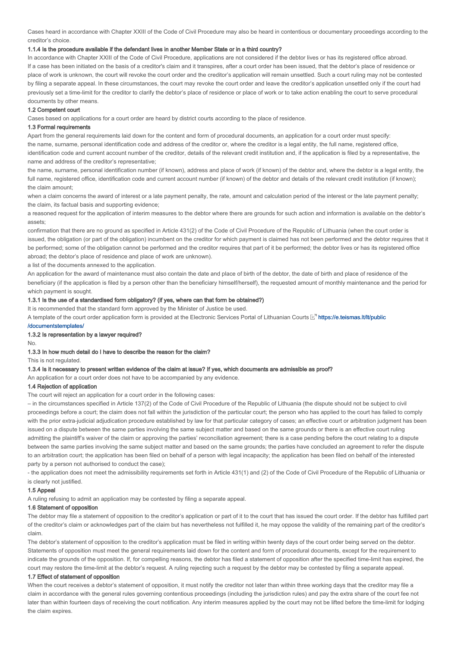Cases heard in accordance with Chapter XXIII of the Code of Civil Procedure may also be heard in contentious or documentary proceedings according to the creditor's choice.

### 1.1.4 Is the procedure available if the defendant lives in another Member State or in a third country?

In accordance with Chapter XXIII of the Code of Civil Procedure, applications are not considered if the debtor lives or has its registered office abroad. If a case has been initiated on the basis of a creditor's claim and it transpires, after a court order has been issued, that the debtor's place of residence or place of work is unknown, the court will revoke the court order and the creditor's application will remain unsettled. Such a court ruling may not be contested by filing a separate appeal. In these circumstances, the court may revoke the court order and leave the creditor's application unsettled only if the court had previously set a time-limit for the creditor to clarify the debtor's place of residence or place of work or to take action enabling the court to serve procedural documents by other means.

### 1.2 Competent court

Cases based on applications for a court order are heard by district courts according to the place of residence.

#### 1.3 Formal requirements

Apart from the general requirements laid down for the content and form of procedural documents, an application for a court order must specify: the name, surname, personal identification code and address of the creditor or, where the creditor is a legal entity, the full name, registered office, identification code and current account number of the creditor, details of the relevant credit institution and, if the application is filed by a representative, the name and address of the creditor's representative;

the name, surname, personal identification number (if known), address and place of work (if known) of the debtor and, where the debtor is a legal entity, the full name, registered office, identification code and current account number (if known) of the debtor and details of the relevant credit institution (if known); the claim amount;

when a claim concerns the award of interest or a late payment penalty, the rate, amount and calculation period of the interest or the late payment penalty; the claim, its factual basis and supporting evidence;

a reasoned request for the application of interim measures to the debtor where there are grounds for such action and information is available on the debtor's assets;

confirmation that there are no ground as specified in Article 431(2) of the Code of Civil Procedure of the Republic of Lithuania (when the court order is issued, the obligation (or part of the obligation) incumbent on the creditor for which payment is claimed has not been performed and the debtor requires that it be performed; some of the obligation cannot be performed and the creditor requires that part of it be performed; the debtor lives or has its registered office abroad; the debtor's place of residence and place of work are unknown).

a list of the documents annexed to the application.

An application for the award of maintenance must also contain the date and place of birth of the debtor, the date of birth and place of residence of the beneficiary (if the application is filed by a person other than the beneficiary himself/herself), the requested amount of monthly maintenance and the period for which payment is sought.

### 1.3.1 Is the use of a standardised form obligatory? (if yes, where can that form be obtained?)

It is recommended that the standard form approved by the Minister of Justice be used.

A template of the court order application form is provided at the Electronic Services Portal of Lithuanian Courts Mutps://e.teismas.lt/lt/public

#### /documentstemplates/

### 1.3.2 Is representation by a lawyer required?

# 1.3.3 In how much detail do I have to describe the reason for the claim?

This is not regulated.

No.

#### 1.3.4 Is it necessary to present written evidence of the claim at issue? If yes, which documents are admissible as proof?

An application for a court order does not have to be accompanied by any evidence.

### 1.4 Rejection of application

The court will reject an application for a court order in the following cases:

– in the circumstances specified in Article 137(2) of the Code of Civil Procedure of the Republic of Lithuania (the dispute should not be subject to civil proceedings before a court; the claim does not fall within the jurisdiction of the particular court; the person who has applied to the court has failed to comply with the prior extra-judicial adjudication procedure established by law for that particular category of cases; an effective court or arbitration judgment has been issued on a dispute between the same parties involving the same subject matter and based on the same grounds or there is an effective court ruling admitting the plaintiff's waiver of the claim or approving the parties' reconciliation agreement; there is a case pending before the court relating to a dispute between the same parties involving the same subject matter and based on the same grounds; the parties have concluded an agreement to refer the dispute to an arbitration court; the application has been filed on behalf of a person with legal incapacity; the application has been filed on behalf of the interested party by a person not authorised to conduct the case);

- the application does not meet the admissibility requirements set forth in Article 431(1) and (2) of the Code of Civil Procedure of the Republic of Lithuania or

is clearly not justified.

### 1.5 Appeal

A ruling refusing to admit an application may be contested by filing a separate appeal.

### 1.6 Statement of opposition

The debtor may file a statement of opposition to the creditor's application or part of it to the court that has issued the court order. If the debtor has fulfilled part of the creditor's claim or acknowledges part of the claim but has nevertheless not fulfilled it, he may oppose the validity of the remaining part of the creditor's claim.

The debtor's statement of opposition to the creditor's application must be filed in writing within twenty days of the court order being served on the debtor. Statements of opposition must meet the general requirements laid down for the content and form of procedural documents, except for the requirement to indicate the grounds of the opposition. If, for compelling reasons, the debtor has filed a statement of opposition after the specified time-limit has expired, the court may restore the time-limit at the debtor's request. A ruling rejecting such a request by the debtor may be contested by filing a separate appeal.

#### 1.7 Effect of statement of opposition

When the court receives a debtor's statement of opposition, it must notify the creditor not later than within three working days that the creditor may file a claim in accordance with the general rules governing contentious proceedings (including the jurisdiction rules) and pay the extra share of the court fee not later than within fourteen days of receiving the court notification. Any interim measures applied by the court may not be lifted before the time-limit for lodging the claim expires.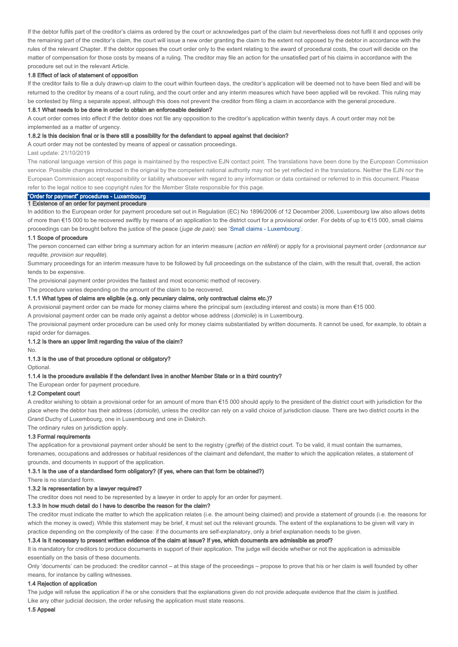If the debtor fulfils part of the creditor's claims as ordered by the court or acknowledges part of the claim but nevertheless does not fulfil it and opposes only the remaining part of the creditor's claim, the court will issue a new order granting the claim to the extent not opposed by the debtor in accordance with the rules of the relevant Chapter. If the debtor opposes the court order only to the extent relating to the award of procedural costs, the court will decide on the matter of compensation for those costs by means of a ruling. The creditor may file an action for the unsatisfied part of his claims in accordance with the procedure set out in the relevant Article.

### 1.8 Effect of lack of statement of opposition

If the creditor fails to file a duly drawn-up claim to the court within fourteen days, the creditor's application will be deemed not to have been filed and will be returned to the creditor by means of a court ruling, and the court order and any interim measures which have been applied will be revoked. This ruling may be contested by filing a separate appeal, although this does not prevent the creditor from filing a claim in accordance with the general procedure.

### 1.8.1 What needs to be done in order to obtain an enforceable decision?

A court order comes into effect if the debtor does not file any opposition to the creditor's application within twenty days. A court order may not be implemented as a matter of urgency.

### 1.8.2 Is this decision final or is there still a possibility for the defendant to appeal against that decision?

A court order may not be contested by means of appeal or cassation proceedings.

Last update: 21/10/2019

The national language version of this page is maintained by the respective EJN contact point. The translations have been done by the European Commission service. Possible changes introduced in the original by the competent national authority may not be yet reflected in the translations. Neither the EJN nor the European Commission accept responsibility or liability whatsoever with regard to any information or data contained or referred to in this document. Please refer to the legal notice to see copyright rules for the Member State responsible for this page.

### "Order for payment" procedures - Luxembourg 1 Existence of an order for payment procedure

In addition to the European order for payment procedure set out in Regulation (EC) No 1896/2006 of 12 December 2006, Luxembourg law also allows debts of more than €15 000 to be recovered swiftly by means of an application to the district court for a provisional order. For debts of up to €15 000, small claims proceedings can be brought before the justice of the peace (juge de paix): see 'Small claims - Luxembourg'.

#### 1.1 Scope of procedure

The person concerned can either bring a summary action for an interim measure (action en référé) or apply for a provisional payment order (ordonnance sur requête, provision sur requête).

Summary proceedings for an interim measure have to be followed by full proceedings on the substance of the claim, with the result that, overall, the action tends to be expensive.

The provisional payment order provides the fastest and most economic method of recovery.

The procedure varies depending on the amount of the claim to be recovered.

### 1.1.1 What types of claims are eligible (e.g. only pecuniary claims, only contractual claims etc.)?

A provisional payment order can be made for money claims where the principal sum (excluding interest and costs) is more than €15 000.

A provisional payment order can be made only against a debtor whose address (domicile) is in Luxembourg.

The provisional payment order procedure can be used only for money claims substantiated by written documents. It cannot be used, for example, to obtain a rapid order for damages.

#### 1.1.2 Is there an upper limit regarding the value of the claim?

No.

### 1.1.3 Is the use of that procedure optional or obligatory?

Optional.

#### 1.1.4 Is the procedure available if the defendant lives in another Member State or in a third country?

The European order for payment procedure.

### 1.2 Competent court

A creditor wishing to obtain a provisional order for an amount of more than €15 000 should apply to the president of the district court with jurisdiction for the place where the debtor has their address (domicile), unless the creditor can rely on a valid choice of jurisdiction clause. There are two district courts in the Grand Duchy of Luxembourg, one in Luxembourg and one in Diekirch.

The ordinary rules on jurisdiction apply.

### 1.3 Formal requirements

The application for a provisional payment order should be sent to the registry (greffe) of the district court. To be valid, it must contain the surnames, forenames, occupations and addresses or habitual residences of the claimant and defendant, the matter to which the application relates, a statement of grounds, and documents in support of the application.

#### 1.3.1 Is the use of a standardised form obligatory? (if yes, where can that form be obtained?)

There is no standard form.

#### 1.3.2 Is representation by a lawyer required?

The creditor does not need to be represented by a lawyer in order to apply for an order for payment.

### 1.3.3 In how much detail do I have to describe the reason for the claim?

The creditor must indicate the matter to which the application relates (i.e. the amount being claimed) and provide a statement of grounds (i.e. the reasons for which the money is owed). While this statement may be brief, it must set out the relevant grounds. The extent of the explanations to be given will vary in practice depending on the complexity of the case: if the documents are self-explanatory, only a brief explanation needs to be given.

#### 1.3.4 Is it necessary to present written evidence of the claim at issue? If yes, which documents are admissible as proof?

It is mandatory for creditors to produce documents in support of their application. The judge will decide whether or not the application is admissible essentially on the basis of these documents.

Only 'documents' can be produced: the creditor cannot – at this stage of the proceedings – propose to prove that his or her claim is well founded by other means, for instance by calling witnesses.

### 1.4 Rejection of application

The judge will refuse the application if he or she considers that the explanations given do not provide adequate evidence that the claim is justified. Like any other judicial decision, the order refusing the application must state reasons.

1.5 Appeal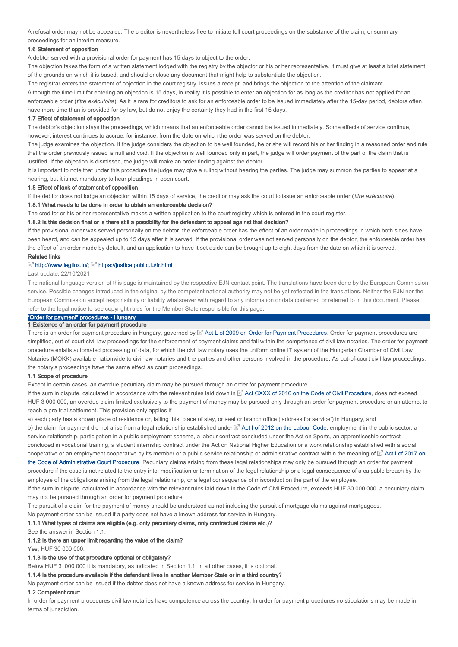A refusal order may not be appealed. The creditor is nevertheless free to initiate full court proceedings on the substance of the claim, or summary proceedings for an interim measure.

### 1.6 Statement of opposition

A debtor served with a provisional order for payment has 15 days to object to the order.

The objection takes the form of a written statement lodged with the registry by the objector or his or her representative. It must give at least a brief statement of the grounds on which it is based, and should enclose any document that might help to substantiate the objection.

The registrar enters the statement of objection in the court registry, issues a receipt, and brings the objection to the attention of the claimant.

Although the time limit for entering an objection is 15 days, in reality it is possible to enter an objection for as long as the creditor has not applied for an enforceable order (titre exécutoire). As it is rare for creditors to ask for an enforceable order to be issued immediately after the 15-day period, debtors often have more time than is provided for by law, but do not enjoy the certainty they had in the first 15 days.

#### 1.7 Effect of statement of opposition

The debtor's objection stays the proceedings, which means that an enforceable order cannot be issued immediately. Some effects of service continue, however; interest continues to accrue, for instance, from the date on which the order was served on the debtor.

The judge examines the objection. If the judge considers the objection to be well founded, he or she will record his or her finding in a reasoned order and rule that the order previously issued is null and void. If the objection is well founded only in part, the judge will order payment of the part of the claim that is justified. If the objection is dismissed, the judge will make an order finding against the debtor.

It is important to note that under this procedure the judge may give a ruling without hearing the parties. The judge may summon the parties to appear at a hearing, but it is not mandatory to hear pleadings in open court.

#### 1.8 Effect of lack of statement of opposition

If the debtor does not lodge an objection within 15 days of service, the creditor may ask the court to issue an enforceable order (titre exécutoire).

1.8.1 What needs to be done in order to obtain an enforceable decision?

The creditor or his or her representative makes a written application to the court registry which is entered in the court register.

#### 1.8.2 Is this decision final or is there still a possibility for the defendant to appeal against that decision?

If the provisional order was served personally on the debtor, the enforceable order has the effect of an order made in proceedings in which both sides have been heard, and can be appealed up to 15 days after it is served. If the provisional order was not served personally on the debtor, the enforceable order has the effect of an order made by default, and an application to have it set aside can be brought up to eight days from the date on which it is served.

### Related links

#### http://www.legilux.lu/; [ https://justice.public.lu/fr.html

Last update: 22/10/2021

The national language version of this page is maintained by the respective EJN contact point. The translations have been done by the European Commission service. Possible changes introduced in the original by the competent national authority may not be yet reflected in the translations. Neither the EJN nor the European Commission accept responsibility or liability whatsoever with regard to any information or data contained or referred to in this document. Please refer to the legal notice to see copyright rules for the Member State responsible for this page.

# "Order for payment" procedures - Hungary

### 1 Existence of an order for payment procedure

There is an order for payment procedure in Hungary, governed by  $\mathbb{E}^n$  Act L of 2009 on Order for Payment Procedures. Order for payment procedures are simplified, out-of-court civil law proceedings for the enforcement of payment claims and fall within the competence of civil law notaries. The order for payment procedure entails automated processing of data, for which the civil law notary uses the uniform online IT system of the Hungarian Chamber of Civil Law Notaries (MOKK) available nationwide to civil law notaries and the parties and other persons involved in the procedure. As out-of-court civil law proceedings, the notary's proceedings have the same effect as court proceedings.

### 1.1 Scope of procedure

Except in certain cases, an overdue pecuniary claim may be pursued through an order for payment procedure.

If the sum in dispute, calculated in accordance with the relevant rules laid down in Mand Cottler CXXX of 2016 on the Code of Civil Procedure, does not exceed HUF 3 000 000, an overdue claim limited exclusively to the payment of money may be pursued only through an order for payment procedure or an attempt to reach a pre-trial settlement. This provision only applies if

a) each party has a known place of residence or, failing this, place of stay, or seat or branch office ('address for service') in Hungary, and b) the claim for payment did not arise from a legal relationship established under ⊠ Act I of 2012 on the Labour Code, employment in the public sector, a service relationship, participation in a public employment scheme, a labour contract concluded under the Act on Sports, an apprenticeship contract concluded in vocational training, a student internship contract under the Act on National Higher Education or a work relationship established with a social cooperative or an employment cooperative by its member or a public service relationship or administrative contract within the meaning of Act I of 2017 on the Code of Administrative Court Procedure. Pecuniary claims arising from these legal relationships may only be pursued through an order for payment procedure if the case is not related to the entry into, modification or termination of the legal relationship or a legal consequence of a culpable breach by the

employee of the obligations arising from the legal relationship, or a legal consequence of misconduct on the part of the employee.

If the sum in dispute, calculated in accordance with the relevant rules laid down in the Code of Civil Procedure, exceeds HUF 30 000 000, a pecuniary claim may not be pursued through an order for payment procedure.

The pursuit of a claim for the payment of money should be understood as not including the pursuit of mortgage claims against mortgagees.

# No payment order can be issued if a party does not have a known address for service in Hungary.

1.1.1 What types of claims are eligible (e.g. only pecuniary claims, only contractual claims etc.)?

See the answer in Section 1.1.

### 1.1.2 Is there an upper limit regarding the value of the claim?

Yes, HUF 30,000,000

### 1.1.3 Is the use of that procedure optional or obligatory?

Below HUF 3 000 000 it is mandatory, as indicated in Section 1.1; in all other cases, it is optional.

### 1.1.4 Is the procedure available if the defendant lives in another Member State or in a third country?

No payment order can be issued if the debtor does not have a known address for service in Hungary.

#### 1.2 Competent court

In order for payment procedures civil law notaries have competence across the country. In order for payment procedures no stipulations may be made in terms of jurisdiction.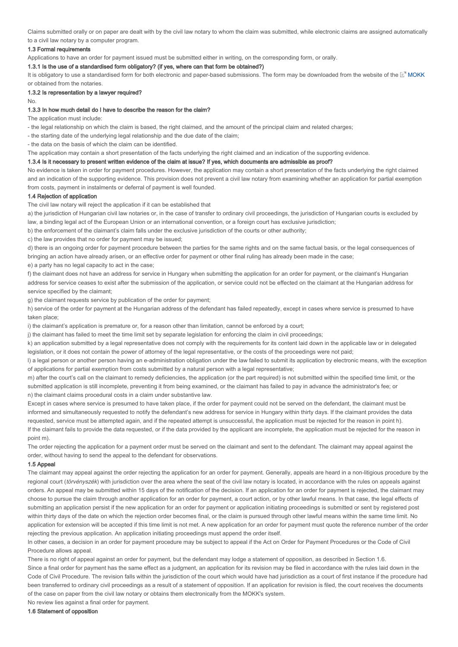Claims submitted orally or on paper are dealt with by the civil law notary to whom the claim was submitted, while electronic claims are assigned automatically to a civil law notary by a computer program.

### 1.3 Formal requirements

Applications to have an order for payment issued must be submitted either in writing, on the corresponding form, or orally.

### 1.3.1 Is the use of a standardised form obligatory? (if yes, where can that form be obtained?)

It is obligatory to use a standardised form for both electronic and paper-based submissions. The form may be downloaded from the website of the L<sup>or</sup> MOKK or obtained from the notaries.

# 1.3.2 Is representation by a lawyer required?

No.

### 1.3.3 In how much detail do I have to describe the reason for the claim?

The application must include:

- the legal relationship on which the claim is based, the right claimed, and the amount of the principal claim and related charges;

- the starting date of the underlying legal relationship and the due date of the claim;

- the data on the basis of which the claim can be identified.

The application may contain a short presentation of the facts underlying the right claimed and an indication of the supporting evidence.

### 1.3.4 Is it necessary to present written evidence of the claim at issue? If yes, which documents are admissible as proof?

No evidence is taken in order for payment procedures. However, the application may contain a short presentation of the facts underlying the right claimed and an indication of the supporting evidence. This provision does not prevent a civil law notary from examining whether an application for partial exemption from costs, payment in instalments or deferral of payment is well founded.

#### 1.4 Rejection of application

The civil law notary will reject the application if it can be established that

a) the jurisdiction of Hungarian civil law notaries or, in the case of transfer to ordinary civil proceedings, the jurisdiction of Hungarian courts is excluded by law, a binding legal act of the European Union or an international convention, or a foreign court has exclusive jurisdiction;

b) the enforcement of the claimant's claim falls under the exclusive jurisdiction of the courts or other authority;

c) the law provides that no order for payment may be issued;

d) there is an ongoing order for payment procedure between the parties for the same rights and on the same factual basis, or the legal consequences of bringing an action have already arisen, or an effective order for payment or other final ruling has already been made in the case;

e) a party has no legal capacity to act in the case;

f) the claimant does not have an address for service in Hungary when submitting the application for an order for payment, or the claimant's Hungarian address for service ceases to exist after the submission of the application, or service could not be effected on the claimant at the Hungarian address for service specified by the claimant;

g) the claimant requests service by publication of the order for payment;

h) service of the order for payment at the Hungarian address of the defendant has failed repeatedly, except in cases where service is presumed to have taken place;

i) the claimant's application is premature or, for a reason other than limitation, cannot be enforced by a court;

j) the claimant has failed to meet the time limit set by separate legislation for enforcing the claim in civil proceedings;

k) an application submitted by a legal representative does not comply with the requirements for its content laid down in the applicable law or in delegated legislation, or it does not contain the power of attorney of the legal representative, or the costs of the proceedings were not paid;

l) a legal person or another person having an e-administration obligation under the law failed to submit its application by electronic means, with the exception of applications for partial exemption from costs submitted by a natural person with a legal representative;

m) after the court's call on the claimant to remedy deficiencies, the application (or the part required) is not submitted within the specified time limit, or the submitted application is still incomplete, preventing it from being examined, or the claimant has failed to pay in advance the administrator's fee; or n) the claimant claims procedural costs in a claim under substantive law.

Except in cases where service is presumed to have taken place, if the order for payment could not be served on the defendant, the claimant must be informed and simultaneously requested to notify the defendant's new address for service in Hungary within thirty days. If the claimant provides the data requested, service must be attempted again, and if the repeated attempt is unsuccessful, the application must be rejected for the reason in point h). If the claimant fails to provide the data requested, or if the data provided by the applicant are incomplete, the application must be rejected for the reason in point m).

The order rejecting the application for a payment order must be served on the claimant and sent to the defendant. The claimant may appeal against the order, without having to send the appeal to the defendant for observations.

### 1.5 Appeal

The claimant may appeal against the order rejecting the application for an order for payment. Generally, appeals are heard in a non-litigious procedure by the regional court (törvényszék) with jurisdiction over the area where the seat of the civil law notary is located, in accordance with the rules on appeals against orders. An appeal may be submitted within 15 days of the notification of the decision. If an application for an order for payment is rejected, the claimant may choose to pursue the claim through another application for an order for payment, a court action, or by other lawful means. In that case, the legal effects of submitting an application persist if the new application for an order for payment or application initiating proceedings is submitted or sent by registered post within thirty days of the date on which the rejection order becomes final, or the claim is pursued through other lawful means within the same time limit. No application for extension will be accepted if this time limit is not met. A new application for an order for payment must quote the reference number of the order rejecting the previous application. An application initiating proceedings must append the order itself.

In other cases, a decision in an order for payment procedure may be subject to appeal if the Act on Order for Payment Procedures or the Code of Civil Procedure allows appeal.

There is no right of appeal against an order for payment, but the defendant may lodge a statement of opposition, as described in Section 1.6. Since a final order for payment has the same effect as a judgment, an application for its revision may be filed in accordance with the rules laid down in the Code of Civil Procedure. The revision falls within the iurisdiction of the court which would have had jurisdiction as a court of first instance if the procedure had been transferred to ordinary civil proceedings as a result of a statement of opposition. If an application for revision is filed, the court receives the documents of the case on paper from the civil law notary or obtains them electronically from the MOKK's system.

No review lies against a final order for payment.

1.6 Statement of opposition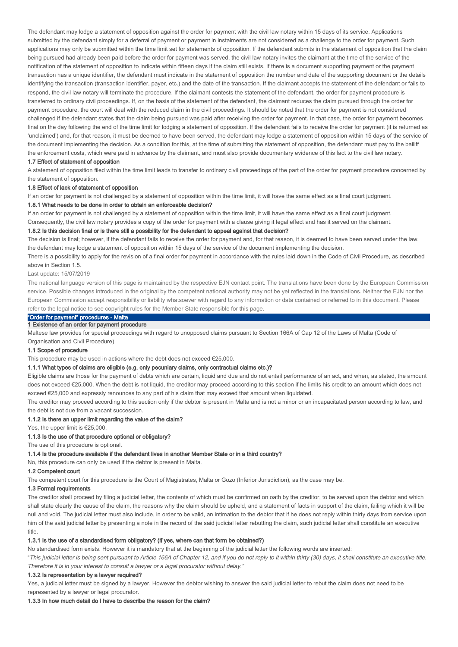The defendant may lodge a statement of opposition against the order for payment with the civil law notary within 15 days of its service. Applications submitted by the defendant simply for a deferral of payment or payment in instalments are not considered as a challenge to the order for payment. Such applications may only be submitted within the time limit set for statements of opposition. If the defendant submits in the statement of opposition that the claim being pursued had already been paid before the order for payment was served, the civil law notary invites the claimant at the time of the service of the notification of the statement of opposition to indicate within fifteen days if the claim still exists. If there is a document supporting payment or the payment transaction has a unique identifier, the defendant must indicate in the statement of opposition the number and date of the supporting document or the details identifying the transaction (transaction identifier, payer, etc.) and the date of the transaction. If the claimant accepts the statement of the defendant or fails to respond, the civil law notary will terminate the procedure. If the claimant contests the statement of the defendant, the order for payment procedure is transferred to ordinary civil proceedings. If, on the basis of the statement of the defendant, the claimant reduces the claim pursued through the order for payment procedure, the court will deal with the reduced claim in the civil proceedings. It should be noted that the order for payment is not considered challenged if the defendant states that the claim being pursued was paid after receiving the order for payment. In that case, the order for payment becomes final on the day following the end of the time limit for lodging a statement of opposition. If the defendant fails to receive the order for payment (it is returned as 'unclaimed') and, for that reason, it must be deemed to have been served, the defendant may lodge a statement of opposition within 15 days of the service of the document implementing the decision. As a condition for this, at the time of submitting the statement of opposition, the defendant must pay to the bailiff the enforcement costs, which were paid in advance by the claimant, and must also provide documentary evidence of this fact to the civil law notary.

#### 1.7 Effect of statement of opposition

A statement of opposition filed within the time limit leads to transfer to ordinary civil proceedings of the part of the order for payment procedure concerned by the statement of opposition.

#### 1.8 Effect of lack of statement of opposition

If an order for payment is not challenged by a statement of opposition within the time limit, it will have the same effect as a final court judgment.

#### 1.8.1 What needs to be done in order to obtain an enforceable decision?

If an order for payment is not challenged by a statement of opposition within the time limit, it will have the same effect as a final court judgment. Consequently, the civil law notary provides a copy of the order for payment with a clause giving it legal effect and has it served on the claimant.

### 1.8.2 Is this decision final or is there still a possibility for the defendant to appeal against that decision?

The decision is final; however, if the defendant fails to receive the order for payment and, for that reason, it is deemed to have been served under the law, the defendant may lodge a statement of opposition within 15 days of the service of the document implementing the decision.

There is a possibility to apply for the revision of a final order for payment in accordance with the rules laid down in the Code of Civil Procedure, as described above in Section 1.5.

#### Last update: 15/07/2019

The national language version of this page is maintained by the respective EJN contact point. The translations have been done by the European Commission service. Possible changes introduced in the original by the competent national authority may not be yet reflected in the translations. Neither the EJN nor the European Commission accept responsibility or liability whatsoever with regard to any information or data contained or referred to in this document. Please refer to the legal notice to see copyright rules for the Member State responsible for this page.

# "Order for payment" procedures - Malta

## 1 Existence of an order for payment procedure

Maltese law provides for special proceedings with regard to unopposed claims pursuant to Section 166A of Cap 12 of the Laws of Malta (Code of Organisation and Civil Procedure)

#### 1.1 Scope of procedure

This procedure may be used in actions where the debt does not exceed €25,000.

### 1.1.1 What types of claims are eligible (e.g. only pecuniary claims, only contractual claims etc.)?

Eligible claims are those for the payment of debts which are certain, liquid and due and do not entail performance of an act, and when, as stated, the amount does not exceed €25,000. When the debt is not liquid, the creditor may proceed according to this section if he limits his credit to an amount which does not exceed €25,000 and expressly renounces to any part of his claim that may exceed that amount when liquidated.

The creditor may proceed according to this section only if the debtor is present in Malta and is not a minor or an incapacitated person according to law, and the debt is not due from a vacant succession.

### 1.1.2 Is there an upper limit regarding the value of the claim?

Yes, the upper limit is  $€25,000$ .

### 1.1.3 Is the use of that procedure optional or obligatory?

The use of this procedure is optional.

1.1.4 Is the procedure available if the defendant lives in another Member State or in a third country?

No, this procedure can only be used if the debtor is present in Malta.

#### 1.2 Competent court

The competent court for this procedure is the Court of Magistrates, Malta or Gozo (Inferior Jurisdiction), as the case may be.

### 1.3 Formal requirements

The creditor shall proceed by filing a judicial letter, the contents of which must be confirmed on oath by the creditor, to be served upon the debtor and which shall state clearly the cause of the claim, the reasons why the claim should be upheld, and a statement of facts in support of the claim, failing which it will be null and void. The judicial letter must also include, in order to be valid, an intimation to the debtor that if he does not reply within thirty days from service upon him of the said judicial letter by presenting a note in the record of the said judicial letter rebutting the claim, such judicial letter shall constitute an executive title.

### 1.3.1 Is the use of a standardised form obligatory? (if yes, where can that form be obtained?)

No standardised form exists. However it is mandatory that at the beginning of the judicial letter the following words are inserted:

"This judicial letter is being sent pursuant to Article 166A of Chapter 12, and if you do not reply to it within thirty (30) days, it shall constitute an executive title. Therefore it is in your interest to consult a lawyer or a legal procurator without delay."

### 1.3.2 Is representation by a lawyer required?

Yes, a judicial letter must be signed by a lawyer. However the debtor wishing to answer the said judicial letter to rebut the claim does not need to be represented by a lawyer or legal procurator.

#### 1.3.3 In how much detail do I have to describe the reason for the claim?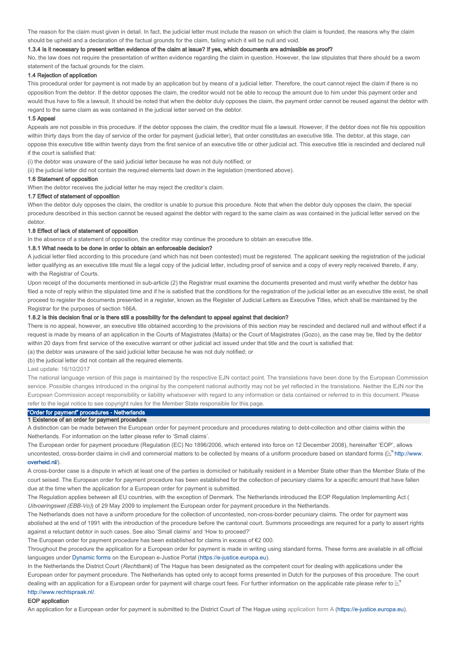The reason for the claim must given in detail. In fact, the judicial letter must include the reason on which the claim is founded, the reasons why the claim should be upheld and a declaration of the factual grounds for the claim, failing which it will be null and void.

#### 1.3.4 Is it necessary to present written evidence of the claim at issue? If yes, which documents are admissible as proof?

No, the law does not require the presentation of written evidence regarding the claim in question. However, the law stipulates that there should be a sworn statement of the factual grounds for the claim.

### 1.4 Rejection of application

This procedural order for payment is not made by an application but by means of a judicial letter. Therefore, the court cannot reject the claim if there is no opposition from the debtor. If the debtor opposes the claim, the creditor would not be able to recoup the amount due to him under this payment order and would thus have to file a lawsuit. It should be noted that when the debtor duly opposes the claim, the payment order cannot be reused against the debtor with regard to the same claim as was contained in the judicial letter served on the debtor.

#### 1.5 Appeal

Appeals are not possible in this procedure. If the debtor opposes the claim, the creditor must file a lawsuit. However, if the debtor does not file his opposition within thirty days from the day of service of the order for payment (judicial letter), that order constitutes an executive title. The debtor, at this stage, can oppose this executive title within twenty days from the first service of an executive title or other judicial act. This executive title is rescinded and declared null if the court is satisfied that:

(i) the debtor was unaware of the said judicial letter because he was not duly notified; or

(ii) the judicial letter did not contain the required elements laid down in the legislation (mentioned above).

#### 1.6 Statement of opposition

When the debtor receives the judicial letter he may reject the creditor's claim.

### 1.7 Effect of statement of opposition

When the debtor duly opposes the claim, the creditor is unable to pursue this procedure. Note that when the debtor duly opposes the claim, the special procedure described in this section cannot be reused against the debtor with regard to the same claim as was contained in the judicial letter served on the debtor.

### 1.8 Effect of lack of statement of opposition

In the absence of a statement of opposition, the creditor may continue the procedure to obtain an executive title.

### 1.8.1 What needs to be done in order to obtain an enforceable decision?

A judicial letter filed according to this procedure (and which has not been contested) must be registered. The applicant seeking the registration of the judicial letter qualifying as an executive title must file a legal copy of the judicial letter, including proof of service and a copy of every reply received thereto, if any, with the Registrar of Courts.

Upon receipt of the documents mentioned in sub-article (2) the Registrar must examine the documents presented and must verify whether the debtor has filed a note of reply within the stipulated time and if he is satisfied that the conditions for the registration of the judicial letter as an executive title exist, he shall proceed to register the documents presented in a register, known as the Register of Judicial Letters as Executive Titles, which shall be maintained by the Registrar for the purposes of section 166A.

### 1.8.2 Is this decision final or is there still a possibility for the defendant to appeal against that decision?

There is no appeal, however, an executive title obtained according to the provisions of this section may be rescinded and declared null and without effect if a request is made by means of an application in the Courts of Magistrates (Malta) or the Court of Magistrates (Gozo), as the case may be, filed by the debtor within 20 days from first service of the executive warrant or other judicial act issued under that title and the court is satisfied that:

(a) the debtor was unaware of the said judicial letter because he was not duly notified; or

#### (b) the judicial letter did not contain all the required elements.

Last update: 16/10/2017

The national language version of this page is maintained by the respective EJN contact point. The translations have been done by the European Commission service. Possible changes introduced in the original by the competent national authority may not be yet reflected in the translations. Neither the EJN nor the European Commission accept responsibility or liability whatsoever with regard to any information or data contained or referred to in this document. Please refer to the legal notice to see copyright rules for the Member State responsible for this page.

# "Order for payment" procedures - Netherlands

### 1 Existence of an order for payment procedure

A distinction can be made between the European order for payment procedure and procedures relating to debt-collection and other claims within the Netherlands. For information on the latter please refer to 'Small claims'.

The European order for payment procedure (Regulation (EC) No 1896/2006, which entered into force on 12 December 2008), hereinafter 'EOP', allows uncontested, cross-border claims in civil and commercial matters to be collected by means of a uniform procedure based on standard forms ( $\mathbb{E}^n$  http://www. overheid.nl/). overheid.nl/

A cross-border case is a dispute in which at least one of the parties is domiciled or habitually resident in a Member State other than the Member State of the court seised. The European order for payment procedure has been established for the collection of pecuniary claims for a specific amount that have fallen due at the time when the application for a European order for payment is submitted.

The Regulation applies between all EU countries, with the exception of Denmark. The Netherlands introduced the EOP Regulation Implementing Act ( Uitvoeringswet (EBB-Vo)) of 29 May 2009 to implement the European order for payment procedure in the Netherlands.

The Netherlands does not have a uniform procedure for the collection of uncontested, non-cross-border pecuniary claims. The order for payment was abolished at the end of 1991 with the introduction of the procedure before the cantonal court. Summons proceedings are required for a party to assert rights against a reluctant debtor in such cases. See also 'Small claims' and 'How to proceed?'

The European order for payment procedure has been established for claims in excess of €2 000.

Throughout the procedure the application for a European order for payment is made in writing using standard forms. These forms are available in all official languages under Dynamic forms on the European e-Justice Portal (https://e-justice.europa.eu).

In the Netherlands the District Court (Rechtbank) of The Hague has been designated as the competent court for dealing with applications under the European order for payment procedure. The Netherlands has opted only to accept forms presented in Dutch for the purposes of this procedure. The court dealing with an application for a European order for payment will charge court fees. For further information on the applicable rate please refer to  $\mathbb{E}^n$ . http://www.rechtspraak.nl/

#### EOP application

An application for a European order for payment is submitted to the District Court of The Hague using application form A (https://e-justice.europa.eu).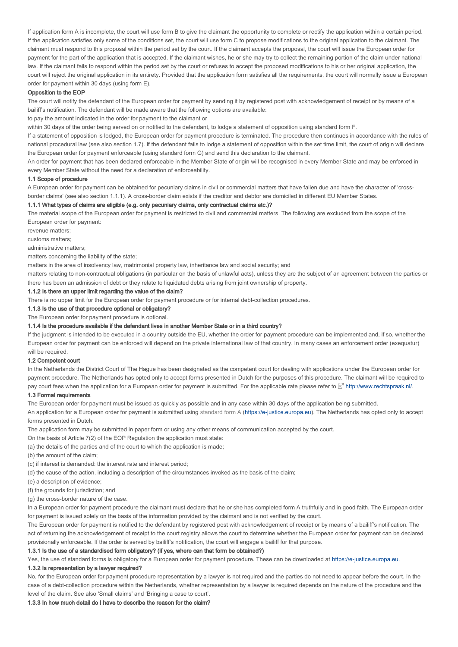If application form A is incomplete, the court will use form B to give the claimant the opportunity to complete or rectify the application within a certain period. If the application satisfies only some of the conditions set, the court will use form C to propose modifications to the original application to the claimant. The claimant must respond to this proposal within the period set by the court. If the claimant accepts the proposal, the court will issue the European order for payment for the part of the application that is accepted. If the claimant wishes, he or she may try to collect the remaining portion of the claim under national law. If the claimant fails to respond within the period set by the court or refuses to accept the proposed modifications to his or her original application, the court will reject the original application in its entirety. Provided that the application form satisfies all the requirements, the court will normally issue a European order for payment within 30 days (using form E).

#### Opposition to the EOP

The court will notify the defendant of the European order for payment by sending it by registered post with acknowledgement of receipt or by means of a bailiff's notification. The defendant will be made aware that the following options are available:

to pay the amount indicated in the order for payment to the claimant or

within 30 days of the order being served on or notified to the defendant, to lodge a statement of opposition using standard form F.

If a statement of opposition is lodged, the European order for payment procedure is terminated. The procedure then continues in accordance with the rules of national procedural law (see also section 1.7). If the defendant fails to lodge a statement of opposition within the set time limit, the court of origin will declare the European order for payment enforceable (using standard form G) and send this declaration to the claimant.

An order for payment that has been declared enforceable in the Member State of origin will be recognised in every Member State and may be enforced in every Member State without the need for a declaration of enforceability.

#### 1.1 Scope of procedure

A European order for payment can be obtained for pecuniary claims in civil or commercial matters that have fallen due and have the character of 'crossborder claims' (see also section 1.1.1). A cross-border claim exists if the creditor and debtor are domiciled in different EU Member States.

#### 1.1.1 What types of claims are eligible (e.g. only pecuniary claims, only contractual claims etc.)?

The material scope of the European order for payment is restricted to civil and commercial matters. The following are excluded from the scope of the European order for payment:

revenue matters;

customs matters;

administrative matters;

matters concerning the liability of the state;

matters in the area of insolvency law, matrimonial property law, inheritance law and social security; and

matters relating to non-contractual obligations (in particular on the basis of unlawful acts), unless they are the subject of an agreement between the parties or there has been an admission of debt or they relate to liquidated debts arising from joint ownership of property.

### 1.1.2 Is there an upper limit regarding the value of the claim?

There is no upper limit for the European order for payment procedure or for internal debt-collection procedures.

1.1.3 Is the use of that procedure optional or obligatory?

The European order for payment procedure is optional.

### 1.1.4 Is the procedure available if the defendant lives in another Member State or in a third country?

If the judgment is intended to be executed in a country outside the EU, whether the order for payment procedure can be implemented and, if so, whether the European order for payment can be enforced will depend on the private international law of that country. In many cases an enforcement order (exequatur) will be required.

#### 1.2 Competent court

In the Netherlands the District Court of The Hague has been designated as the competent court for dealing with applications under the European order for payment procedure. The Netherlands has opted only to accept forms presented in Dutch for the purposes of this procedure. The claimant will be required to pay court fees when the application for a European order for payment is submitted. For the applicable rate please refer to  $\mathbb{E}^n$  http://www.rechtspraak.nl/.

### 1.3 Formal requirements

The European order for payment must be issued as quickly as possible and in any case within 30 days of the application being submitted.

An application for a European order for payment is submitted using standard form A (https://e-justice.europa.eu). The Netherlands has opted only to accept forms presented in Dutch.

The application form may be submitted in paper form or using any other means of communication accepted by the court.

- On the basis of Article 7(2) of the EOP Regulation the application must state:
- (a) the details of the parties and of the court to which the application is made;

(b) the amount of the claim;

- (c) if interest is demanded: the interest rate and interest period;
- (d) the cause of the action, including a description of the circumstances invoked as the basis of the claim;
- (e) a description of evidence;
- (f) the grounds for jurisdiction; and
- (g) the cross-border nature of the case.

In a European order for payment procedure the claimant must declare that he or she has completed form A truthfully and in good faith. The European order for payment is issued solely on the basis of the information provided by the claimant and is not verified by the court.

The European order for payment is notified to the defendant by registered post with acknowledgement of receipt or by means of a bailiff's notification. The act of returning the acknowledgement of receipt to the court registry allows the court to determine whether the European order for payment can be declared provisionally enforceable. If the order is served by bailiff's notification, the court will engage a bailiff for that purpose.

### 1.3.1 Is the use of a standardised form obligatory? (if yes, where can that form be obtained?)

Yes, the use of standard forms is obligatory for a European order for payment procedure. These can be downloaded at https://e-justice.europa.eu.

### 1.3.2 Is representation by a lawyer required?

No, for the European order for payment procedure representation by a lawyer is not required and the parties do not need to appear before the court. In the case of a debt-collection procedure within the Netherlands, whether representation by a lawyer is required depends on the nature of the procedure and the level of the claim. See also 'Small claims' and 'Bringing a case to court'.

### 1.3.3 In how much detail do I have to describe the reason for the claim?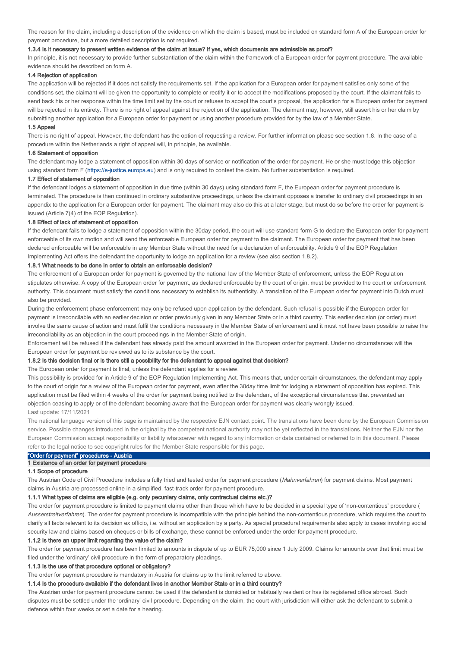The reason for the claim, including a description of the evidence on which the claim is based, must be included on standard form A of the European order for payment procedure, but a more detailed description is not required.

#### 1.3.4 Is it necessary to present written evidence of the claim at issue? If yes, which documents are admissible as proof?

In principle, it is not necessary to provide further substantiation of the claim within the framework of a European order for payment procedure. The available evidence should be described on form A.

### 1.4 Rejection of application

The application will be rejected if it does not satisfy the requirements set. If the application for a European order for payment satisfies only some of the conditions set, the claimant will be given the opportunity to complete or rectify it or to accept the modifications proposed by the court. If the claimant fails to send back his or her response within the time limit set by the court or refuses to accept the court's proposal, the application for a European order for payment will be rejected in its entirety. There is no right of appeal against the rejection of the application. The claimant may, however, still assert his or her claim by submitting another application for a European order for payment or using another procedure provided for by the law of a Member State.

#### 1.5 Appeal

There is no right of appeal. However, the defendant has the option of requesting a review. For further information please see section 1.8. In the case of a procedure within the Netherlands a right of appeal will, in principle, be available.

#### 1.6 Statement of opposition

The defendant may lodge a statement of opposition within 30 days of service or notification of the order for payment. He or she must lodge this objection using standard form F (https://e-justice.europa.eu) and is only required to contest the claim. No further substantiation is required.

#### 1.7 Effect of statement of opposition

If the defendant lodges a statement of opposition in due time (within 30 days) using standard form F, the European order for payment procedure is terminated. The procedure is then continued in ordinary substantive proceedings, unless the claimant opposes a transfer to ordinary civil proceedings in an appendix to the application for a European order for payment. The claimant may also do this at a later stage, but must do so before the order for payment is issued (Article 7(4) of the EOP Regulation).

#### 1.8 Effect of lack of statement of opposition

If the defendant fails to lodge a statement of opposition within the 30day period, the court will use standard form G to declare the European order for payment enforceable of its own motion and will send the enforceable European order for payment to the claimant. The European order for payment that has been declared enforceable will be enforceable in any Member State without the need for a declaration of enforceability. Article 9 of the EOP Regulation Implementing Act offers the defendant the opportunity to lodge an application for a review (see also section 1.8.2).

### 1.8.1 What needs to be done in order to obtain an enforceable decision?

The enforcement of a European order for payment is governed by the national law of the Member State of enforcement, unless the EOP Regulation stipulates otherwise. A copy of the European order for payment, as declared enforceable by the court of origin, must be provided to the court or enforcement authority. This document must satisfy the conditions necessary to establish its authenticity. A translation of the European order for payment into Dutch must also be provided.

During the enforcement phase enforcement may only be refused upon application by the defendant. Such refusal is possible if the European order for payment is irreconcilable with an earlier decision or order previously given in any Member State or in a third country. This earlier decision (or order) must involve the same cause of action and must fulfil the conditions necessary in the Member State of enforcement and it must not have been possible to raise the irreconcilability as an objection in the court proceedings in the Member State of origin.

Enforcement will be refused if the defendant has already paid the amount awarded in the European order for payment. Under no circumstances will the European order for payment be reviewed as to its substance by the court.

#### 1.8.2 Is this decision final or is there still a possibility for the defendant to appeal against that decision?

The European order for payment is final, unless the defendant applies for a review.

This possibility is provided for in Article 9 of the EOP Regulation Implementing Act. This means that, under certain circumstances, the defendant may apply to the court of origin for a review of the European order for payment, even after the 30day time limit for lodging a statement of opposition has expired. This application must be filed within 4 weeks of the order for payment being notified to the defendant, of the exceptional circumstances that prevented an objection ceasing to apply or of the defendant becoming aware that the European order for payment was clearly wrongly issued. Last update: 17/11/2021

### The national language version of this page is maintained by the respective EJN contact point. The translations have been done by the European Commission service. Possible changes introduced in the original by the competent national authority may not be yet reflected in the translations. Neither the EJN nor the European Commission accept responsibility or liability whatsoever with regard to any information or data contained or referred to in this document. Please refer to the legal notice to see copyright rules for the Member State responsible for this page.

# "Order for payment" procedures - Austria

### 1 Existence of an order for payment procedure

#### 1.1 Scope of procedure

The Austrian Code of Civil Procedure includes a fully tried and tested order for payment procedure (Mahnverfahren) for payment claims. Most payment claims in Austria are processed online in a simplified, fast-track order for payment procedure.

#### 1.1.1 What types of claims are eligible (e.g. only pecuniary claims, only contractual claims etc.)?

The order for payment procedure is limited to payment claims other than those which have to be decided in a special type of 'non-contentious' procedure ( Ausserstreitverfahren). The order for payment procedure is incompatible with the principle behind the non-contentious procedure, which requires the court to clarify all facts relevant to its decision ex officio, i.e. without an application by a party. As special procedural requirements also apply to cases involving social security law and claims based on cheques or bills of exchange, these cannot be enforced under the order for payment procedure.

### 1.1.2 Is there an upper limit regarding the value of the claim?

The order for payment procedure has been limited to amounts in dispute of up to EUR 75,000 since 1 July 2009. Claims for amounts over that limit must be filed under the 'ordinary' civil procedure in the form of preparatory pleadings.

### 1.1.3 Is the use of that procedure optional or obligatory?

The order for payment procedure is mandatory in Austria for claims up to the limit referred to above.

### 1.1.4 Is the procedure available if the defendant lives in another Member State or in a third country?

The Austrian order for payment procedure cannot be used if the defendant is domiciled or habitually resident or has its registered office abroad. Such disputes must be settled under the 'ordinary' civil procedure. Depending on the claim, the court with jurisdiction will either ask the defendant to submit a defence within four weeks or set a date for a hearing.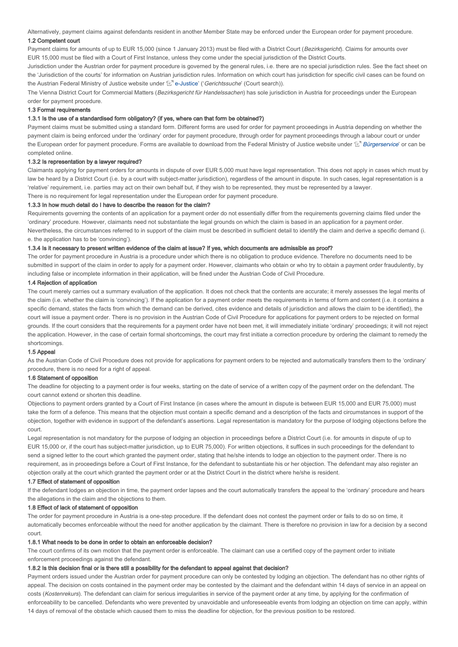Alternatively, payment claims against defendants resident in another Member State may be enforced under the European order for payment procedure. 1.2 Competent court

Payment claims for amounts of up to EUR 15,000 (since 1 January 2013) must be filed with a District Court (Bezirksgericht). Claims for amounts over EUR 15,000 must be filed with a Court of First Instance, unless they come under the special jurisdiction of the District Courts.

Jurisdiction under the Austrian order for payment procedure is governed by the general rules, i.e. there are no special jurisdiction rules. See the fact sheet on the 'Jurisdiction of the courts' for information on Austrian jurisdiction rules. Information on which court has jurisdiction for specific civil cases can be found on the Austrian Federal Ministry of Justice website under 'Land e-Justice' ('Gerichtssuche' (Court search)).

The Vienna District Court for Commercial Matters (Bezirksgericht für Handelssachen) has sole jurisdiction in Austria for proceedings under the European order for payment procedure.

### 1.3 Formal requirements

#### 1.3.1 Is the use of a standardised form obligatory? (if yes, where can that form be obtained?)

Payment claims must be submitted using a standard form. Different forms are used for order for payment proceedings in Austria depending on whether the payment claim is being enforced under the 'ordinary' order for payment procedure, through order for payment proceedings through a labour court or under the European order for payment procedure. Forms are available to download from the Federal Ministry of Justice website under 'L' Bürgerservice' or can be completed online.

### 1.3.2 Is representation by a lawyer required?

Claimants applying for payment orders for amounts in dispute of over EUR 5,000 must have legal representation. This does not apply in cases which must by law be heard by a District Court (i.e. by a court with subject-matter jurisdiction), regardless of the amount in dispute. In such cases, legal representation is a 'relative' requirement, i.e. parties may act on their own behalf but, if they wish to be represented, they must be represented by a lawyer. There is no requirement for legal representation under the European order for payment procedure.

### 1.3.3 In how much detail do I have to describe the reason for the claim?

Requirements governing the contents of an application for a payment order do not essentially differ from the requirements governing claims filed under the 'ordinary' procedure. However, claimants need not substantiate the legal grounds on which the claim is based in an application for a payment order. Nevertheless, the circumstances referred to in support of the claim must be described in sufficient detail to identify the claim and derive a specific demand (i. e. the application has to be 'convincing').

### 1.3.4 Is it necessary to present written evidence of the claim at issue? If yes, which documents are admissible as proof?

The order for payment procedure in Austria is a procedure under which there is no obligation to produce evidence. Therefore no documents need to be submitted in support of the claim in order to apply for a payment order. However, claimants who obtain or who try to obtain a payment order fraudulently, by including false or incomplete information in their application, will be fined under the Austrian Code of Civil Procedure.

### 1.4 Rejection of application

The court merely carries out a summary evaluation of the application. It does not check that the contents are accurate; it merely assesses the legal merits of the claim (i.e. whether the claim is 'convincing'). If the application for a payment order meets the requirements in terms of form and content (i.e. it contains a specific demand, states the facts from which the demand can be derived, cites evidence and details of jurisdiction and allows the claim to be identified), the court will issue a payment order. There is no provision in the Austrian Code of Civil Procedure for applications for payment orders to be rejected on formal grounds. If the court considers that the requirements for a payment order have not been met, it will immediately initiate 'ordinary' proceedings; it will not reject the application. However, in the case of certain formal shortcomings, the court may first initiate a correction procedure by ordering the claimant to remedy the shortcomings.

### 1.5 Appeal

As the Austrian Code of Civil Procedure does not provide for applications for payment orders to be rejected and automatically transfers them to the 'ordinary' procedure, there is no need for a right of appeal.

#### 1.6 Statement of opposition

The deadline for objecting to a payment order is four weeks, starting on the date of service of a written copy of the payment order on the defendant. The court cannot extend or shorten this deadline.

Objections to payment orders granted by a Court of First Instance (in cases where the amount in dispute is between EUR 15,000 and EUR 75,000) must take the form of a defence. This means that the objection must contain a specific demand and a description of the facts and circumstances in support of the objection, together with evidence in support of the defendant's assertions. Legal representation is mandatory for the purpose of lodging objections before the court.

Legal representation is not mandatory for the purpose of lodging an objection in proceedings before a District Court (i.e. for amounts in dispute of up to EUR 15,000 or, if the court has subject-matter jurisdiction, up to EUR 75,000). For written objections, it suffices in such proceedings for the defendant to send a signed letter to the court which granted the payment order, stating that he/she intends to lodge an objection to the payment order. There is no requirement, as in proceedings before a Court of First Instance, for the defendant to substantiate his or her objection. The defendant may also register an objection orally at the court which granted the payment order or at the District Court in the district where he/she is resident.

#### 1.7 Effect of statement of opposition

If the defendant lodges an objection in time, the payment order lapses and the court automatically transfers the appeal to the 'ordinary' procedure and hears the allegations in the claim and the objections to them.

### 1.8 Effect of lack of statement of opposition

The order for payment procedure in Austria is a one-step procedure. If the defendant does not contest the payment order or fails to do so on time, it automatically becomes enforceable without the need for another application by the claimant. There is therefore no provision in law for a decision by a second court.

### 1.8.1 What needs to be done in order to obtain an enforceable decision?

The court confirms of its own motion that the payment order is enforceable. The claimant can use a certified copy of the payment order to initiate enforcement proceedings against the defendant.

### 1.8.2 Is this decision final or is there still a possibility for the defendant to appeal against that decision?

Payment orders issued under the Austrian order for payment procedure can only be contested by lodging an objection. The defendant has no other rights of appeal. The decision on costs contained in the payment order may be contested by the claimant and the defendant within 14 days of service in an appeal on costs (Kostenrekurs). The defendant can claim for serious irregularities in service of the payment order at any time, by applying for the confirmation of enforceability to be cancelled. Defendants who were prevented by unavoidable and unforeseeable events from lodging an objection on time can apply, within 14 days of removal of the obstacle which caused them to miss the deadline for objection, for the previous position to be restored.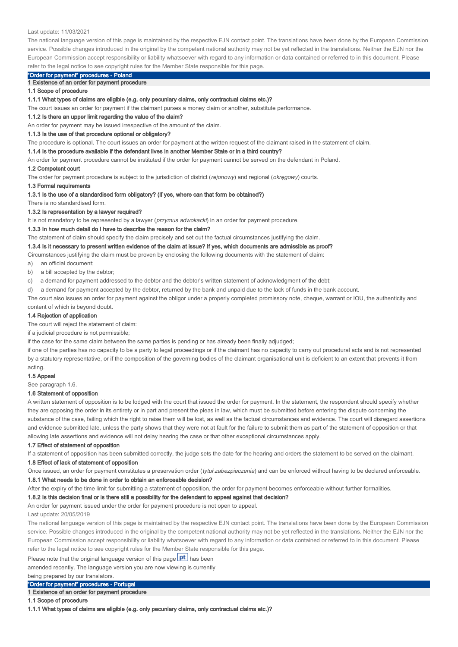#### Last update: 11/03/2021

The national language version of this page is maintained by the respective EJN contact point. The translations have been done by the European Commission service. Possible changes introduced in the original by the competent national authority may not be yet reflected in the translations. Neither the EJN nor the European Commission accept responsibility or liability whatsoever with regard to any information or data contained or referred to in this document. Please refer to the legal notice to see copyright rules for the Member State responsible for this page.

# "Order for payment" procedures - Poland

1 Existence of an order for payment procedure

1.1 Scope of procedure

#### 1.1.1 What types of claims are eligible (e.g. only pecuniary claims, only contractual claims etc.)?

The court issues an order for payment if the claimant purses a money claim or another, substitute performance.

#### 1.1.2 Is there an upper limit regarding the value of the claim?

An order for payment may be issued irrespective of the amount of the claim.

#### 1.1.3 Is the use of that procedure optional or obligatory?

The procedure is optional. The court issues an order for payment at the written request of the claimant raised in the statement of claim.

#### 1.1.4 Is the procedure available if the defendant lives in another Member State or in a third country?

An order for payment procedure cannot be instituted if the order for payment cannot be served on the defendant in Poland.

#### 1.2 Competent court

The order for payment procedure is subject to the jurisdiction of district (rejonowy) and regional (okręgowy) courts.

#### 1.3 Formal requirements

1.3.1 Is the use of a standardised form obligatory? (if yes, where can that form be obtained?)

# There is no standardised form.

### 1.3.2 Is representation by a lawyer required?

It is not mandatory to be represented by a lawyer (*przymus adwokacki*) in an order for payment procedure.

#### 1.3.3 In how much detail do I have to describe the reason for the claim?

The statement of claim should specify the claim precisely and set out the factual circumstances justifying the claim.

#### 1.3.4 Is it necessary to present written evidence of the claim at issue? If yes, which documents are admissible as proof?

Circumstances justifying the claim must be proven by enclosing the following documents with the statement of claim:

a) an official document;

b) a bill accepted by the debtor;

c) a demand for payment addressed to the debtor and the debtor's written statement of acknowledgment of the debt;

d) a demand for payment accepted by the debtor, returned by the bank and unpaid due to the lack of funds in the bank account.

The court also issues an order for payment against the obligor under a properly completed promissory note, cheque, warrant or IOU, the authenticity and content of which is beyond doubt.

#### 1.4 Rejection of application

The court will reject the statement of claim:

if a judicial procedure is not permissible;

if the case for the same claim between the same parties is pending or has already been finally adjudged;

if one of the parties has no capacity to be a party to legal proceedings or if the claimant has no capacity to carry out procedural acts and is not represented by a statutory representative, or if the composition of the governing bodies of the claimant organisational unit is deficient to an extent that prevents it from acting.

#### 1.5 Appeal

See paragraph 1.6.

#### 1.6 Statement of opposition

A written statement of opposition is to be lodged with the court that issued the order for payment. In the statement, the respondent should specify whether they are opposing the order in its entirety or in part and present the pleas in law, which must be submitted before entering the dispute concerning the substance of the case, failing which the right to raise them will be lost, as well as the factual circumstances and evidence. The court will disregard assertions and evidence submitted late, unless the party shows that they were not at fault for the failure to submit them as part of the statement of opposition or that allowing late assertions and evidence will not delay hearing the case or that other exceptional circumstances apply.

#### 1.7 Effect of statement of opposition

If a statement of opposition has been submitted correctly, the judge sets the date for the hearing and orders the statement to be served on the claimant.

#### 1.8 Effect of lack of statement of opposition

Once issued, an order for payment constitutes a preservation order (tytuł zabezpieczenia) and can be enforced without having to be declared enforceable.

### 1.8.1 What needs to be done in order to obtain an enforceable decision?

After the expiry of the time limit for submitting a statement of opposition, the order for payment becomes enforceable without further formalities.

### 1.8.2 Is this decision final or is there still a possibility for the defendant to appeal against that decision?

An order for payment issued under the order for payment procedure is not open to appeal.

#### Last update: 20/05/2019

The national language version of this page is maintained by the respective EJN contact point. The translations have been done by the European Commission service. Possible changes introduced in the original by the competent national authority may not be yet reflected in the translations. Neither the EJN nor the European Commission accept responsibility or liability whatsoever with regard to any information or data contained or referred to in this document. Please refer to the legal notice to see copyright rules for the Member State responsible for this page.

Please note that the original language version of this page  $\rho t$  has been

amended recently. The language version you are now viewing is currently

### being prepared by our translators.

### "Order for payment" procedures - Portugal

1 Existence of an order for payment procedure

1.1 Scope of procedure

1.1.1 What types of claims are eligible (e.g. only pecuniary claims, only contractual claims etc.)?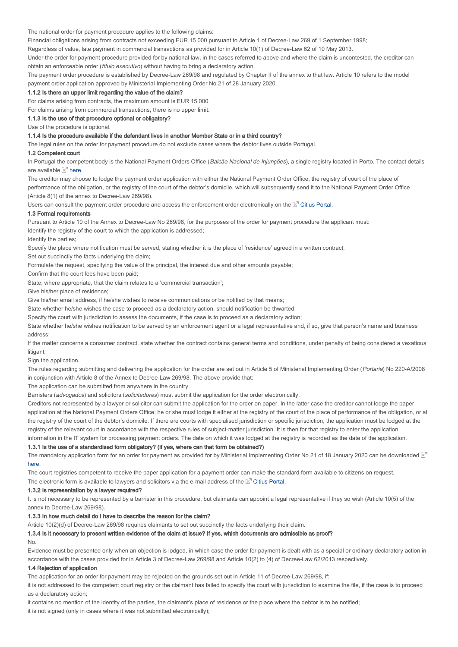The national order for payment procedure applies to the following claims:

Financial obligations arising from contracts not exceeding EUR 15 000 pursuant to Article 1 of Decree-Law 269 of 1 September 1998;

Regardless of value, late payment in commercial transactions as provided for in Article 10(1) of Decree-Law 62 of 10 May 2013.

Under the order for payment procedure provided for by national law, in the cases referred to above and where the claim is uncontested, the creditor can obtain an enforceable order (título executivo) without having to bring a declaratory action.

The payment order procedure is established by Decree-Law 269/98 and regulated by Chapter II of the annex to that law. Article 10 refers to the model payment order application approved by Ministerial Implementing Order No 21 of 28 January 2020.

#### 1.1.2 Is there an upper limit regarding the value of the claim?

For claims arising from contracts, the maximum amount is EUR 15 000.

For claims arising from commercial transactions, there is no upper limit.

1.1.3 Is the use of that procedure optional or obligatory?

Use of the procedure is optional.

### 1.1.4 Is the procedure available if the defendant lives in another Member State or in a third country?

The legal rules on the order for payment procedure do not exclude cases where the debtor lives outside Portugal.

#### 1.2 Competent court

In Portugal the competent body is the National Payment Orders Office (Balcão Nacional de Injunções), a single registry located in Porto. The contact details are available **but here**.

The creditor may choose to lodge the payment order application with either the National Payment Order Office, the registry of court of the place of performance of the obligation, or the registry of the court of the debtor's domicile, which will subsequently send it to the National Payment Order Office (Article 8(1) of the annex to Decree-Law 269/98).

Users can consult the payment order procedure and access the enforcement order electronically on the  $\mathbb{E}^n$  Citius Portal.

### 1.3 Formal requirements

Pursuant to Article 10 of the Annex to Decree-Law No 269/98, for the purposes of the order for payment procedure the applicant must: Identify the registry of the court to which the application is addressed;

Identify the parties;

Specify the place where notification must be served, stating whether it is the place of 'residence' agreed in a written contract;

Set out succinctly the facts underlying the claim;

Formulate the request, specifying the value of the principal, the interest due and other amounts payable;

Confirm that the court fees have been paid;

State, where appropriate, that the claim relates to a 'commercial transaction';

Give his/her place of residence;

Give his/her email address, if he/she wishes to receive communications or be notified by that means;

State whether he/she wishes the case to proceed as a declaratory action, should notification be thwarted;

Specify the court with jurisdiction to assess the documents, if the case is to proceed as a declaratory action;

State whether he/she wishes notification to be served by an enforcement agent or a legal representative and, if so, give that person's name and business address;

If the matter concerns a consumer contract, state whether the contract contains general terms and conditions, under penalty of being considered a vexatious litigant;

Sign the application.

The rules regarding submitting and delivering the application for the order are set out in Article 5 of Ministerial Implementing Order (Portaria) No 220-A/2008 in conjunction with Article 8 of the Annex to Decree-Law 269/98. The above provide that:

The application can be submitted from anywhere in the country.

Barristers (advogados) and solicitors (solicitadores) must submit the application for the order electronically.

Creditors not represented by a lawyer or solicitor can submit the application for the order on paper. In the latter case the creditor cannot lodge the paper application at the National Payment Orders Office; he or she must lodge it either at the registry of the court of the place of performance of the obligation, or at the registry of the court of the debtor's domicile. If there are courts with specialised jurisdiction or specific jurisdiction, the application must be lodged at the registry of the relevant court in accordance with the respective rules of subject-matter jurisdiction. It is then for that registry to enter the application information in the IT system for processing payment orders. The date on which it was lodged at the registry is recorded as the date of the application.

#### 1.3.1 Is the use of a standardised form obligatory? (if yes, where can that form be obtained?)

The mandatory application form for an order for payment as provided for by Ministerial Implementing Order No 21 of 18 January 2020 can be downloaded  $\mathbb{E}^n$ . here

The court registries competent to receive the paper application for a payment order can make the standard form available to citizens on request.

The electronic form is available to lawyers and solicitors via the e-mail address of the  $\mathbb{E}$ <sup>n</sup> Citius Portal.

### 1.3.2 Is representation by a lawyer required?

It is not necessary to be represented by a barrister in this procedure, but claimants can appoint a legal representative if they so wish (Article 10(5) of the annex to Decree-Law 269/98).

### 1.3.3 In how much detail do I have to describe the reason for the claim?

Article 10(2)(d) of Decree-Law 269/98 requires claimants to set out succinctly the facts underlying their claim.

# 1.3.4 Is it necessary to present written evidence of the claim at issue? If yes, which documents are admissible as proof?

No.

Evidence must be presented only when an objection is lodged, in which case the order for payment is dealt with as a special or ordinary declaratory action in accordance with the cases provided for in Article 3 of Decree-Law 269/98 and Article 10(2) to (4) of Decree-Law 62/2013 respectively.

### 1.4 Rejection of application

The application for an order for payment may be rejected on the grounds set out in Article 11 of Decree-Law 269/98, if:

it is not addressed to the competent court registry or the claimant has failed to specify the court with jurisdiction to examine the file, if the case is to proceed as a declaratory action;

it contains no mention of the identity of the parties, the claimant's place of residence or the place where the debtor is to be notified;

it is not signed (only in cases where it was not submitted electronically);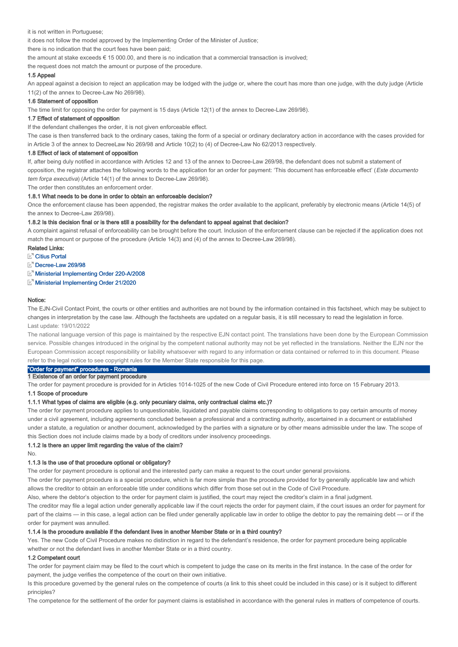it is not written in Portuguese;

it does not follow the model approved by the Implementing Order of the Minister of Justice;

there is no indication that the court fees have been paid;

the amount at stake exceeds € 15 000.00, and there is no indication that a commercial transaction is involved;

the request does not match the amount or purpose of the procedure.

### 1.5 Appeal

An appeal against a decision to reject an application may be lodged with the judge or, where the court has more than one judge, with the duty judge (Article 11(2) of the annex to Decree-Law No 269/98).

#### 1.6 Statement of opposition

The time limit for opposing the order for payment is 15 days (Article 12(1) of the annex to Decree-Law 269/98).

### 1.7 Effect of statement of opposition

If the defendant challenges the order, it is not given enforceable effect.

The case is then transferred back to the ordinary cases, taking the form of a special or ordinary declaratory action in accordance with the cases provided for in Article 3 of the annex to DecreeLaw No 269/98 and Article 10(2) to (4) of Decree-Law No 62/2013 respectively.

#### 1.8 Effect of lack of statement of opposition

If, after being duly notified in accordance with Articles 12 and 13 of the annex to Decree-Law 269/98, the defendant does not submit a statement of opposition, the registrar attaches the following words to the application for an order for payment: 'This document has enforceable effect' (Este documento tem força executiva) (Article 14(1) of the annex to Decree-Law 269/98).

The order then constitutes an enforcement order.

#### 1.8.1 What needs to be done in order to obtain an enforceable decision?

Once the enforcement clause has been appended, the registrar makes the order available to the applicant, preferably by electronic means (Article 14(5) of the annex to Decree-Law 269/98).

### 1.8.2 Is this decision final or is there still a possibility for the defendant to appeal against that decision?

A complaint against refusal of enforceability can be brought before the court. Inclusion of the enforcement clause can be rejected if the application does not match the amount or purpose of the procedure (Article 14(3) and (4) of the annex to Decree-Law 269/98).

### Related Links:

**Citius Portal** 

Decree-Law 269/98

Ministerial Implementing Order 220-A/2008

Ministerial Implementing Order 21/2020

#### Notice:

The EJN-Civil Contact Point, the courts or other entities and authorities are not bound by the information contained in this factsheet, which may be subject to changes in interpretation by the case law. Although the factsheets are updated on a regular basis, it is still necessary to read the legislation in force. Last update: 19/01/2022

The national language version of this page is maintained by the respective EJN contact point. The translations have been done by the European Commission service. Possible changes introduced in the original by the competent national authority may not be yet reflected in the translations. Neither the EJN nor the European Commission accept responsibility or liability whatsoever with regard to any information or data contained or referred to in this document. Please refer to the legal notice to see copyright rules for the Member State responsible for this page.

# "Order for payment" procedures - Romania

1 Existence of an order for payment procedure

The order for payment procedure is provided for in Articles 1014-1025 of the new Code of Civil Procedure entered into force on 15 February 2013.

### 1.1 Scope of procedure

### 1.1.1 What types of claims are eligible (e.g. only pecuniary claims, only contractual claims etc.)?

The order for payment procedure applies to unquestionable, liquidated and payable claims corresponding to obligations to pay certain amounts of money under a civil agreement, including agreements concluded between a professional and a contracting authority, ascertained in a document or established under a statute, a regulation or another document, acknowledged by the parties with a signature or by other means admissible under the law. The scope of this Section does not include claims made by a body of creditors under insolvency proceedings.

### 1.1.2 Is there an upper limit regarding the value of the claim?

No.

### 1.1.3 Is the use of that procedure optional or obligatory?

The order for payment procedure is optional and the interested party can make a request to the court under general provisions.

The order for payment procedure is a special procedure, which is far more simple than the procedure provided for by generally applicable law and which allows the creditor to obtain an enforceable title under conditions which differ from those set out in the Code of Civil Procedure.

Also, where the debtor's objection to the order for payment claim is justified, the court may reject the creditor's claim in a final judgment.

The creditor may file a legal action under generally applicable law if the court rejects the order for payment claim, if the court issues an order for payment for part of the claims — in this case, a legal action can be filed under generally applicable law in order to oblige the debtor to pay the remaining debt — or if the order for payment was annulled.

# 1.1.4 Is the procedure available if the defendant lives in another Member State or in a third country?

Yes. The new Code of Civil Procedure makes no distinction in regard to the defendant's residence, the order for payment procedure being applicable whether or not the defendant lives in another Member State or in a third country.

### 1.2 Competent court

The order for payment claim may be filed to the court which is competent to judge the case on its merits in the first instance. In the case of the order for payment, the judge verifies the competence of the court on their own initiative.

Is this procedure governed by the general rules on the competence of courts (a link to this sheet could be included in this case) or is it subject to different principles?

The competence for the settlement of the order for payment claims is established in accordance with the general rules in matters of competence of courts.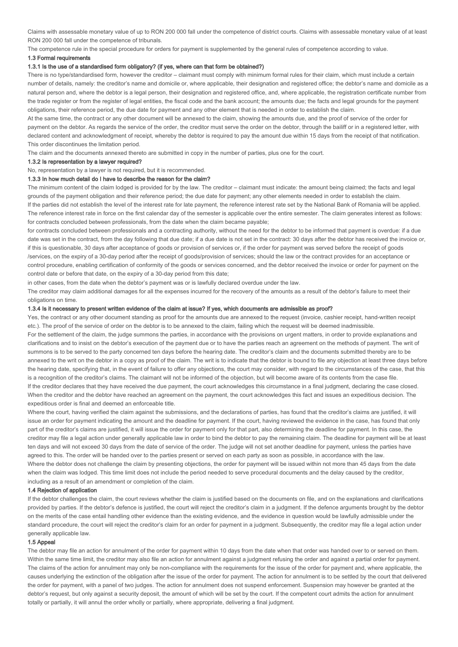Claims with assessable monetary value of up to RON 200 000 fall under the competence of district courts. Claims with assessable monetary value of at least RON 200 000 fall under the competence of tribunals.

The competence rule in the special procedure for orders for payment is supplemented by the general rules of competence according to value.

#### 1.3 Formal requirements

### 1.3.1 Is the use of a standardised form obligatory? (if yes, where can that form be obtained?)

There is no type/standardised form, however the creditor – claimant must comply with minimum formal rules for their claim, which must include a certain number of details, namely: the creditor's name and domicile or, where applicable, their designation and registered office; the debtor's name and domicile as a natural person and, where the debtor is a legal person, their designation and registered office, and, where applicable, the registration certificate number from the trade register or from the register of legal entities, the fiscal code and the bank account; the amounts due; the facts and legal grounds for the payment obligations, their reference period, the due date for payment and any other element that is needed in order to establish the claim.

At the same time, the contract or any other document will be annexed to the claim, showing the amounts due, and the proof of service of the order for payment on the debtor. As regards the service of the order, the creditor must serve the order on the debtor, through the bailiff or in a registered letter, with declared content and acknowledgment of receipt, whereby the debtor is required to pay the amount due within 15 days from the receipt of that notification. This order discontinues the limitation period.

The claim and the documents annexed thereto are submitted in copy in the number of parties, plus one for the court.

#### 1.3.2 Is representation by a lawyer required?

No, representation by a lawyer is not required, but it is recommended.

#### 1.3.3 In how much detail do I have to describe the reason for the claim?

The minimum content of the claim lodged is provided for by the law. The creditor – claimant must indicate: the amount being claimed; the facts and legal grounds of the payment obligation and their reference period; the due date for payment; any other elements needed in order to establish the claim. If the parties did not establish the level of the interest rate for late payment, the reference interest rate set by the National Bank of Romania will be applied. The reference interest rate in force on the first calendar day of the semester is applicable over the entire semester. The claim generates interest as follows: for contracts concluded between professionals, from the date when the claim became payable;

for contracts concluded between professionals and a contracting authority, without the need for the debtor to be informed that payment is overdue: if a due date was set in the contract, from the day following that due date; if a due date is not set in the contract: 30 days after the debtor has received the invoice or, if this is questionable, 30 days after acceptance of goods or provision of services or, if the order for payment was served before the receipt of goods /services, on the expiry of a 30-day period after the receipt of goods/provision of services; should the law or the contract provides for an acceptance or control procedure, enabling certification of conformity of the goods or services concerned, and the debtor received the invoice or order for payment on the control date or before that date, on the expiry of a 30-day period from this date;

in other cases, from the date when the debtor's payment was or is lawfully declared overdue under the law.

The creditor may claim additional damages for all the expenses incurred for the recovery of the amounts as a result of the debtor's failure to meet their obligations on time.

### 1.3.4 Is it necessary to present written evidence of the claim at issue? If yes, which documents are admissible as proof?

Yes, the contract or any other document standing as proof for the amounts due are annexed to the request (invoice, cashier receipt, hand-written receipt etc.). The proof of the service of order on the debtor is to be annexed to the claim, failing which the request will be deemed inadmissible. For the settlement of the claim, the judge summons the parties, in accordance with the provisions on urgent matters, in order to provide explanations and clarifications and to insist on the debtor's execution of the payment due or to have the parties reach an agreement on the methods of payment. The writ of summons is to be served to the party concerned ten days before the hearing date. The creditor's claim and the documents submitted thereby are to be annexed to the writ on the debtor in a copy as proof of the claim. The writ is to indicate that the debtor is bound to file any objection at least three days before the hearing date, specifying that, in the event of failure to offer any objections, the court may consider, with regard to the circumstances of the case, that this is a recognition of the creditor's claims. The claimant will not be informed of the objection, but will become aware of its contents from the case file. If the creditor declares that they have received the due payment, the court acknowledges this circumstance in a final judgment, declaring the case closed. When the creditor and the debtor have reached an agreement on the payment, the court acknowledges this fact and issues an expeditious decision. The expeditious order is final and deemed an enforceable title.

Where the court, having verified the claim against the submissions, and the declarations of parties, has found that the creditor's claims are justified, it will issue an order for payment indicating the amount and the deadline for payment. If the court, having reviewed the evidence in the case, has found that only part of the creditor's claims are justified, it will issue the order for payment only for that part, also determining the deadline for payment. In this case, the creditor may file a legal action under generally applicable law in order to bind the debtor to pay the remaining claim. The deadline for payment will be at least ten days and will not exceed 30 days from the date of service of the order. The judge will not set another deadline for payment, unless the parties have agreed to this. The order will be handed over to the parties present or served on each party as soon as possible, in accordance with the law. Where the debtor does not challenge the claim by presenting objections, the order for payment will be issued within not more than 45 days from the date when the claim was lodged. This time limit does not include the period needed to serve procedural documents and the delay caused by the creditor. including as a result of an amendment or completion of the claim.

### 1.4 Rejection of application

If the debtor challenges the claim, the court reviews whether the claim is justified based on the documents on file, and on the explanations and clarifications provided by parties. If the debtor's defence is justified, the court will reject the creditor's claim in a judgment. If the defence arguments brought by the debtor on the merits of the case entail handling other evidence than the existing evidence, and the evidence in question would be lawfully admissible under the standard procedure, the court will reject the creditor's claim for an order for payment in a judgment. Subsequently, the creditor may file a legal action under generally applicable law.

### 1.5 Appeal

The debtor may file an action for annulment of the order for payment within 10 days from the date when that order was handed over to or served on them. Within the same time limit, the creditor may also file an action for annulment against a judgment refusing the order and against a partial order for payment. The claims of the action for annulment may only be non-compliance with the requirements for the issue of the order for payment and, where applicable, the causes underlying the extinction of the obligation after the issue of the order for payment. The action for annulment is to be settled by the court that delivered the order for payment, with a panel of two judges. The action for annulment does not suspend enforcement. Suspension may however be granted at the debtor's request, but only against a security deposit, the amount of which will be set by the court. If the competent court admits the action for annulment totally or partially, it will annul the order wholly or partially, where appropriate, delivering a final judgment.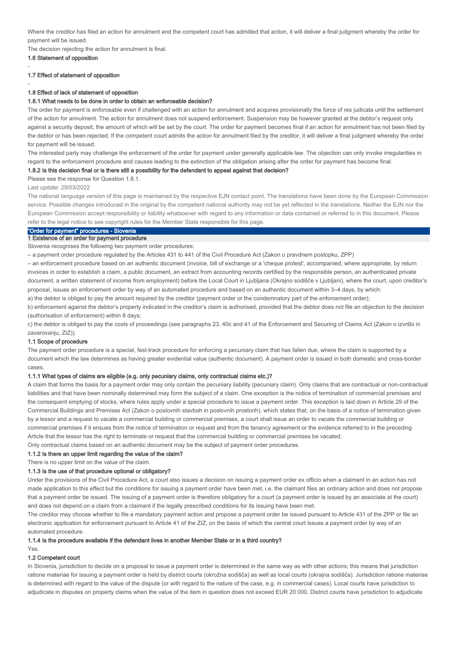Where the creditor has filed an action for annulment and the competent court has admitted that action, it will deliver a final judgment whereby the order for payment will be issued.

The decision rejecting the action for annulment is final.

1.6 Statement of opposition

-

-

### 1.7 Effect of statement of opposition

#### 1.8 Effect of lack of statement of opposition

#### 1.8.1 What needs to be done in order to obtain an enforceable decision?

The order for payment is enforceable even if challenged with an action for annulment and acquires provisionally the force of res judicata until the settlement of the action for annulment. The action for annulment does not suspend enforcement. Suspension may be however granted at the debtor's request only against a security deposit, the amount of which will be set by the court. The order for payment becomes final if an action for annulment has not been filed by the debtor or has been rejected. If the competent court admits the action for annulment filed by the creditor, it will deliver a final judgment whereby the order for payment will be issued.

The interested party may challenge the enforcement of the order for payment under generally applicable law. The objection can only invoke irregularities in regard to the enforcement procedure and causes leading to the extinction of the obligation arising after the order for payment has become final.

#### 1.8.2 Is this decision final or is there still a possibility for the defendant to appeal against that decision?

Please see the response for Question 1.8.1.

Last update: 29/03/2022

The national language version of this page is maintained by the respective EJN contact point. The translations have been done by the European Commission service. Possible changes introduced in the original by the competent national authority may not be yet reflected in the translations. Neither the EJN nor the European Commission accept responsibility or liability whatsoever with regard to any information or data contained or referred to in this document. Please refer to the legal notice to see copyright rules for the Member State responsible for this page.

# "Order for payment" procedures - Slovenia

### 1 Existence of an order for payment procedure

Slovenia recognises the following two payment order procedures:

– a payment order procedure regulated by the Articles 431 to 441 of the Civil Procedure Act (Zakon o pravdnem postopku, ZPP)

– an enforcement procedure based on an authentic document (invoice, bill of exchange or a 'cheque protest', accompanied, where appropriate, by return invoices in order to establish a claim, a public document, an extract from accounting records certified by the responsible person, an authenticated private document, a written statement of income from employment) before the Local Court in Ljubljana (Okrajno sodišče v Ljubljani), where the court, upon creditor's proposal, issues an enforcement order by way of an automated procedure and based on an authentic document within 3–4 days, by which:

a) the debtor is obliged to pay the amount required by the creditor (payment order or the condemnatory part of the enforcement order);

b) enforcement against the debtor's property indicated in the creditor's claim is authorised, provided that the debtor does not file an objection to the decision (authorisation of enforcement) within 8 days;

c) the debtor is obliged to pay the costs of proceedings (see paragraphs 23, 40c and 41 of the Enforcement and Securing of Claims Act (Zakon o izvršbi in zavarovanju, ZIZ)).

#### 1.1 Scope of procedure

The payment order procedure is a special, fast-track procedure for enforcing a pecuniary claim that has fallen due, where the claim is supported by a document which the law determines as having greater evidential value (authentic document). A payment order is issued in both domestic and cross-border cases.

### 1.1.1 What types of claims are eligible (e.g. only pecuniary claims, only contractual claims etc.)?

A claim that forms the basis for a payment order may only contain the pecuniary liability (pecuniary claim). Only claims that are contractual or non-contractual liabilities and that have been nominally determined may form the subject of a claim. One exception is the notice of termination of commercial premises and the consequent emptying of stocks, where rules apply under a special procedure to issue a payment order. This exception is laid down in Article 29 of the Commercial Buildings and Premises Act (Zakon o poslovnih stavbah in poslovnih prostorih), which states that, on the basis of a notice of termination given by a lessor and a request to vacate a commercial building or commercial premises, a court shall issue an order to vacate the commercial building or commercial premises if it ensues from the notice of termination or request and from the tenancy agreement or the evidence referred to in the preceding Article that the lessor has the right to terminate or request that the commercial building or commercial premises be vacated.

Only contractual claims based on an authentic document may be the subject of payment order procedures.

### 1.1.2 Is there an upper limit regarding the value of the claim?

There is no upper limit on the value of the claim.

#### 1.1.3 Is the use of that procedure optional or obligatory?

Under the provisions of the Civil Procedure Act, a court also issues a decision on issuing a payment order ex officio when a claimant in an action has not made application to this effect but the conditions for issuing a payment order have been met, i.e. the claimant files an ordinary action and does not propose that a payment order be issued. The issuing of a payment order is therefore obligatory for a court (a payment order is issued by an associate at the court) and does not depend on a claim from a claimant if the legally prescribed conditions for its issuing have been met.

The creditor may choose whether to file a mandatory payment action and propose a payment order be issued pursuant to Article 431 of the ZPP or file an electronic application for enforcement pursuant to Article 41 of the ZIZ, on the basis of which the central court issues a payment order by way of an automated procedure.

#### 1.1.4 Is the procedure available if the defendant lives in another Member State or in a third country?

Yes.

### 1.2 Competent court

In Slovenia, jurisdiction to decide on a proposal to issue a payment order is determined in the same way as with other actions; this means that jurisdiction ratione materiae for issuing a payment order is held by district courts (okrožna sodišča) as well as local courts (okrajna sodišča). Jurisdiction ratione materiae is determined with regard to the value of the dispute (or with regard to the nature of the case, e.g. in commercial cases). Local courts have jurisdiction to adjudicate in disputes on property claims when the value of the item in question does not exceed EUR 20 000. District courts have jurisdiction to adjudicate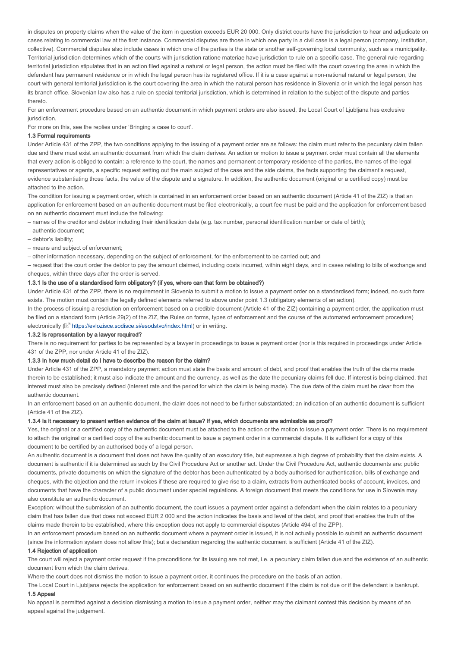in disputes on property claims when the value of the item in question exceeds EUR 20 000. Only district courts have the jurisdiction to hear and adjudicate on cases relating to commercial law at the first instance. Commercial disputes are those in which one party in a civil case is a legal person (company, institution, collective). Commercial disputes also include cases in which one of the parties is the state or another self-governing local community, such as a municipality. Territorial jurisdiction determines which of the courts with jurisdiction ratione materiae have jurisdiction to rule on a specific case. The general rule regarding territorial jurisdiction stipulates that in an action filed against a natural or legal person, the action must be filed with the court covering the area in which the defendant has permanent residence or in which the legal person has its registered office. If it is a case against a non-national natural or legal person, the court with general territorial jurisdiction is the court covering the area in which the natural person has residence in Slovenia or in which the legal person has its branch office. Slovenian law also has a rule on special territorial jurisdiction, which is determined in relation to the subject of the dispute and parties thereto.

For an enforcement procedure based on an authentic document in which payment orders are also issued, the Local Court of Ljubljana has exclusive jurisdiction.

For more on this, see the replies under 'Bringing a case to court'.

#### 1.3 Formal requirements

Under Article 431 of the ZPP, the two conditions applying to the issuing of a payment order are as follows: the claim must refer to the pecuniary claim fallen due and there must exist an authentic document from which the claim derives. An action or motion to issue a payment order must contain all the elements that every action is obliged to contain: a reference to the court, the names and permanent or temporary residence of the parties, the names of the legal representatives or agents, a specific request setting out the main subject of the case and the side claims, the facts supporting the claimant's request, evidence substantiating those facts, the value of the dispute and a signature. In addition, the authentic document (original or a certified copy) must be attached to the action.

The condition for issuing a payment order, which is contained in an enforcement order based on an authentic document (Article 41 of the ZIZ) is that an application for enforcement based on an authentic document must be filed electronically, a court fee must be paid and the application for enforcement based on an authentic document must include the following:

– names of the creditor and debtor including their identification data (e.g. tax number, personal identification number or date of birth);

– authentic document;

- debtor's liability;
- means and subject of enforcement;

– other information necessary, depending on the subject of enforcement, for the enforcement to be carried out; and

– request that the court order the debtor to pay the amount claimed, including costs incurred, within eight days, and in cases relating to bills of exchange and cheques, within three days after the order is served.

### 1.3.1 Is the use of a standardised form obligatory? (if yes, where can that form be obtained?)

Under Article 431 of the ZPP, there is no requirement in Slovenia to submit a motion to issue a payment order on a standardised form; indeed, no such form exists. The motion must contain the legally defined elements referred to above under point 1.3 (obligatory elements of an action).

In the process of issuing a resolution on enforcement based on a credible document (Article 41 of the ZIZ) containing a payment order, the application must be filed on a standard form (Article 29(2) of the ZIZ, the Rules on forms, types of enforcement and the course of the automated enforcement procedure) electronically ( $\mathbb{Z}^n$  https://evlozisce.sodisce.si/esodstvo/index.html) or in writing.

#### 1.3.2 Is representation by a lawyer required?

There is no requirement for parties to be represented by a lawyer in proceedings to issue a payment order (nor is this required in proceedings under Article 431 of the ZPP, nor under Article 41 of the ZIZ).

### 1.3.3 In how much detail do I have to describe the reason for the claim?

Under Article 431 of the ZPP, a mandatory payment action must state the basis and amount of debt, and proof that enables the truth of the claims made therein to be established; it must also indicate the amount and the currency, as well as the date the pecuniary claims fell due. If interest is being claimed, that interest must also be precisely defined (interest rate and the period for which the claim is being made). The due date of the claim must be clear from the authentic document.

In an enforcement based on an authentic document, the claim does not need to be further substantiated; an indication of an authentic document is sufficient (Article 41 of the ZIZ).

#### 1.3.4 Is it necessary to present written evidence of the claim at issue? If yes, which documents are admissible as proof?

Yes, the original or a certified copy of the authentic document must be attached to the action or the motion to issue a payment order. There is no requirement to attach the original or a certified copy of the authentic document to issue a payment order in a commercial dispute. It is sufficient for a copy of this document to be certified by an authorised body of a legal person.

An authentic document is a document that does not have the quality of an executory title, but expresses a high degree of probability that the claim exists. A document is authentic if it is determined as such by the Civil Procedure Act or another act. Under the Civil Procedure Act, authentic documents are: public documents, private documents on which the signature of the debtor has been authenticated by a body authorised for authentication, bills of exchange and cheques, with the objection and the return invoices if these are required to give rise to a claim, extracts from authenticated books of account, invoices, and documents that have the character of a public document under special regulations. A foreign document that meets the conditions for use in Slovenia may also constitute an authentic document.

Exception: without the submission of an authentic document, the court issues a payment order against a defendant when the claim relates to a pecuniary claim that has fallen due that does not exceed EUR 2 000 and the action indicates the basis and level of the debt, and proof that enables the truth of the claims made therein to be established, where this exception does not apply to commercial disputes (Article 494 of the ZPP).

In an enforcement procedure based on an authentic document where a payment order is issued, it is not actually possible to submit an authentic document (since the information system does not allow this); but a declaration regarding the authentic document is sufficient (Article 41 of the ZIZ).

### 1.4 Rejection of application

The court will reject a payment order request if the preconditions for its issuing are not met, i.e. a pecuniary claim fallen due and the existence of an authentic document from which the claim derives.

Where the court does not dismiss the motion to issue a payment order, it continues the procedure on the basis of an action.

The Local Court in Ljubljana rejects the application for enforcement based on an authentic document if the claim is not due or if the defendant is bankrupt. 1.5 Appeal

No appeal is permitted against a decision dismissing a motion to issue a payment order, neither may the claimant contest this decision by means of an appeal against the judgement.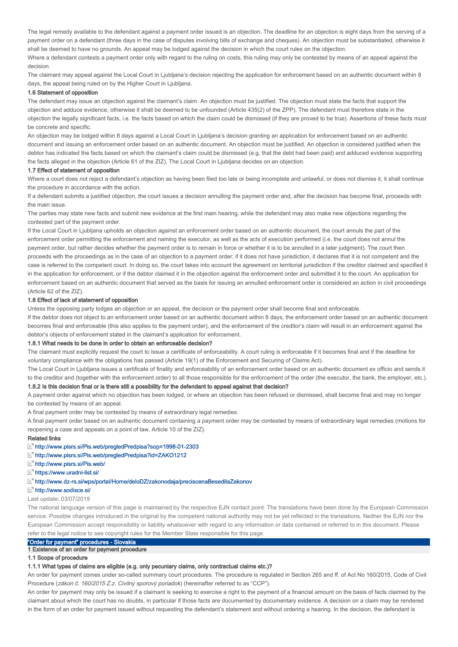The legal remedy available to the defendant against a payment order issued is an objection. The deadline for an objection is eight days from the serving of a payment order on a defendant (three days in the case of disputes involving bills of exchange and cheques). An objection must be substantiated, otherwise it shall be deemed to have no grounds. An appeal may be lodged against the decision in which the court rules on the objection.

Where a defendant contests a payment order only with regard to the ruling on costs, this ruling may only be contested by means of an appeal against the decision.

The claimant may appeal against the Local Court in Ljubljana's decision rejecting the application for enforcement based on an authentic document within 8 days, the appeal being ruled on by the Higher Court in Ljubljana.

### 1.6 Statement of opposition

The defendant may issue an objection against the claimant's claim. An objection must be justified. The objection must state the facts that support the objection and adduce evidence, otherwise it shall be deemed to be unfounded (Article 435(2) of the ZPP). The defendant must therefore state in the objection the legally significant facts, i.e. the facts based on which the claim could be dismissed (if they are proved to be true). Assertions of these facts must be concrete and specific.

An objection may be lodged within 8 days against a Local Court in Ljubljana's decision granting an application for enforcement based on an authentic document and issuing an enforcement order based on an authentic document. An objection must be justified. An objection is considered justified when the debtor has indicated the facts based on which the claimant's claim could be dismissed (e.g. that the debt had been paid) and adduced evidence supporting the facts alleged in the objection (Article 61 of the ZIZ). The Local Court in Ljubljana decides on an objection.

#### 1.7 Effect of statement of opposition

Where a court does not reject a defendant's objection as having been filed too late or being incomplete and unlawful, or does not dismiss it, it shall continue the procedure in accordance with the action.

If a defendant submits a justified objection, the court issues a decision annulling the payment order and, after the decision has become final, proceeds with the main issue.

The parties may state new facts and submit new evidence at the first main hearing, while the defendant may also make new objections regarding the contested part of the payment order.

If the Local Court in Ljubljana upholds an objection against an enforcement order based on an authentic document, the court annuls the part of the enforcement order permitting the enforcement and naming the executor, as well as the acts of execution performed (i.e. the court does not annul the payment order, but rather decides whether the payment order is to remain in force or whether it is to be annulled in a later judgment). The court then proceeds with the proceedings as in the case of an objection to a payment order; if it does not have jurisdiction, it declares that it is not competent and the case is referred to the competent court. In doing so, the court takes into account the agreement on territorial jurisdiction if the creditor claimed and specified it in the application for enforcement, or if the debtor claimed it in the objection against the enforcement order and submitted it to the court. An application for enforcement based on an authentic document that served as the basis for issuing an annulled enforcement order is considered an action in civil proceedings (Article 62 of the ZIZ).

## 1.8 Effect of lack of statement of opposition

Unless the opposing party lodges an objection or an appeal, the decision or the payment order shall become final and enforceable.

If the debtor does not object to an enforcement order based on an authentic document within 8 days, the enforcement order based on an authentic document becomes final and enforceable (this also applies to the payment order), and the enforcement of the creditor's claim will result in an enforcement against the debtor's objects of enforcement stated in the claimant's application for enforcement.

#### 1.8.1 What needs to be done in order to obtain an enforceable decision?

The claimant must explicitly request the court to issue a certificate of enforceability. A court ruling is enforceable if it becomes final and if the deadline for voluntary compliance with the obligations has passed (Article 19(1) of the Enforcement and Securing of Claims Act).

The Local Court in Ljubljana issues a certificate of finality and enforceability of an enforcement order based on an authentic document ex officio and sends it to the creditor and (together with the enforcement order) to all those responsible for the enforcement of the order (the executor, the bank, the employer, etc.). 1.8.2 Is this decision final or is there still a possibility for the defendant to appeal against that decision?

A payment order against which no objection has been lodged, or where an objection has been refused or dismissed, shall become final and may no longer be contested by means of an appeal.

A final payment order may be contested by means of extraordinary legal remedies.

A final payment order based on an authentic document containing a payment order may be contested by means of extraordinary legal remedies (motions for reopening a case and appeals on a point of law, Article 10 of the ZIZ).

#### Related links

- http://www.pisrs.si/Pis.web/pregledPredpisa?sop=1998-01-2303
- http://www.pisrs.si/Pis.web/pregledPredpisa?id=ZAKO1212
- http://www.pisrs.si/Pis.web/
- https://www.uradni-list.si/
- http://www.dz-rs.si/wps/portal/Home/deloDZ/zakonodaja/preciscenaBesedilaZakonov

### http://www.sodisce.si/

#### Last update: 03/07/2019

The national language version of this page is maintained by the respective EJN contact point. The translations have been done by the European Commission service. Possible changes introduced in the original by the competent national authority may not be yet reflected in the translations. Neither the EJN nor the European Commission accept responsibility or liability whatsoever with regard to any information or data contained or referred to in this document. Please refer to the legal notice to see copyright rules for the Member State responsible for this page.

# "Order for payment" procedures - Slovakia

# 1 Existence of an order for payment procedure

# 1.1 Scope of procedure

### 1.1.1 What types of claims are eligible (e.g. only pecuniary claims, only contractual claims etc.)?

An order for payment comes under so-called summary court procedures. The procedure is regulated in Section 265 and ff. of Act No 160/2015, Code of Civil Procedure (zákon č. 160/2015 Z.z. Civilný sporový poriadok) (hereinafter referred to as "CCP").

An order for payment may only be issued if a claimant is seeking to exercise a right to the payment of a financial amount on the basis of facts claimed by the claimant about which the court has no doubts, in particular if those facts are documented by documentary evidence. A decision on a claim may be rendered in the form of an order for payment issued without requesting the defendant's statement and without ordering a hearing. In the decision, the defendant is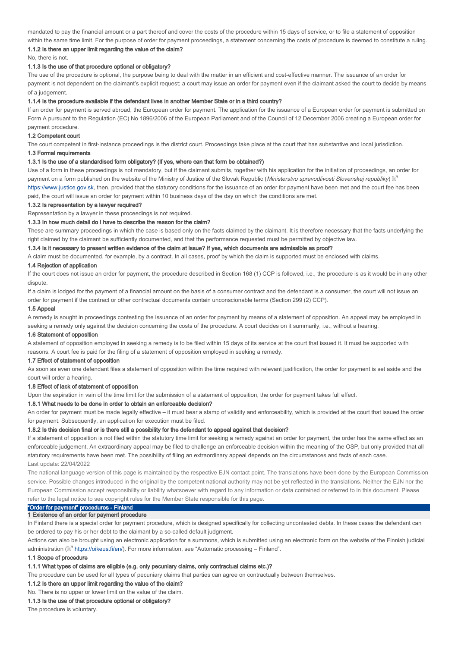mandated to pay the financial amount or a part thereof and cover the costs of the procedure within 15 days of service, or to file a statement of opposition within the same time limit. For the purpose of order for payment proceedings, a statement concerning the costs of procedure is deemed to constitute a ruling.

# 1.1.2 Is there an upper limit regarding the value of the claim?

No, there is not.

### 1.1.3 Is the use of that procedure optional or obligatory?

The use of the procedure is optional, the purpose being to deal with the matter in an efficient and cost-effective manner. The issuance of an order for payment is not dependent on the claimant's explicit request; a court may issue an order for payment even if the claimant asked the court to decide by means of a judgement.

#### 1.1.4 Is the procedure available if the defendant lives in another Member State or in a third country?

If an order for payment is served abroad, the European order for payment. The application for the issuance of a European order for payment is submitted on Form A pursuant to the Regulation (EC) No 1896/2006 of the European Parliament and of the Council of 12 December 2006 creating a European order for payment procedure.

#### 1.2 Competent court

The court competent in first-instance proceedings is the district court. Proceedings take place at the court that has substantive and local jurisdiction.

#### 1.3 Formal requirements

### 1.3.1 Is the use of a standardised form obligatory? (if yes, where can that form be obtained?)

Use of a form in these proceedings is not mandatory, but if the claimant submits, together with his application for the initiation of proceedings, an order for payment on a form published on the website of the Ministry of Justice of the Slovak Republic (Ministerstvo spravodlivosti Slovenskej republiky)  $\mathbb{E}^n$ https://www.justice.gov.sk, then, provided that the statutory conditions for the issuance of an order for payment have been met and the court fee has been paid, the court will issue an order for payment within 10 business days of the day on which the conditions are met.

### 1.3.2 Is representation by a lawyer required?

Representation by a lawyer in these proceedings is not required.

### 1.3.3 In how much detail do I have to describe the reason for the claim?

These are summary proceedings in which the case is based only on the facts claimed by the claimant. It is therefore necessary that the facts underlying the right claimed by the claimant be sufficiently documented, and that the performance requested must be permitted by objective law.

#### 1.3.4 Is it necessary to present written evidence of the claim at issue? If yes, which documents are admissible as proof?

A claim must be documented, for example, by a contract. In all cases, proof by which the claim is supported must be enclosed with claims.

#### 1.4 Rejection of application

If the court does not issue an order for payment, the procedure described in Section 168 (1) CCP is followed, i.e., the procedure is as it would be in any other dispute.

If a claim is lodged for the payment of a financial amount on the basis of a consumer contract and the defendant is a consumer, the court will not issue an order for payment if the contract or other contractual documents contain unconscionable terms (Section 299 (2) CCP).

### 1.5 Appeal

A remedy is sought in proceedings contesting the issuance of an order for payment by means of a statement of opposition. An appeal may be employed in seeking a remedy only against the decision concerning the costs of the procedure. A court decides on it summarily, i.e., without a hearing.

#### 1.6 Statement of opposition

A statement of opposition employed in seeking a remedy is to be filed within 15 days of its service at the court that issued it. It must be supported with reasons. A court fee is paid for the filing of a statement of opposition employed in seeking a remedy.

#### 1.7 Effect of statement of opposition

As soon as even one defendant files a statement of opposition within the time required with relevant justification, the order for payment is set aside and the court will order a hearing.

#### 1.8 Effect of lack of statement of opposition

Upon the expiration in vain of the time limit for the submission of a statement of opposition, the order for payment takes full effect.

### 1.8.1 What needs to be done in order to obtain an enforceable decision?

An order for payment must be made legally effective – it must bear a stamp of validity and enforceability, which is provided at the court that issued the order for payment. Subsequently, an application for execution must be filed.

### 1.8.2 Is this decision final or is there still a possibility for the defendant to appeal against that decision?

If a statement of opposition is not filed within the statutory time limit for seeking a remedy against an order for payment, the order has the same effect as an enforceable judgement. An extraordinary appeal may be filed to challenge an enforceable decision within the meaning of the OSP, but only provided that all statutory requirements have been met. The possibility of filing an extraordinary appeal depends on the circumstances and facts of each case. Last update: 22/04/2022

The national language version of this page is maintained by the respective EJN contact point. The translations have been done by the European Commission service. Possible changes introduced in the original by the competent national authority may not be yet reflected in the translations. Neither the EJN nor the European Commission accept responsibility or liability whatsoever with regard to any information or data contained or referred to in this document. Please refer to the legal notice to see copyright rules for the Member State responsible for this page.

### "Order for payment" procedures - Finland

### 1 Existence of an order for payment procedure

In Finland there is a special order for payment procedure, which is designed specifically for collecting uncontested debts. In these cases the defendant can be ordered to pay his or her debt to the claimant by a so-called default judgment.

Actions can also be brought using an electronic application for a summons, which is submitted using an electronic form on the website of the Finnish judicial administration (L<sup>orm</sup> https://oikeus.fi/en/). For more information, see "Automatic processing – Finland".

### 1.1 Scope of procedure

### 1.1.1 What types of claims are eligible (e.g. only pecuniary claims, only contractual claims etc.)?

The procedure can be used for all types of pecuniary claims that parties can agree on contractually between themselves.

1.1.2 Is there an upper limit regarding the value of the claim?

# No. There is no upper or lower limit on the value of the claim.

# 1.1.3 Is the use of that procedure optional or obligatory?

The procedure is voluntary.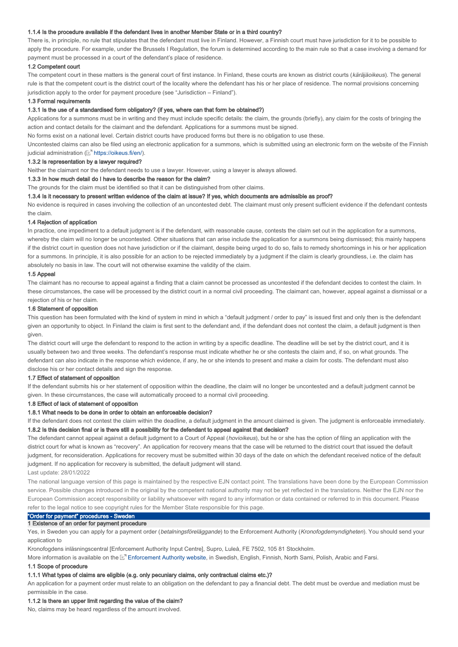### 1.1.4 Is the procedure available if the defendant lives in another Member State or in a third country?

There is, in principle, no rule that stipulates that the defendant must live in Finland. However, a Finnish court must have jurisdiction for it to be possible to apply the procedure. For example, under the Brussels I Regulation, the forum is determined according to the main rule so that a case involving a demand for payment must be processed in a court of the defendant's place of residence.

#### 1.2 Competent court

The competent court in these matters is the general court of first instance. In Finland, these courts are known as district courts (käräjäoikeus). The general rule is that the competent court is the district court of the locality where the defendant has his or her place of residence. The normal provisions concerning jurisdiction apply to the order for payment procedure (see "Jurisdiction – Finland").

#### 1.3 Formal requirements

#### 1.3.1 Is the use of a standardised form obligatory? (if yes, where can that form be obtained?)

Applications for a summons must be in writing and they must include specific details: the claim, the grounds (briefly), any claim for the costs of bringing the action and contact details for the claimant and the defendant. Applications for a summons must be signed.

No forms exist on a national level. Certain district courts have produced forms but there is no obligation to use these.

Uncontested claims can also be filed using an electronic application for a summons, which is submitted using an electronic form on the website of the Finnish judicial administration (L<sup>a</sup> https://oikeus.fi/en/).

#### 1.3.2 Is representation by a lawyer required?

Neither the claimant nor the defendant needs to use a lawyer. However, using a lawyer is always allowed.

#### 1.3.3 In how much detail do I have to describe the reason for the claim?

The grounds for the claim must be identified so that it can be distinguished from other claims.

#### 1.3.4 Is it necessary to present written evidence of the claim at issue? If yes, which documents are admissible as proof?

No evidence is required in cases involving the collection of an uncontested debt. The claimant must only present sufficient evidence if the defendant contests the claim.

### 1.4 Rejection of application

In practice, one impediment to a default judgment is if the defendant, with reasonable cause, contests the claim set out in the application for a summons, whereby the claim will no longer be uncontested. Other situations that can arise include the application for a summons being dismissed; this mainly happens if the district court in question does not have jurisdiction or if the claimant, despite being urged to do so, fails to remedy shortcomings in his or her application for a summons. In principle, it is also possible for an action to be rejected immediately by a judgment if the claim is clearly groundless, i.e. the claim has absolutely no basis in law. The court will not otherwise examine the validity of the claim.

### 1.5 Appeal

The claimant has no recourse to appeal against a finding that a claim cannot be processed as uncontested if the defendant decides to contest the claim. In these circumstances, the case will be processed by the district court in a normal civil proceeding. The claimant can, however, appeal against a dismissal or a rejection of his or her claim.

### 1.6 Statement of opposition

This question has been formulated with the kind of system in mind in which a "default judgment / order to pay" is issued first and only then is the defendant given an opportunity to object. In Finland the claim is first sent to the defendant and, if the defendant does not contest the claim, a default judgment is then given.

The district court will urge the defendant to respond to the action in writing by a specific deadline. The deadline will be set by the district court, and it is usually between two and three weeks. The defendant's response must indicate whether he or she contests the claim and, if so, on what grounds. The defendant can also indicate in the response which evidence, if any, he or she intends to present and make a claim for costs. The defendant must also disclose his or her contact details and sign the response.

#### 1.7 Effect of statement of opposition

If the defendant submits his or her statement of opposition within the deadline, the claim will no longer be uncontested and a default judgment cannot be given. In these circumstances, the case will automatically proceed to a normal civil proceeding.

### 1.8 Effect of lack of statement of opposition

### 1.8.1 What needs to be done in order to obtain an enforceable decision?

If the defendant does not contest the claim within the deadline, a default judgment in the amount claimed is given. The judgment is enforceable immediately. 1.8.2 Is this decision final or is there still a possibility for the defendant to appeal against that decision?

The defendant cannot appeal against a default judgment to a Court of Appeal (hovioikeus), but he or she has the option of filing an application with the district court for what is known as "recovery". An application for recovery means that the case will be returned to the district court that issued the default judgment, for reconsideration. Applications for recovery must be submitted within 30 days of the date on which the defendant received notice of the default judgment. If no application for recovery is submitted, the default judgment will stand.

#### Last update: 28/01/2022

The national language version of this page is maintained by the respective EJN contact point. The translations have been done by the European Commission service. Possible changes introduced in the original by the competent national authority may not be yet reflected in the translations. Neither the EJN nor the European Commission accept responsibility or liability whatsoever with regard to any information or data contained or referred to in this document. Please refer to the legal notice to see copyright rules for the Member State responsible for this page.

# "Order for payment" procedures - Sweden

#### 1 Existence of an order for payment procedure

Yes, in Sweden you can apply for a payment order (betalningsföreläggande) to the Enforcement Authority (Kronofogdemyndigheten). You should send your application to

Kronofogdens inläsningscentral [Enforcement Authority Input Centre], Supro, Luleå, FE 7502, 105 81 Stockholm.

More information is available on the L'" Enforcement Authority website, in Swedish, English, Finnish, North Sami, Polish, Arabic and Farsi.

#### 1.1 Scope of procedure

### 1.1.1 What types of claims are eligible (e.g. only pecuniary claims, only contractual claims etc.)?

An application for a payment order must relate to an obligation on the defendant to pay a financial debt. The debt must be overdue and mediation must be permissible in the case.

### 1.1.2 Is there an upper limit regarding the value of the claim?

No, claims may be heard regardless of the amount involved.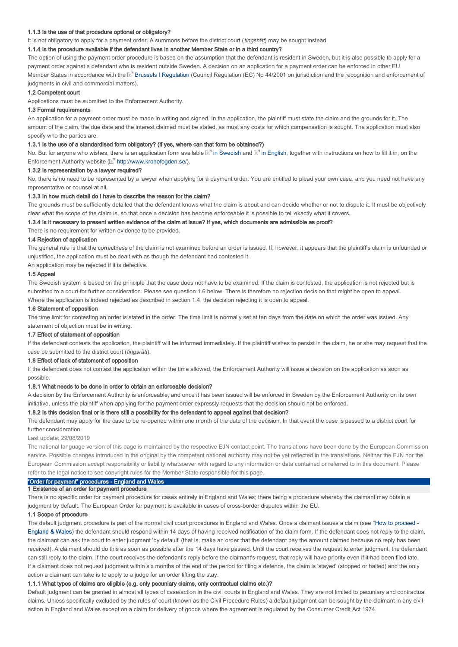#### 1.1.3 Is the use of that procedure optional or obligatory?

It is not obligatory to apply for a payment order. A summons before the district court (*tingsrätt*) may be sought instead.

### 1.1.4 Is the procedure available if the defendant lives in another Member State or in a third country?

The option of using the payment order procedure is based on the assumption that the defendant is resident in Sweden, but it is also possible to apply for a payment order against a defendant who is resident outside Sweden. A decision on an application for a payment order can be enforced in other EU Member States in accordance with the L<sup>er</sup> Brussels I Regulation (Council Regulation (EC) No 44/2001 on jurisdiction and the recognition and enforcement of judgments in civil and commercial matters).

#### 1.2 Competent court

Applications must be submitted to the Enforcement Authority.

#### 1.3 Formal requirements

An application for a payment order must be made in writing and signed. In the application, the plaintiff must state the claim and the grounds for it. The amount of the claim, the due date and the interest claimed must be stated, as must any costs for which compensation is sought. The application must also specify who the parties are.

#### 1.3.1 Is the use of a standardised form obligatory? (if yes, where can that form be obtained?)

No. But for anyone who wishes, there is an application form available  $\mathbb{E}^n$  in Swedish and  $\mathbb{E}^n$  in English, together with instructions on how to fill it in, on the Enforcement Authority website (Mothtp://www.kronofogden.se/).

#### 1.3.2 Is representation by a lawyer required?

No, there is no need to be represented by a lawyer when applying for a payment order. You are entitled to plead your own case, and you need not have any representative or counsel at all.

#### 1.3.3 In how much detail do I have to describe the reason for the claim?

The grounds must be sufficiently detailed that the defendant knows what the claim is about and can decide whether or not to dispute it. It must be objectively clear what the scope of the claim is, so that once a decision has become enforceable it is possible to tell exactly what it covers.

#### 1.3.4 Is it necessary to present written evidence of the claim at issue? If yes, which documents are admissible as proof?

There is no requirement for written evidence to be provided.

### 1.4 Rejection of application

The general rule is that the correctness of the claim is not examined before an order is issued. If, however, it appears that the plaintiff's claim is unfounded or unjustified, the application must be dealt with as though the defendant had contested it.

An application may be rejected if it is defective.

### 1.5 Appeal

The Swedish system is based on the principle that the case does not have to be examined. If the claim is contested, the application is not rejected but is submitted to a court for further consideration. Please see question 1.6 below. There is therefore no rejection decision that might be open to appeal. Where the application is indeed rejected as described in section 1.4, the decision rejecting it is open to appeal.

### 1.6 Statement of opposition

The time limit for contesting an order is stated in the order. The time limit is normally set at ten days from the date on which the order was issued. Any statement of objection must be in writing.

#### 1.7 Effect of statement of opposition

If the defendant contests the application, the plaintiff will be informed immediately. If the plaintiff wishes to persist in the claim, he or she may request that the case be submitted to the district court (tingsrätt).

#### 1.8 Effect of lack of statement of opposition

If the defendant does not contest the application within the time allowed, the Enforcement Authority will issue a decision on the application as soon as possible.

### 1.8.1 What needs to be done in order to obtain an enforceable decision?

A decision by the Enforcement Authority is enforceable, and once it has been issued will be enforced in Sweden by the Enforcement Authority on its own initiative, unless the plaintiff when applying for the payment order expressly requests that the decision should not be enforced.

### 1.8.2 Is this decision final or is there still a possibility for the defendant to appeal against that decision?

The defendant may apply for the case to be re-opened within one month of the date of the decision. In that event the case is passed to a district court for further consideration.

#### Last update: 29/08/2019

The national language version of this page is maintained by the respective EJN contact point. The translations have been done by the European Commission service. Possible changes introduced in the original by the competent national authority may not be yet reflected in the translations. Neither the EJN nor the European Commission accept responsibility or liability whatsoever with regard to any information or data contained or referred to in this document. Please refer to the legal notice to see copyright rules for the Member State responsible for this page.

## "Order for payment" procedures - England and Wales

#### 1 Existence of an order for payment procedure

There is no specific order for payment procedure for cases entirely in England and Wales; there being a procedure whereby the claimant may obtain a judgment by default. The European Order for payment is available in cases of cross-border disputes within the EU.

#### 1.1 Scope of procedure

The default judgment procedure is part of the normal civil court procedures in England and Wales. Once a claimant issues a claim (see " How to proceed - England & Wales) the defendant should respond within 14 days of having received notification of the claim form. If the defendant does not reply to the claim, the claimant can ask the court to enter judgment 'by default' (that is, make an order that the defendant pay the amount claimed because no reply has been received). A claimant should do this as soon as possible after the 14 days have passed. Until the court receives the request to enter judgment, the defendant can still reply to the claim. If the court receives the defendant's reply before the claimant's request, that reply will have priority even if it had been filed late. If a claimant does not request judgment within six months of the end of the period for filing a defence, the claim is 'stayed' (stopped or halted) and the only action a claimant can take is to apply to a judge for an order lifting the stay.

### 1.1.1 What types of claims are eligible (e.g. only pecuniary claims, only contractual claims etc.)?

Default judgment can be granted in almost all types of case/action in the civil courts in England and Wales. They are not limited to pecuniary and contractual claims. Unless specifically excluded by the rules of court (known as the Civil Procedure Rules) a default judgment can be sought by the claimant in any civil action in England and Wales except on a claim for delivery of goods where the agreement is regulated by the Consumer Credit Act 1974.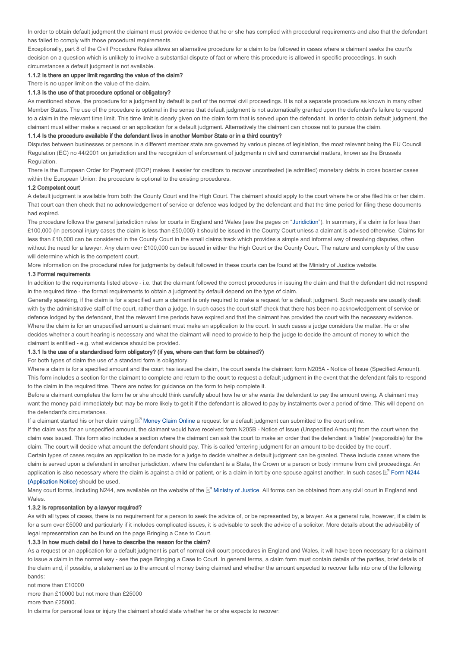In order to obtain default judgment the claimant must provide evidence that he or she has complied with procedural requirements and also that the defendant has failed to comply with those procedural requirements.

Exceptionally, part 8 of the Civil Procedure Rules allows an alternative procedure for a claim to be followed in cases where a claimant seeks the court's decision on a question which is unlikely to involve a substantial dispute of fact or where this procedure is allowed in specific proceedings. In such circumstances a default judgment is not available.

### 1.1.2 Is there an upper limit regarding the value of the claim?

There is no upper limit on the value of the claim.

#### 1.1.3 Is the use of that procedure optional or obligatory?

As mentioned above, the procedure for a judgment by default is part of the normal civil proceedings. It is not a separate procedure as known in many other Member States. The use of the procedure is optional in the sense that default judgment is not automatically granted upon the defendant's failure to respond to a claim in the relevant time limit. This time limit is clearly given on the claim form that is served upon the defendant. In order to obtain default judgment, the claimant must either make a request or an application for a default judgment. Alternatively the claimant can choose not to pursue the claim.

### 1.1.4 Is the procedure available if the defendant lives in another Member State or in a third country?

Disputes between businesses or persons in a different member state are governed by various pieces of legislation, the most relevant being the EU Council Regulation (EC) no 44/2001 on jurisdiction and the recognition of enforcement of judgments n civil and commercial matters, known as the Brussels Regulation.

There is the European Order for Payment (EOP) makes it easier for creditors to recover uncontested (ie admitted) monetary debts in cross boarder cases within the European Union; the procedure is optional to the existing procedures.

#### 1.2 Competent court

A default judgment is available from both the County Court and the High Court. The claimant should apply to the court where he or she filed his or her claim. That court can then check that no acknowledgement of service or defence was lodged by the defendant and that the time period for filing these documents had expired.

The procedure follows the general jurisdiction rules for courts in England and Wales (see the pages on "Juridiction"). In summary, if a claim is for less than £100,000 (in personal injury cases the claim is less than £50,000) it should be issued in the County Court unless a claimant is advised otherwise. Claims for less than £10,000 can be considered in the County Court in the small claims track which provides a simple and informal way of resolving disputes, often without the need for a lawyer. Any claim over £100,000 can be issued in either the High Court or the County Court. The nature and complexity of the case will determine which is the competent court.

More information on the procedural rules for judgments by default followed in these courts can be found at the Ministry of Justice website.

### 1.3 Formal requirements

In addition to the requirements listed above - i.e. that the claimant followed the correct procedures in issuing the claim and that the defendant did not respond in the required time - the formal requirements to obtain a judgment by default depend on the type of claim.

Generally speaking, if the claim is for a specified sum a claimant is only required to make a request for a default judgment. Such requests are usually dealt with by the administrative staff of the court, rather than a judge. In such cases the court staff check that there has been no acknowledgement of service or defence lodged by the defendant, that the relevant time periods have expired and that the claimant has provided the court with the necessary evidence. Where the claim is for an unspecified amount a claimant must make an application to the court. In such cases a judge considers the matter. He or she decides whether a court hearing is necessary and what the claimant will need to provide to help the judge to decide the amount of money to which the claimant is entitled - e.g. what evidence should be provided.

### 1.3.1 Is the use of a standardised form obligatory? (if yes, where can that form be obtained?)

For both types of claim the use of a standard form is obligatory.

Where a claim is for a specified amount and the court has issued the claim, the court sends the claimant form N205A - Notice of Issue (Specified Amount). This form includes a section for the claimant to complete and return to the court to request a default judgment in the event that the defendant fails to respond to the claim in the required time. There are notes for guidance on the form to help complete it.

Before a claimant completes the form he or she should think carefully about how he or she wants the defendant to pay the amount owing. A claimant may want the money paid immediately but may be more likely to get it if the defendant is allowed to pay by instalments over a period of time. This will depend on the defendant's circumstances.

If a claimant started his or her claim using  $\mathbb{E}^n$  Money Claim Online a request for a default judgment can submitted to the court online.

If the claim was for an unspecified amount, the claimant would have received form N205B - Notice of Issue (Unspecified Amount) from the court when the claim was issued. This form also includes a section where the claimant can ask the court to make an order that the defendant is 'liable' (responsible) for the claim. The court will decide what amount the defendant should pay. This is called 'entering judgment for an amount to be decided by the court'.

Certain types of cases require an application to be made for a judge to decide whether a default judgment can be granted. These include cases where the claim is served upon a defendant in another jurisdiction, where the defendant is a State, the Crown or a person or body immune from civil proceedings. An application is also necessary where the claim is against a child or patient, or is a claim in tort by one spouse against another. In such cases  $\mathbb{E}^n$  Form N244 (Application Notice) should be used.

Many court forms, including N244, are available on the website of the L<sup>e</sup> Ministry of Justice. All forms can be obtained from any civil court in England and Wales.

#### 1.3.2 Is representation by a lawyer required?

As with all types of cases, there is no requirement for a person to seek the advice of, or be represented by, a lawyer. As a general rule, however, if a claim is for a sum over £5000 and particularly if it includes complicated issues, it is advisable to seek the advice of a solicitor. More details about the advisability of legal representation can be found on the page Bringing a Case to Court.

### 1.3.3 In how much detail do I have to describe the reason for the claim?

As a request or an application for a default judgment is part of normal civil court procedures in England and Wales, it will have been necessary for a claimant to issue a claim in the normal way - see the page Bringing a Case to Court. In general terms, a claim form must contain details of the parties, brief details of the claim and, if possible, a statement as to the amount of money being claimed and whether the amount expected to recover falls into one of the following bands:

not more than £10000

more than £10000 but not more than £25000

more than £25000.

In claims for personal loss or injury the claimant should state whether he or she expects to recover: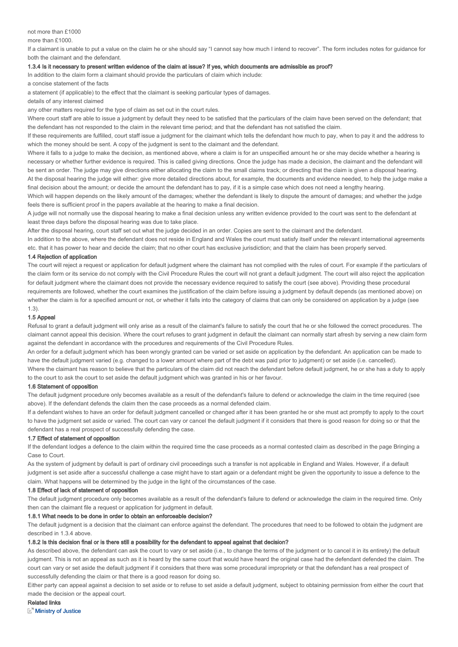#### not more than £1000

more than £1000.

If a claimant is unable to put a value on the claim he or she should say "I cannot say how much I intend to recover". The form includes notes for guidance for both the claimant and the defendant.

#### 1.3.4 Is it necessary to present written evidence of the claim at issue? If yes, which documents are admissible as proof?

In addition to the claim form a claimant should provide the particulars of claim which include:

a concise statement of the facts

a statement (if applicable) to the effect that the claimant is seeking particular types of damages.

details of any interest claimed

any other matters required for the type of claim as set out in the court rules.

Where court staff are able to issue a judgment by default they need to be satisfied that the particulars of the claim have been served on the defendant; that the defendant has not responded to the claim in the relevant time period; and that the defendant has not satisfied the claim.

If these requirements are fulfilled, court staff issue a judgment for the claimant which tells the defendant how much to pay, when to pay it and the address to which the money should be sent. A copy of the judgment is sent to the claimant and the defendant.

Where it falls to a judge to make the decision, as mentioned above, where a claim is for an unspecified amount he or she may decide whether a hearing is necessary or whether further evidence is required. This is called giving directions. Once the judge has made a decision, the claimant and the defendant will be sent an order. The judge may give directions either allocating the claim to the small claims track; or directing that the claim is given a disposal hearing. At the disposal hearing the judge will either: give more detailed directions about, for example, the documents and evidence needed, to help the judge make a final decision about the amount; or decide the amount the defendant has to pay, if it is a simple case which does not need a lengthy hearing.

Which will happen depends on the likely amount of the damages; whether the defendant is likely to dispute the amount of damages; and whether the judge feels there is sufficient proof in the papers available at the hearing to make a final decision.

A judge will not normally use the disposal hearing to make a final decision unless any written evidence provided to the court was sent to the defendant at least three days before the disposal hearing was due to take place.

After the disposal hearing, court staff set out what the judge decided in an order. Copies are sent to the claimant and the defendant.

In addition to the above, where the defendant does not reside in England and Wales the court must satisfy itself under the relevant international agreements etc. that it has power to hear and decide the claim; that no other court has exclusive jurisdiction; and that the claim has been properly served.

### 1.4 Rejection of application

The court will reject a request or application for default judgment where the claimant has not complied with the rules of court. For example if the particulars of the claim form or its service do not comply with the Civil Procedure Rules the court will not grant a default judgment. The court will also reject the application for default judgment where the claimant does not provide the necessary evidence required to satisfy the court (see above). Providing these procedural requirements are followed, whether the court examines the justification of the claim before issuing a judgment by default depends (as mentioned above) on whether the claim is for a specified amount or not, or whether it falls into the category of claims that can only be considered on application by a judge (see 1.3).

#### 1.5 Appeal

Refusal to grant a default judgment will only arise as a result of the claimant's failure to satisfy the court that he or she followed the correct procedures. The claimant cannot appeal this decision. Where the court refuses to grant judgment in default the claimant can normally start afresh by serving a new claim form against the defendant in accordance with the procedures and requirements of the Civil Procedure Rules.

An order for a default judgment which has been wrongly granted can be varied or set aside on application by the defendant. An application can be made to have the default judgment varied (e.g. changed to a lower amount where part of the debt was paid prior to judgment) or set aside (i.e. cancelled).

Where the claimant has reason to believe that the particulars of the claim did not reach the defendant before default judgment, he or she has a duty to apply to the court to ask the court to set aside the default judgment which was granted in his or her favour.

### 1.6 Statement of opposition

The default judgment procedure only becomes available as a result of the defendant's failure to defend or acknowledge the claim in the time required (see above). If the defendant defends the claim then the case proceeds as a normal defended claim.

If a defendant wishes to have an order for default judgment cancelled or changed after it has been granted he or she must act promptly to apply to the court to have the judgment set aside or varied. The court can vary or cancel the default judgment if it considers that there is good reason for doing so or that the defendant has a real prospect of successfully defending the case.

### 1.7 Effect of statement of opposition

If the defendant lodges a defence to the claim within the required time the case proceeds as a normal contested claim as described in the page Bringing a Case to Court.

As the system of judgment by default is part of ordinary civil proceedings such a transfer is not applicable in England and Wales. However, if a default judgment is set aside after a successful challenge a case might have to start again or a defendant might be given the opportunity to issue a defence to the claim. What happens will be determined by the judge in the light of the circumstances of the case.

### 1.8 Effect of lack of statement of opposition

The default judgment procedure only becomes available as a result of the defendant's failure to defend or acknowledge the claim in the required time. Only then can the claimant file a request or application for judgment in default.

### 1.8.1 What needs to be done in order to obtain an enforceable decision?

The default judgment is a decision that the claimant can enforce against the defendant. The procedures that need to be followed to obtain the judgment are described in 1.3.4 above.

# 1.8.2 Is this decision final or is there still a possibility for the defendant to appeal against that decision?

As described above, the defendant can ask the court to vary or set aside (i.e., to change the terms of the judgment or to cancel it in its entirety) the default judgment. This is not an appeal as such as it is heard by the same court that would have heard the original case had the defendant defended the claim. The court can vary or set aside the default judgment if it considers that there was some procedural impropriety or that the defendant has a real prospect of successfully defending the claim or that there is a good reason for doing so.

Either party can appeal against a decision to set aside or to refuse to set aside a default judgment, subject to obtaining permission from either the court that made the decision or the appeal court.

### Related links

**Ministry of Justice**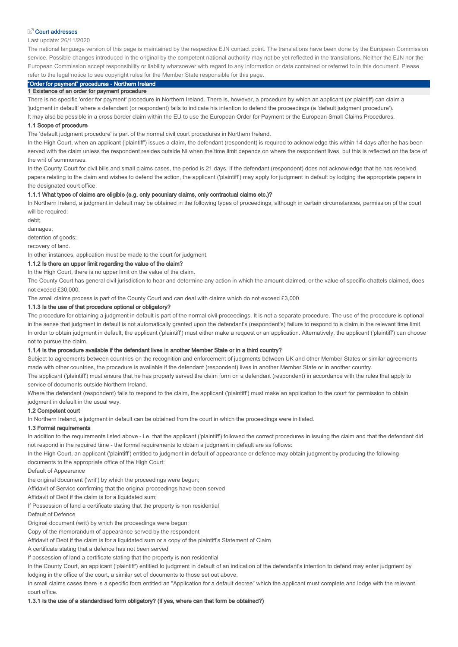### **D**<sup>7</sup> Court addresses

### Last update: 26/11/2020

The national language version of this page is maintained by the respective EJN contact point. The translations have been done by the European Commission service. Possible changes introduced in the original by the competent national authority may not be yet reflected in the translations. Neither the EJN nor the European Commission accept responsibility or liability whatsoever with regard to any information or data contained or referred to in this document. Please refer to the legal notice to see copyright rules for the Member State responsible for this page.

# "Order for payment" procedures - Northern Ireland

### 1 Existence of an order for payment procedure

There is no specific 'order for payment' procedure in Northern Ireland. There is, however, a procedure by which an applicant (or plaintiff) can claim a 'judgment in default' where a defendant (or respondent) fails to indicate his intention to defend the proceedings (a 'default judgment procedure'). It may also be possible in a cross border claim within the EU to use the European Order for Payment or the European Small Claims Procedures.

#### 1.1 Scope of procedure

The 'default judgment procedure' is part of the normal civil court procedures in Northern Ireland.

In the High Court, when an applicant ('plaintiff') issues a claim, the defendant (respondent) is required to acknowledge this within 14 days after he has been served with the claim unless the respondent resides outside NI when the time limit depends on where the respondent lives, but this is reflected on the face of the writ of summonses.

In the County Court for civil bills and small claims cases, the period is 21 days. If the defendant (respondent) does not acknowledge that he has received papers relating to the claim and wishes to defend the action, the applicant ('plaintiff') may apply for judgment in default by lodging the appropriate papers in the designated court office.

### 1.1.1 What types of claims are eligible (e.g. only pecuniary claims, only contractual claims etc.)?

In Northern Ireland, a judgment in default may be obtained in the following types of proceedings, although in certain circumstances, permission of the court will be required:

debt;

damages;

detention of goods;

recovery of land.

In other instances, application must be made to the court for judgment.

# 1.1.2 Is there an upper limit regarding the value of the claim?

In the High Court, there is no upper limit on the value of the claim.

The County Court has general civil jurisdiction to hear and determine any action in which the amount claimed, or the value of specific chattels claimed, does not exceed £30,000.

The small claims process is part of the County Court and can deal with claims which do not exceed £3,000.

### 1.1.3 Is the use of that procedure optional or obligatory?

The procedure for obtaining a judgment in default is part of the normal civil proceedings. It is not a separate procedure. The use of the procedure is optional in the sense that judgment in default is not automatically granted upon the defendant's (respondent's) failure to respond to a claim in the relevant time limit. In order to obtain judgment in default, the applicant ('plaintiff') must either make a request or an application. Alternatively, the applicant ('plaintiff') can choose not to pursue the claim.

### 1.1.4 Is the procedure available if the defendant lives in another Member State or in a third country?

Subject to agreements between countries on the recognition and enforcement of judgments between UK and other Member States or similar agreements made with other countries, the procedure is available if the defendant (respondent) lives in another Member State or in another country.

The applicant ('plaintiff') must ensure that he has properly served the claim form on a defendant (respondent) in accordance with the rules that apply to service of documents outside Northern Ireland.

Where the defendant (respondent) fails to respond to the claim, the applicant ('plaintiff') must make an application to the court for permission to obtain judgment in default in the usual way.

### 1.2 Competent court

In Northern Ireland, a judgment in default can be obtained from the court in which the proceedings were initiated.

#### 1.3 Formal requirements

In addition to the requirements listed above - i.e. that the applicant ('plaintiff') followed the correct procedures in issuing the claim and that the defendant did not respond in the required time - the formal requirements to obtain a judgment in default are as follows:

In the High Court, an applicant ('plaintiff') entitled to judgment in default of appearance or defence may obtain judgment by producing the following documents to the appropriate office of the High Court:

Default of Appearance

the original document ('writ') by which the proceedings were begun;

Affidavit of Service confirming that the original proceedings have been served

Affidavit of Debt if the claim is for a liquidated sum:

If Possession of land a certificate stating that the property is non residential

Default of Defence

Original document (writ) by which the proceedings were begun;

Copy of the memorandum of appearance served by the respondent

Affidavit of Debt if the claim is for a liquidated sum or a copy of the plaintiff's Statement of Claim

A certificate stating that a defence has not been served

If possession of land a certificate stating that the property is non residential

In the County Court, an applicant ('plaintiff') entitled to judgment in default of an indication of the defendant's intention to defend may enter judgment by lodging in the office of the court, a similar set of documents to those set out above.

In small claims cases there is a specific form entitled an "Application for a default decree" which the applicant must complete and lodge with the relevant court office.

#### 1.3.1 Is the use of a standardised form obligatory? (if yes, where can that form be obtained?)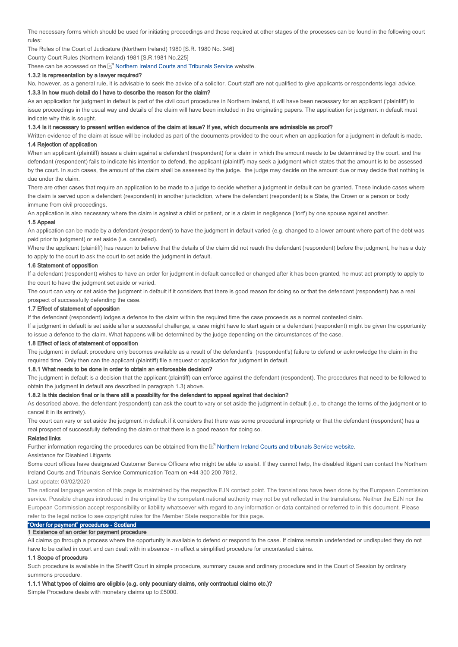The necessary forms which should be used for initiating proceedings and those required at other stages of the processes can be found in the following court rules:

The Rules of the Court of Judicature (Northern Ireland) 1980 [S.R. 1980 No. 346]

County Court Rules (Northern Ireland) 1981 [S.R.1981 No.225]

These can be accessed on the  $\mathbb{E}^n$  Northern Ireland Courts and Tribunals Service website.

### 1.3.2 Is representation by a lawyer required?

No, however, as a general rule, it is advisable to seek the advice of a solicitor. Court staff are not qualified to give applicants or respondents legal advice. 1.3.3 In how much detail do I have to describe the reason for the claim?

As an application for judgment in default is part of the civil court procedures in Northern Ireland, it will have been necessary for an applicant ('plaintiff') to issue proceedings in the usual way and details of the claim will have been included in the originating papers. The application for judgment in default must indicate why this is sought.

#### 1.3.4 Is it necessary to present written evidence of the claim at issue? If yes, which documents are admissible as proof?

Written evidence of the claim at issue will be included as part of the documents provided to the court when an application for a judgment in default is made. 1.4 Rejection of application

When an applicant (plaintiff) issues a claim against a defendant (respondent) for a claim in which the amount needs to be determined by the court, and the defendant (respondent) fails to indicate his intention to defend, the applicant (plaintiff) may seek a judgment which states that the amount is to be assessed by the court. In such cases, the amount of the claim shall be assessed by the judge. the judge may decide on the amount due or may decide that nothing is due under the claim.

There are other cases that require an application to be made to a judge to decide whether a judgment in default can be granted. These include cases where the claim is served upon a defendant (respondent) in another jurisdiction, where the defendant (respondent) is a State, the Crown or a person or body immune from civil proceedings.

An application is also necessary where the claim is against a child or patient, or is a claim in negligence ('tort') by one spouse against another.

#### 1.5 Appeal

An application can be made by a defendant (respondent) to have the judgment in default varied (e.g. changed to a lower amount where part of the debt was paid prior to judgment) or set aside (i.e. cancelled).

Where the applicant (plaintiff) has reason to believe that the details of the claim did not reach the defendant (respondent) before the judgment, he has a duty to apply to the court to ask the court to set aside the judgment in default.

### 1.6 Statement of opposition

If a defendant (respondent) wishes to have an order for judgment in default cancelled or changed after it has been granted, he must act promptly to apply to the court to have the judgment set aside or varied.

The court can vary or set aside the judgment in default if it considers that there is good reason for doing so or that the defendant (respondent) has a real prospect of successfully defending the case.

### 1.7 Effect of statement of opposition

If the defendant (respondent) lodges a defence to the claim within the required time the case proceeds as a normal contested claim.

If a judgment in default is set aside after a successful challenge, a case might have to start again or a defendant (respondent) might be given the opportunity to issue a defence to the claim. What happens will be determined by the judge depending on the circumstances of the case.

### 1.8 Effect of lack of statement of opposition

The judgment in default procedure only becomes available as a result of the defendant's (respondent's) failure to defend or acknowledge the claim in the required time. Only then can the applicant (plaintiff) file a request or application for judgment in default.

### 1.8.1 What needs to be done in order to obtain an enforceable decision?

The judgment in default is a decision that the applicant (plaintiff) can enforce against the defendant (respondent). The procedures that need to be followed to obtain the judgment in default are described in paragraph 1.3) above.

### 1.8.2 Is this decision final or is there still a possibility for the defendant to appeal against that decision?

As described above, the defendant (respondent) can ask the court to vary or set aside the judgment in default (i.e., to change the terms of the judgment or to cancel it in its entirety).

The court can vary or set aside the judgment in default if it considers that there was some procedural impropriety or that the defendant (respondent) has a real prospect of successfully defending the claim or that there is a good reason for doing so.

#### Related links

Further information regarding the procedures can be obtained from the Lan Northern Ireland Courts and tribunals Service website.

Assistance for Disabled Litigants

Some court offices have designated Customer Service Officers who might be able to assist. If they cannot help, the disabled litigant can contact the Northern Ireland Courts and Tribunals Service Communication Team on +44 300 200 7812.

Last update: 03/02/2020

The national language version of this page is maintained by the respective EJN contact point. The translations have been done by the European Commission service. Possible changes introduced in the original by the competent national authority may not be yet reflected in the translations. Neither the EJN nor the European Commission accept responsibility or liability whatsoever with regard to any information or data contained or referred to in this document. Please refer to the legal notice to see copyright rules for the Member State responsible for this page.

### "Order for payment" procedures - Scotland 1 Existence of an order for payment procedure

All claims go through a process where the opportunity is available to defend or respond to the case. If claims remain undefended or undisputed they do not have to be called in court and can dealt with in absence - in effect a simplified procedure for uncontested claims.

### 1.1 Scope of procedure

Such procedure is available in the Sheriff Court in simple procedure, summary cause and ordinary procedure and in the Court of Session by ordinary summons procedure.

#### 1.1.1 What types of claims are eligible (e.g. only pecuniary claims, only contractual claims etc.)?

Simple Procedure deals with monetary claims up to £5000.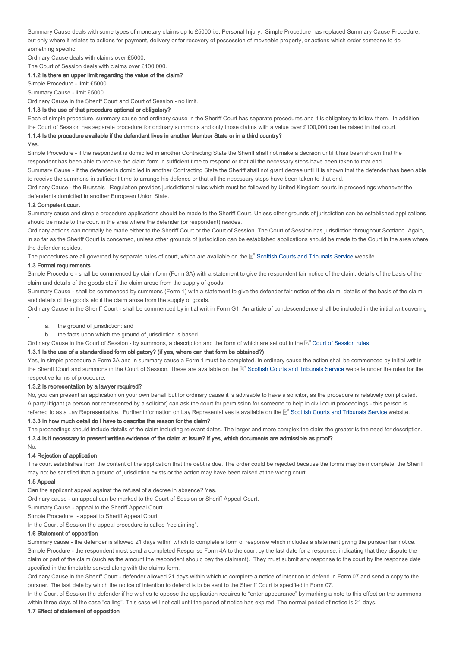Summary Cause deals with some types of monetary claims up to £5000 i.e. Personal Injury. Simple Procedure has replaced Summary Cause Procedure, but only where it relates to actions for payment, delivery or for recovery of possession of moveable property, or actions which order someone to do something specific.

Ordinary Cause deals with claims over £5000.

The Court of Session deals with claims over £100,000.

### 1.1.2 Is there an upper limit regarding the value of the claim?

Simple Procedure - limit £5000.

Summary Cause - limit £5000.

Ordinary Cause in the Sheriff Court and Court of Session - no limit.

### 1.1.3 Is the use of that procedure optional or obligatory?

Each of simple procedure, summary cause and ordinary cause in the Sheriff Court has separate procedures and it is obligatory to follow them. In addition, the Court of Session has separate procedure for ordinary summons and only those claims with a value over £100,000 can be raised in that court.

# 1.1.4 Is the procedure available if the defendant lives in another Member State or in a third country?

Yes

-

Simple Procedure - if the respondent is domiciled in another Contracting State the Sheriff shall not make a decision until it has been shown that the respondent has been able to receive the claim form in sufficient time to respond or that all the necessary steps have been taken to that end.

Summary Cause - if the defender is domiciled in another Contracting State the Sheriff shall not grant decree until it is shown that the defender has been able to receive the summons in sufficient time to arrange his defence or that all the necessary steps have been taken to that end.

Ordinary Cause - the Brussels I Regulation provides jurisdictional rules which must be followed by United Kingdom courts in proceedings whenever the defender is domiciled in another European Union State.

### 1.2 Competent court

Summary cause and simple procedure applications should be made to the Sheriff Court. Unless other grounds of jurisdiction can be established applications should be made to the court in the area where the defender (or respondent) resides.

Ordinary actions can normally be made either to the Sheriff Court or the Court of Session. The Court of Session has jurisdiction throughout Scotland. Again, in so far as the Sheriff Court is concerned, unless other grounds of jurisdiction can be established applications should be made to the Court in the area where the defender resides.

The procedures are all governed by separate rules of court, which are available on the L'" Scottish Courts and Tribunals Service website.

### 1.3 Formal requirements

Simple Procedure - shall be commenced by claim form (Form 3A) with a statement to give the respondent fair notice of the claim, details of the basis of the claim and details of the goods etc if the claim arose from the supply of goods.

Summary Cause - shall be commenced by summons (Form 1) with a statement to give the defender fair notice of the claim, details of the basis of the claim and details of the goods etc if the claim arose from the supply of goods.

Ordinary Cause in the Sheriff Court - shall be commenced by initial writ in Form G1. An article of condescendence shall be included in the initial writ covering

- a. the ground of jurisdiction: and
- b. the facts upon which the ground of jurisdiction is based.

Ordinary Cause in the Court of Session - by summons, a description and the form of which are set out in the E<sup>r</sup> Court of Session rules.

### 1.3.1 Is the use of a standardised form obligatory? (if yes, where can that form be obtained?)

Yes, in simple procedure a Form 3A and in summary cause a Form 1 must be completed. In ordinary cause the action shall be commenced by initial writ in the Sheriff Court and summons in the Court of Session. These are available on the M' Scottish Courts and Tribunals Service website under the rules for the respective forms of procedure.

#### 1.3.2 Is representation by a lawyer required?

No, you can present an application on your own behalf but for ordinary cause it is advisable to have a solicitor, as the procedure is relatively complicated. A party litigant (a person not represented by a solicitor) can ask the court for permission for someone to help in civil court proceedings - this person is referred to as a Lay Representative. Further information on Lay Representatives is available on the ⊠' Scottish Courts and Tribunals Service website.

#### 1.3.3 In how much detail do I have to describe the reason for the claim?

The proceedings should include details of the claim including relevant dates. The larger and more complex the claim the greater is the need for description. 1.3.4 Is it necessary to present written evidence of the claim at issue? If yes, which documents are admissible as proof?

### 1.4 Rejection of application

The court establishes from the content of the application that the debt is due. The order could be rejected because the forms may be incomplete, the Sheriff may not be satisfied that a ground of jurisdiction exists or the action may have been raised at the wrong court.

### 1.5 Appeal

No.

Can the applicant appeal against the refusal of a decree in absence? Yes.

Ordinary cause - an appeal can be marked to the Court of Session or Sheriff Appeal Court.

Summary Cause - appeal to the Sheriff Appeal Court.

Simple Procedure - appeal to Sheriff Appeal Court.

In the Court of Session the appeal procedure is called "reclaiming".

### 1.6 Statement of opposition

Summary cause - the defender is allowed 21 days within which to complete a form of response which includes a statement giving the pursuer fair notice. Simple Procdure - the respondent must send a completed Response Form 4A to the court by the last date for a response, indicating that they dispute the claim or part of the claim (such as the amount the respondent should pay the claimant). They must submit any response to the court by the response date specified in the timetable served along with the claims form.

Ordinary Cause in the Sheriff Court - defender allowed 21 days within which to complete a notice of intention to defend in Form 07 and send a copy to the pursuer. The last date by which the notice of intention to defend is to be sent to the Sheriff Court is specified in Form 07.

In the Court of Session the defender if he wishes to oppose the application requires to "enter appearance" by marking a note to this effect on the summons within three days of the case "calling". This case will not call until the period of notice has expired. The normal period of notice is 21 days.

### 1.7 Effect of statement of opposition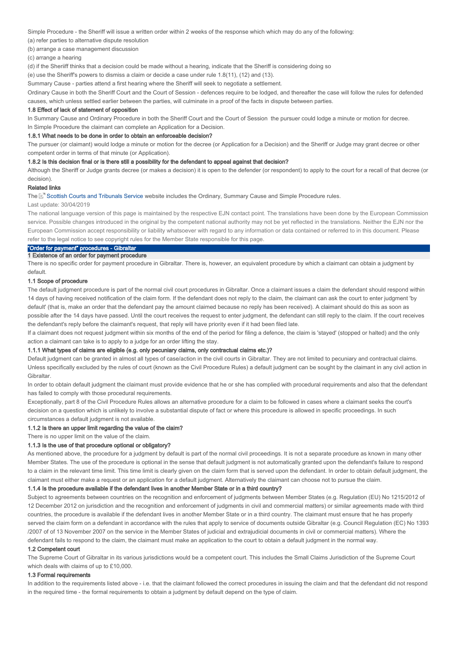Simple Procedure - the Sheriff will issue a written order within 2 weeks of the response which which may do any of the following:

(a) refer parties to alternative dispute resolution

(b) arrange a case management discussion

(c) arrange a hearing

(d) if the Sheriiff thinks that a decision could be made without a hearing, indicate that the Sheriff is considering doing so

(e) use the Sheriff's powers to dismiss a claim or decide a case under rule 1.8(11), (12) and (13).

Summary Cause - parties attend a first hearing where the Sheriff will seek to negotiate a settlement.

Ordinary Cause in both the Sheriff Court and the Court of Session - defences require to be lodged, and thereafter the case will follow the rules for defended causes, which unless settled earlier between the parties, will culminate in a proof of the facts in dispute between parties.

#### 1.8 Effect of lack of statement of opposition

In Summary Cause and Ordinary Procedure in both the Sheriff Court and the Court of Session the pursuer could lodge a minute or motion for decree. In Simple Procedure the claimant can complete an Application for a Decision.

#### 1.8.1 What needs to be done in order to obtain an enforceable decision?

The pursuer (or claimant) would lodge a minute or motion for the decree (or Application for a Decision) and the Sheriff or Judge may grant decree or other competent order in terms of that minute (or Application).

#### 1.8.2 Is this decision final or is there still a possibility for the defendant to appeal against that decision?

Although the Sheriff or Judge grants decree (or makes a decision) it is open to the defender (or respondent) to apply to the court for a recall of that decree (or decision).

### Related links

The L<sup>e</sup> Scottish Courts and Tribunals Service website includes the Ordinary, Summary Cause and Simple Procedure rules.

### Last update: 30/04/2019

The national language version of this page is maintained by the respective EJN contact point. The translations have been done by the European Commission service. Possible changes introduced in the original by the competent national authority may not be yet reflected in the translations. Neither the EJN nor the European Commission accept responsibility or liability whatsoever with regard to any information or data contained or referred to in this document. Please refer to the legal notice to see copyright rules for the Member State responsible for this page.

# "Order for payment" procedures - Gibraltar

### 1 Existence of an order for payment procedure

There is no specific order for payment procedure in Gibraltar. There is, however, an equivalent procedure by which a claimant can obtain a judgment by default.

#### 1.1 Scope of procedure

The default judgment procedure is part of the normal civil court procedures in Gibraltar. Once a claimant issues a claim the defendant should respond within 14 days of having received notification of the claim form. If the defendant does not reply to the claim, the claimant can ask the court to enter judgment 'by default' (that is, make an order that the defendant pay the amount claimed because no reply has been received). A claimant should do this as soon as possible after the 14 days have passed. Until the court receives the request to enter judgment, the defendant can still reply to the claim. If the court receives the defendant's reply before the claimant's request, that reply will have priority even if it had been filed late.

If a claimant does not request judgment within six months of the end of the period for filing a defence, the claim is 'stayed' (stopped or halted) and the only action a claimant can take is to apply to a judge for an order lifting the stay.

### 1.1.1 What types of claims are eligible (e.g. only pecuniary claims, only contractual claims etc.)?

Default judgment can be granted in almost all types of case/action in the civil courts in Gibraltar. They are not limited to pecuniary and contractual claims. Unless specifically excluded by the rules of court (known as the Civil Procedure Rules) a default judgment can be sought by the claimant in any civil action in Gibraltar.

In order to obtain default judgment the claimant must provide evidence that he or she has complied with procedural requirements and also that the defendant has failed to comply with those procedural requirements.

Exceptionally, part 8 of the Civil Procedure Rules allows an alternative procedure for a claim to be followed in cases where a claimant seeks the court's decision on a question which is unlikely to involve a substantial dispute of fact or where this procedure is allowed in specific proceedings. In such circumstances a default judgment is not available.

# 1.1.2 Is there an upper limit regarding the value of the claim?

There is no upper limit on the value of the claim.

# 1.1.3 Is the use of that procedure optional or obligatory?

As mentioned above, the procedure for a judgment by default is part of the normal civil proceedings. It is not a separate procedure as known in many other Member States. The use of the procedure is optional in the sense that default judgment is not automatically granted upon the defendant's failure to respond to a claim in the relevant time limit. This time limit is clearly given on the claim form that is served upon the defendant. In order to obtain default judgment, the claimant must either make a request or an application for a default judgment. Alternatively the claimant can choose not to pursue the claim.

#### 1.1.4 Is the procedure available if the defendant lives in another Member State or in a third country?

Subject to agreements between countries on the recognition and enforcement of judgments between Member States (e.g. Regulation (EU) No 1215/2012 of 12 December 2012 on jurisdiction and the recognition and enforcement of judgments in civil and commercial matters) or similar agreements made with third countries, the procedure is available if the defendant lives in another Member State or in a third country. The claimant must ensure that he has properly served the claim form on a defendant in accordance with the rules that apply to service of documents outside Gibraltar (e.g. Council Regulation (EC) No 1393 /2007 of of 13 November 2007 on the service in the Member States of judicial and extrajudicial documents in civil or commercial matters). Where the defendant fails to respond to the claim, the claimant must make an application to the court to obtain a default judgment in the normal way.

#### 1.2 Competent court

The Supreme Court of Gibraltar in its various jurisdictions would be a competent court. This includes the Small Claims Jurisdiction of the Supreme Court which deals with claims of up to £10,000.

### 1.3 Formal requirements

In addition to the requirements listed above - i.e. that the claimant followed the correct procedures in issuing the claim and that the defendant did not respond in the required time - the formal requirements to obtain a judgment by default depend on the type of claim.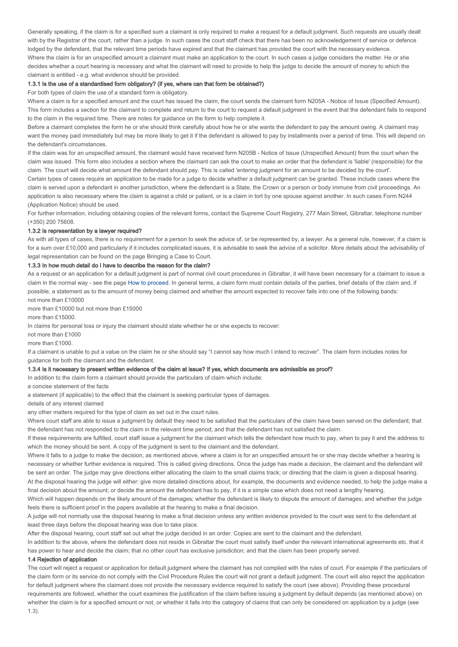Generally speaking, if the claim is for a specified sum a claimant is only required to make a request for a default judgment. Such requests are usually dealt with by the Registrar of the court, rather than a judge. In such cases the court staff check that there has been no acknowledgement of service or defence lodged by the defendant, that the relevant time periods have expired and that the claimant has provided the court with the necessary evidence. Where the claim is for an unspecified amount a claimant must make an application to the court. In such cases a judge considers the matter. He or she decides whether a court hearing is necessary and what the claimant will need to provide to help the judge to decide the amount of money to which the claimant is entitled - e.g. what evidence should be provided.

#### 1.3.1 Is the use of a standardised form obligatory? (if yes, where can that form be obtained?)

For both types of claim the use of a standard form is obligatory.

Where a claim is for a specified amount and the court has issued the claim, the court sends the claimant form N205A - Notice of Issue (Specified Amount). This form includes a section for the claimant to complete and return to the court to request a default judgment in the event that the defendant fails to respond to the claim in the required time. There are notes for guidance on the form to help complete it.

Before a claimant completes the form he or she should think carefully about how he or she wants the defendant to pay the amount owing. A claimant may want the money paid immediately but may be more likely to get it if the defendant is allowed to pay by installments over a period of time. This will depend on the defendant's circumstances.

If the claim was for an unspecified amount, the claimant would have received form N205B - Notice of Issue (Unspecified Amount) from the court when the claim was issued. This form also includes a section where the claimant can ask the court to make an order that the defendant is 'liable' (responsible) for the claim. The court will decide what amount the defendant should pay. This is called 'entering judgment for an amount to be decided by the court'.

Certain types of cases require an application to be made for a judge to decide whether a default judgment can be granted. These include cases where the claim is served upon a defendant in another jurisdiction, where the defendant is a State, the Crown or a person or body immune from civil proceedings. An application is also necessary where the claim is against a child or patient, or is a claim in tort by one spouse against another. In such cases Form N244 (Application Notice) should be used.

For further information, including obtaining copies of the relevant forms, contact the Supreme Court Registry, 277 Main Street, Gibraltar, telephone number (+350) 200 75608.

### 1.3.2 Is representation by a lawyer required?

As with all types of cases, there is no requirement for a person to seek the advice of, or be represented by, a lawyer. As a general rule, however, if a claim is for a sum over £10,000 and particularly if it includes complicated issues, it is advisable to seek the advice of a solicitor. More details about the advisability of legal representation can be found on the page Bringing a Case to Court.

#### 1.3.3 In how much detail do I have to describe the reason for the claim?

As a request or an application for a default judgment is part of normal civil court procedures in Gibraltar, it will have been necessary for a claimant to issue a claim in the normal way - see the page How to proceed. In general terms, a claim form must contain details of the parties, brief details of the claim and, if possible, a statement as to the amount of money being claimed and whether the amount expected to recover falls into one of the following bands: not more than £10000

more than £10000 but not more than £15000

more than £15000.

In claims for personal loss or injury the claimant should state whether he or she expects to recover:

not more than £1000

more than £1000.

If a claimant is unable to put a value on the claim he or she should say "I cannot say how much I intend to recover". The claim form includes notes for guidance for both the claimant and the defendant.

#### 1.3.4 Is it necessary to present written evidence of the claim at issue? If yes, which documents are admissible as proof?

In addition to the claim form a claimant should provide the particulars of claim which include:

a concise statement of the facts

a statement (if applicable) to the effect that the claimant is seeking particular types of damages.

details of any interest claimed

any other matters required for the type of claim as set out in the court rules.

Where court staff are able to issue a judgment by default they need to be satisfied that the particulars of the claim have been served on the defendant; that the defendant has not responded to the claim in the relevant time period; and that the defendant has not satisfied the claim.

If these requirements are fulfilled, court staff issue a judgment for the claimant which tells the defendant how much to pay, when to pay it and the address to which the money should be sent. A copy of the judgment is sent to the claimant and the defendant.

Where it falls to a judge to make the decision, as mentioned above, where a claim is for an unspecified amount he or she may decide whether a hearing is necessary or whether further evidence is required. This is called giving directions. Once the judge has made a decision, the claimant and the defendant will be sent an order. The judge may give directions either allocating the claim to the small claims track; or directing that the claim is given a disposal hearing. At the disposal hearing the judge will either: give more detailed directions about, for example, the documents and evidence needed, to help the judge make a

final decision about the amount; or decide the amount the defendant has to pay, if it is a simple case which does not need a lengthy hearing.

Which will happen depends on the likely amount of the damages; whether the defendant is likely to dispute the amount of damages; and whether the judge feels there is sufficient proof in the papers available at the hearing to make a final decision.

A judge will not normally use the disposal hearing to make a final decision unless any written evidence provided to the court was sent to the defendant at least three days before the disposal hearing was due to take place.

After the disposal hearing, court staff set out what the judge decided in an order. Copies are sent to the claimant and the defendant.

In addition to the above, where the defendant does not reside in Gibraltar the court must satisfy itself under the relevant international agreements etc. that it has power to hear and decide the claim; that no other court has exclusive jurisdiction; and that the claim has been properly served.

### 1.4 Rejection of application

The court will reject a request or application for default judgment where the claimant has not complied with the rules of court. For example if the particulars of the claim form or its service do not comply with the Civil Procedure Rules the court will not grant a default judgment. The court will also reject the application for default judgment where the claimant does not provide the necessary evidence required to satisfy the court (see above). Providing these procedural requirements are followed, whether the court examines the justification of the claim before issuing a judgment by default depends (as mentioned above) on whether the claim is for a specified amount or not, or whether it falls into the category of claims that can only be considered on application by a judge (see 1.3).